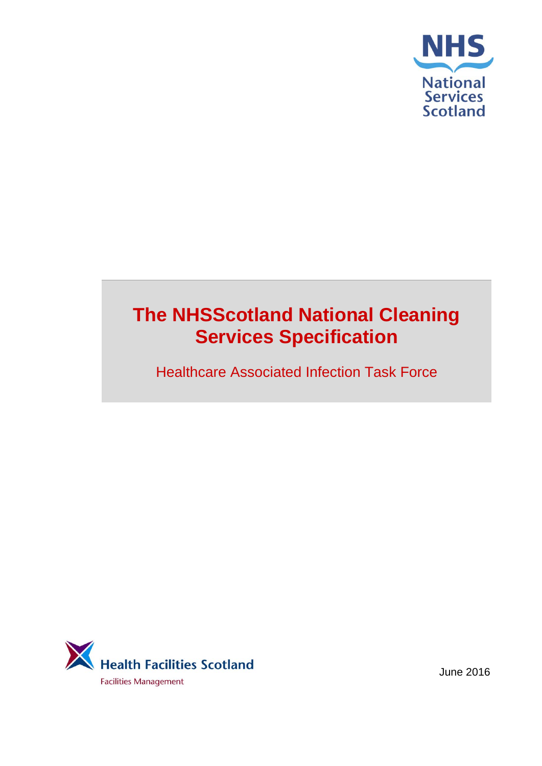

# **The NHSScotland National Cleaning Services Specification**

Healthcare Associated Infection Task Force



June 2016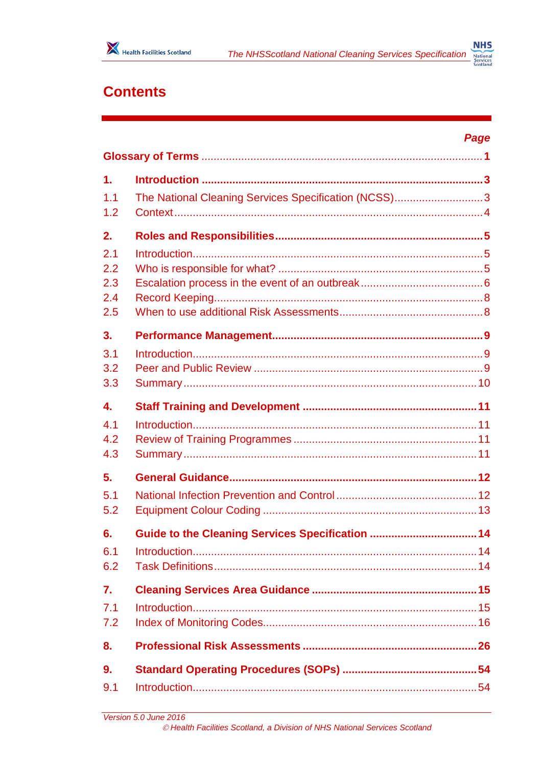

### **Contents**

|                | Page                                                 |  |
|----------------|------------------------------------------------------|--|
|                |                                                      |  |
| $\mathbf{1}$ . |                                                      |  |
| 1.1            | The National Cleaning Services Specification (NCSS)3 |  |
| 1.2            |                                                      |  |
| 2.             |                                                      |  |
| 2.1            |                                                      |  |
| 2.2            |                                                      |  |
| 2.3            |                                                      |  |
| 2.4            |                                                      |  |
| 2.5            |                                                      |  |
| 3.             |                                                      |  |
| 3.1            |                                                      |  |
| 3.2            |                                                      |  |
| 3.3            |                                                      |  |
| 4.             |                                                      |  |
| 4.1            |                                                      |  |
| 4.2            |                                                      |  |
| 4.3            |                                                      |  |
| 5.             |                                                      |  |
| 5.1            |                                                      |  |
| 5.2            |                                                      |  |
| 6.             | Guide to the Cleaning Services Specification 14      |  |
| 6.1            |                                                      |  |
| 6.2            |                                                      |  |
| 7.             |                                                      |  |
| 7.1            |                                                      |  |
| 7.2            |                                                      |  |
| 8.             |                                                      |  |
| 9.             |                                                      |  |
| 9.1            |                                                      |  |
|                |                                                      |  |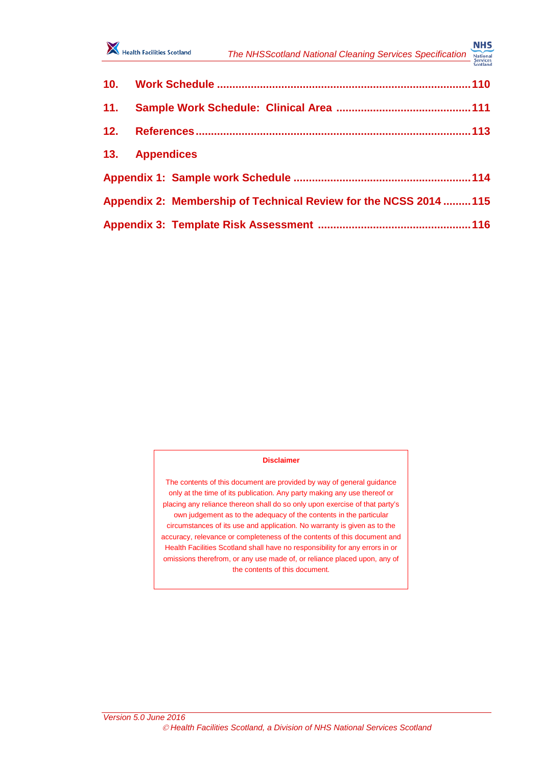|  | Health Facilities Scotland |  |
|--|----------------------------|--|
|  |                            |  |

| 13. Appendices                                                    |  |
|-------------------------------------------------------------------|--|
|                                                                   |  |
| Appendix 2: Membership of Technical Review for the NCSS 2014  115 |  |
|                                                                   |  |

#### **Disclaimer**

The contents of this document are provided by way of general guidance only at the time of its publication. Any party making any use thereof or placing any reliance thereon shall do so only upon exercise of that party's own judgement as to the adequacy of the contents in the particular circumstances of its use and application. No warranty is given as to the accuracy, relevance or completeness of the contents of this document and Health Facilities Scotland shall have no responsibility for any errors in or omissions therefrom, or any use made of, or reliance placed upon, any of the contents of this document.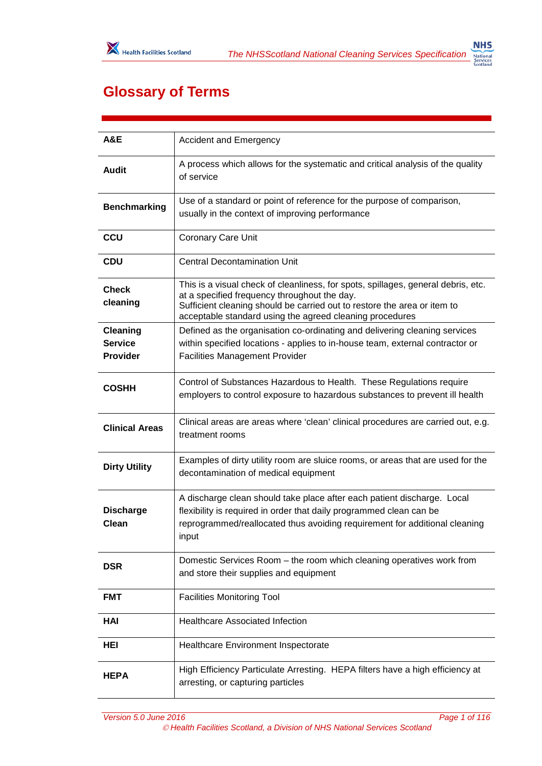### <span id="page-3-0"></span>**Glossary of Terms**

| A&E                                                  | <b>Accident and Emergency</b>                                                                                                                                                                                                                                             |
|------------------------------------------------------|---------------------------------------------------------------------------------------------------------------------------------------------------------------------------------------------------------------------------------------------------------------------------|
| <b>Audit</b>                                         | A process which allows for the systematic and critical analysis of the quality<br>of service                                                                                                                                                                              |
| <b>Benchmarking</b>                                  | Use of a standard or point of reference for the purpose of comparison,<br>usually in the context of improving performance                                                                                                                                                 |
| CCU                                                  | <b>Coronary Care Unit</b>                                                                                                                                                                                                                                                 |
| <b>CDU</b>                                           | <b>Central Decontamination Unit</b>                                                                                                                                                                                                                                       |
| <b>Check</b><br>cleaning                             | This is a visual check of cleanliness, for spots, spillages, general debris, etc.<br>at a specified frequency throughout the day.<br>Sufficient cleaning should be carried out to restore the area or item to<br>acceptable standard using the agreed cleaning procedures |
| <b>Cleaning</b><br><b>Service</b><br><b>Provider</b> | Defined as the organisation co-ordinating and delivering cleaning services<br>within specified locations - applies to in-house team, external contractor or<br><b>Facilities Management Provider</b>                                                                      |
| <b>COSHH</b>                                         | Control of Substances Hazardous to Health. These Regulations require<br>employers to control exposure to hazardous substances to prevent ill health                                                                                                                       |
| <b>Clinical Areas</b>                                | Clinical areas are areas where 'clean' clinical procedures are carried out, e.g.<br>treatment rooms                                                                                                                                                                       |
| <b>Dirty Utility</b>                                 | Examples of dirty utility room are sluice rooms, or areas that are used for the<br>decontamination of medical equipment                                                                                                                                                   |
| <b>Discharge</b><br>Clean                            | A discharge clean should take place after each patient discharge. Local<br>flexibility is required in order that daily programmed clean can be<br>reprogrammed/reallocated thus avoiding requirement for additional cleaning<br>input                                     |
| <b>DSR</b>                                           | Domestic Services Room - the room which cleaning operatives work from<br>and store their supplies and equipment                                                                                                                                                           |
| <b>FMT</b>                                           | <b>Facilities Monitoring Tool</b>                                                                                                                                                                                                                                         |
| <b>HAI</b>                                           | <b>Healthcare Associated Infection</b>                                                                                                                                                                                                                                    |
| HEI                                                  | Healthcare Environment Inspectorate                                                                                                                                                                                                                                       |
| <b>HEPA</b>                                          | High Efficiency Particulate Arresting. HEPA filters have a high efficiency at<br>arresting, or capturing particles                                                                                                                                                        |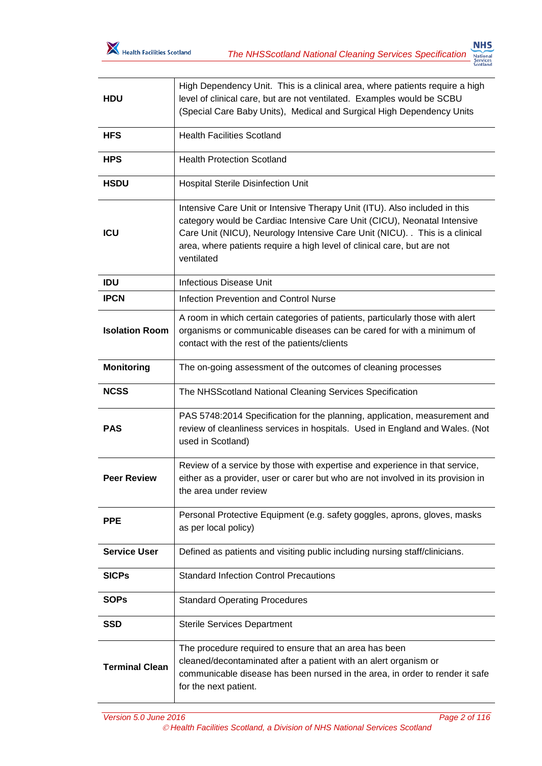

| <b>HDU</b>            | High Dependency Unit. This is a clinical area, where patients require a high<br>level of clinical care, but are not ventilated. Examples would be SCBU<br>(Special Care Baby Units), Medical and Surgical High Dependency Units                                                                                                 |  |
|-----------------------|---------------------------------------------------------------------------------------------------------------------------------------------------------------------------------------------------------------------------------------------------------------------------------------------------------------------------------|--|
| <b>HFS</b>            | <b>Health Facilities Scotland</b>                                                                                                                                                                                                                                                                                               |  |
| <b>HPS</b>            | <b>Health Protection Scotland</b>                                                                                                                                                                                                                                                                                               |  |
| <b>HSDU</b>           | <b>Hospital Sterile Disinfection Unit</b>                                                                                                                                                                                                                                                                                       |  |
| <b>ICU</b>            | Intensive Care Unit or Intensive Therapy Unit (ITU). Also included in this<br>category would be Cardiac Intensive Care Unit (CICU), Neonatal Intensive<br>Care Unit (NICU), Neurology Intensive Care Unit (NICU). . This is a clinical<br>area, where patients require a high level of clinical care, but are not<br>ventilated |  |
| <b>IDU</b>            | <b>Infectious Disease Unit</b>                                                                                                                                                                                                                                                                                                  |  |
| <b>IPCN</b>           | <b>Infection Prevention and Control Nurse</b>                                                                                                                                                                                                                                                                                   |  |
| <b>Isolation Room</b> | A room in which certain categories of patients, particularly those with alert<br>organisms or communicable diseases can be cared for with a minimum of<br>contact with the rest of the patients/clients                                                                                                                         |  |
| <b>Monitoring</b>     | The on-going assessment of the outcomes of cleaning processes                                                                                                                                                                                                                                                                   |  |
| <b>NCSS</b>           | The NHSScotland National Cleaning Services Specification                                                                                                                                                                                                                                                                        |  |
| <b>PAS</b>            | PAS 5748:2014 Specification for the planning, application, measurement and<br>review of cleanliness services in hospitals. Used in England and Wales. (Not<br>used in Scotland)                                                                                                                                                 |  |
| <b>Peer Review</b>    | Review of a service by those with expertise and experience in that service,<br>either as a provider, user or carer but who are not involved in its provision in<br>the area under review                                                                                                                                        |  |
| <b>PPE</b>            | Personal Protective Equipment (e.g. safety goggles, aprons, gloves, masks<br>as per local policy)                                                                                                                                                                                                                               |  |
| <b>Service User</b>   | Defined as patients and visiting public including nursing staff/clinicians.                                                                                                                                                                                                                                                     |  |
| <b>SICPs</b>          | <b>Standard Infection Control Precautions</b>                                                                                                                                                                                                                                                                                   |  |
| <b>SOPs</b>           | <b>Standard Operating Procedures</b>                                                                                                                                                                                                                                                                                            |  |
| <b>SSD</b>            | <b>Sterile Services Department</b>                                                                                                                                                                                                                                                                                              |  |
| <b>Terminal Clean</b> | The procedure required to ensure that an area has been<br>cleaned/decontaminated after a patient with an alert organism or<br>communicable disease has been nursed in the area, in order to render it safe<br>for the next patient.                                                                                             |  |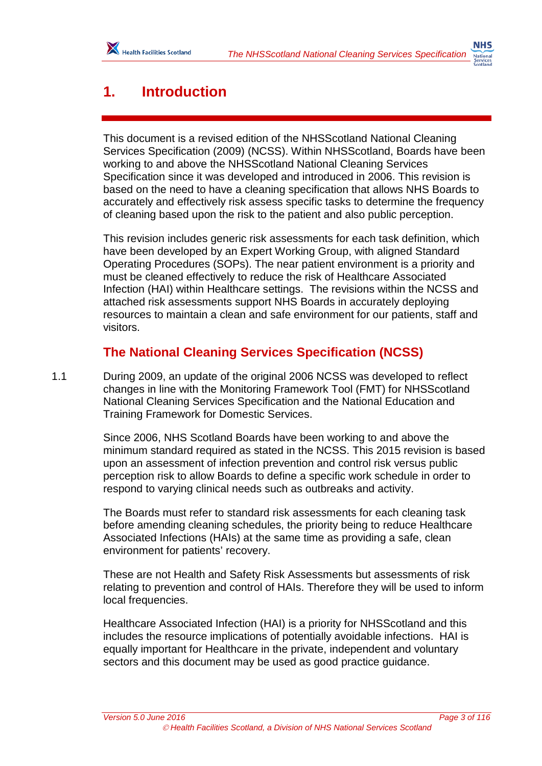## <span id="page-5-0"></span>**1. Introduction**

This document is a revised edition of the NHSScotland National Cleaning Services Specification (2009) (NCSS). Within NHSScotland, Boards have been working to and above the NHSScotland National Cleaning Services Specification since it was developed and introduced in 2006. This revision is based on the need to have a cleaning specification that allows NHS Boards to accurately and effectively risk assess specific tasks to determine the frequency of cleaning based upon the risk to the patient and also public perception.

This revision includes generic risk assessments for each task definition, which have been developed by an Expert Working Group, with aligned Standard Operating Procedures (SOPs). The near patient environment is a priority and must be cleaned effectively to reduce the risk of Healthcare Associated Infection (HAI) within Healthcare settings. The revisions within the NCSS and attached risk assessments support NHS Boards in accurately deploying resources to maintain a clean and safe environment for our patients, staff and visitors.

### **The National Cleaning Services Specification (NCSS)**

1.1 During 2009, an update of the original 2006 NCSS was developed to reflect changes in line with the Monitoring Framework Tool (FMT) for NHSScotland National Cleaning Services Specification and the National Education and Training Framework for Domestic Services.

> Since 2006, NHS Scotland Boards have been working to and above the minimum standard required as stated in the NCSS. This 2015 revision is based upon an assessment of infection prevention and control risk versus public perception risk to allow Boards to define a specific work schedule in order to respond to varying clinical needs such as outbreaks and activity.

The Boards must refer to standard risk assessments for each cleaning task before amending cleaning schedules, the priority being to reduce Healthcare Associated Infections (HAIs) at the same time as providing a safe, clean environment for patients' recovery.

These are not Health and Safety Risk Assessments but assessments of risk relating to prevention and control of HAIs. Therefore they will be used to inform local frequencies.

Healthcare Associated Infection (HAI) is a priority for NHSScotland and this includes the resource implications of potentially avoidable infections. HAI is equally important for Healthcare in the private, independent and voluntary sectors and this document may be used as good practice guidance.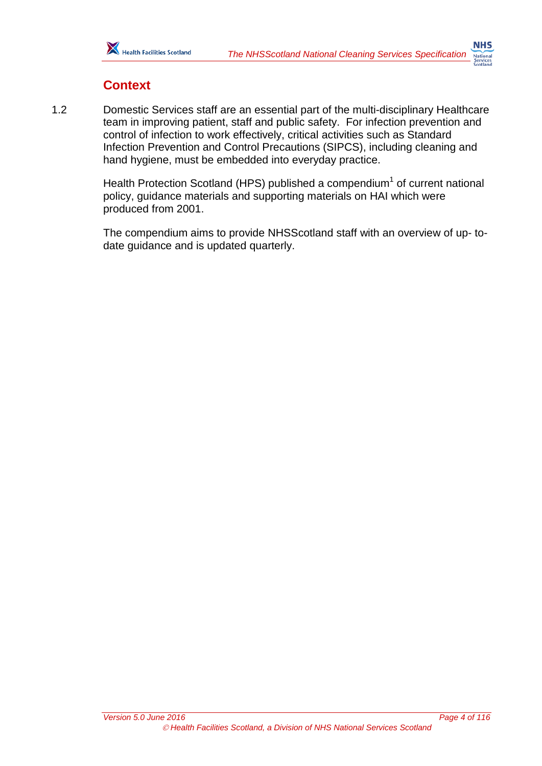### **Context**

<span id="page-6-0"></span>

1.2 Domestic Services staff are an essential part of the multi-disciplinary Healthcare team in improving patient, staff and public safety. For infection prevention and control of infection to work effectively, critical activities such as Standard Infection Prevention and Control Precautions (SIPCS), including cleaning and hand hygiene, must be embedded into everyday practice.

> Health Protection Scotland (HPS) published a compendium<sup>1</sup> of current national policy, guidance materials and supporting materials on HAI which were produced from 2001.

> The compendium aims to provide NHSScotland staff with an overview of up- todate guidance and is updated quarterly.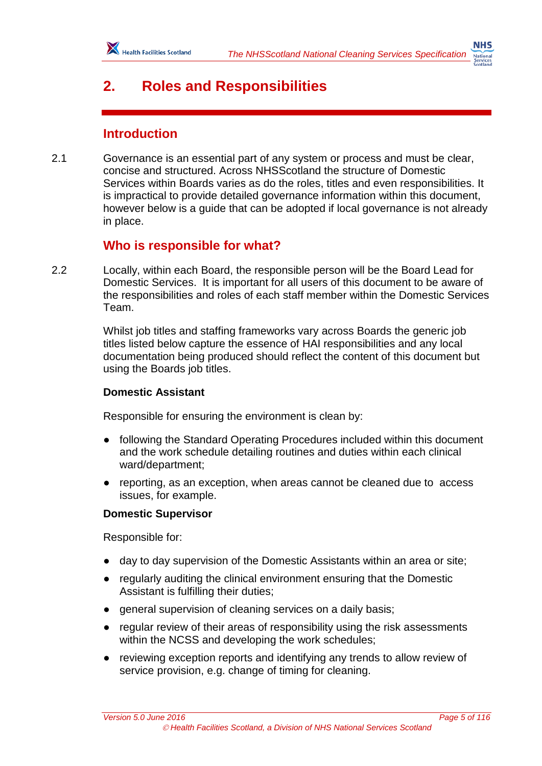### <span id="page-7-0"></span>**2. Roles and Responsibilities**

### **Introduction**

2.1 Governance is an essential part of any system or process and must be clear, concise and structured. Across NHSScotland the structure of Domestic Services within Boards varies as do the roles, titles and even responsibilities. It is impractical to provide detailed governance information within this document, however below is a guide that can be adopted if local governance is not already in place.

### **Who is responsible for what?**

2.2 Locally, within each Board, the responsible person will be the Board Lead for Domestic Services. It is important for all users of this document to be aware of the responsibilities and roles of each staff member within the Domestic Services Team.

> Whilst job titles and staffing frameworks vary across Boards the generic job titles listed below capture the essence of HAI responsibilities and any local documentation being produced should reflect the content of this document but using the Boards job titles.

#### **Domestic Assistant**

Responsible for ensuring the environment is clean by:

- following the Standard Operating Procedures included within this document and the work schedule detailing routines and duties within each clinical ward/department;
- reporting, as an exception, when areas cannot be cleaned due to access issues, for example.

#### **Domestic Supervisor**

Responsible for:

- day to day supervision of the Domestic Assistants within an area or site;
- regularly auditing the clinical environment ensuring that the Domestic Assistant is fulfilling their duties;
- general supervision of cleaning services on a daily basis;
- regular review of their areas of responsibility using the risk assessments within the NCSS and developing the work schedules;
- reviewing exception reports and identifying any trends to allow review of service provision, e.g. change of timing for cleaning.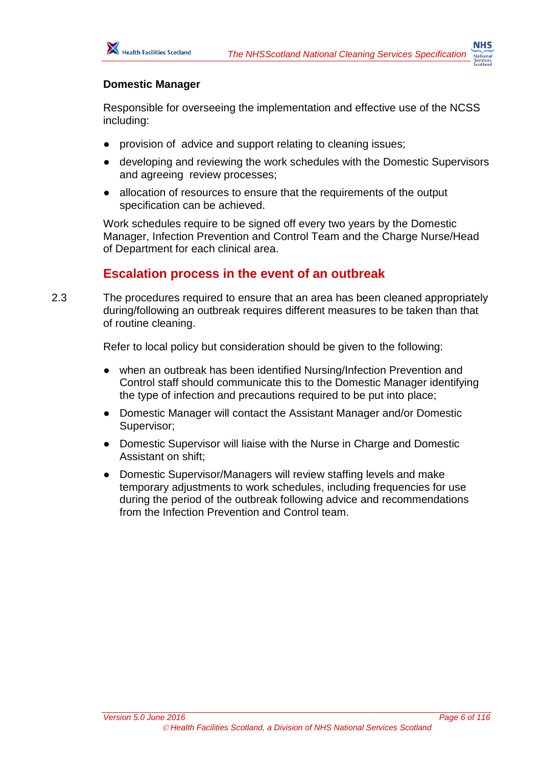<span id="page-8-0"></span>

#### **Domestic Manager**

Responsible for overseeing the implementation and effective use of the NCSS including:

- provision of advice and support relating to cleaning issues;
- developing and reviewing the work schedules with the Domestic Supervisors and agreeing review processes;
- allocation of resources to ensure that the requirements of the output specification can be achieved.

Work schedules require to be signed off every two years by the Domestic Manager, Infection Prevention and Control Team and the Charge Nurse/Head of Department for each clinical area.

### **Escalation process in the event of an outbreak**

2.3 The procedures required to ensure that an area has been cleaned appropriately during/following an outbreak requires different measures to be taken than that of routine cleaning.

Refer to local policy but consideration should be given to the following:

- when an outbreak has been identified Nursing/Infection Prevention and Control staff should communicate this to the Domestic Manager identifying the type of infection and precautions required to be put into place;
- Domestic Manager will contact the Assistant Manager and/or Domestic Supervisor;
- Domestic Supervisor will liaise with the Nurse in Charge and Domestic Assistant on shift;
- Domestic Supervisor/Managers will review staffing levels and make temporary adjustments to work schedules, including frequencies for use during the period of the outbreak following advice and recommendations from the Infection Prevention and Control team.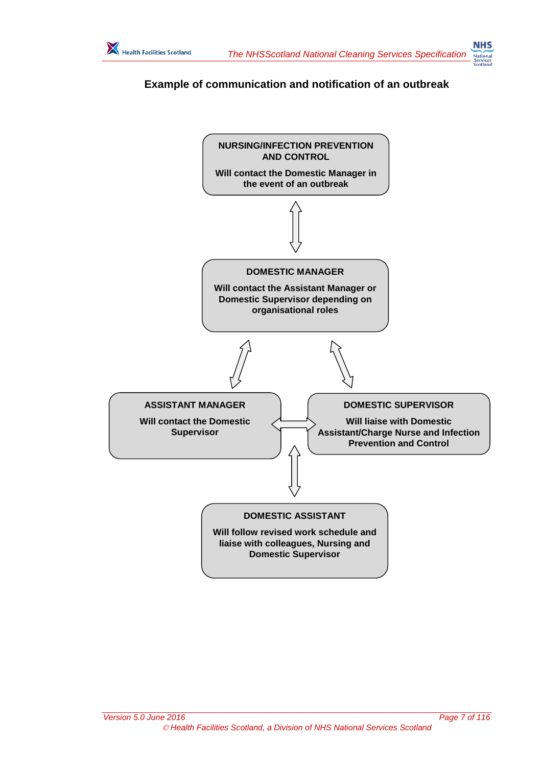### **Example of communication and notification of an outbreak**

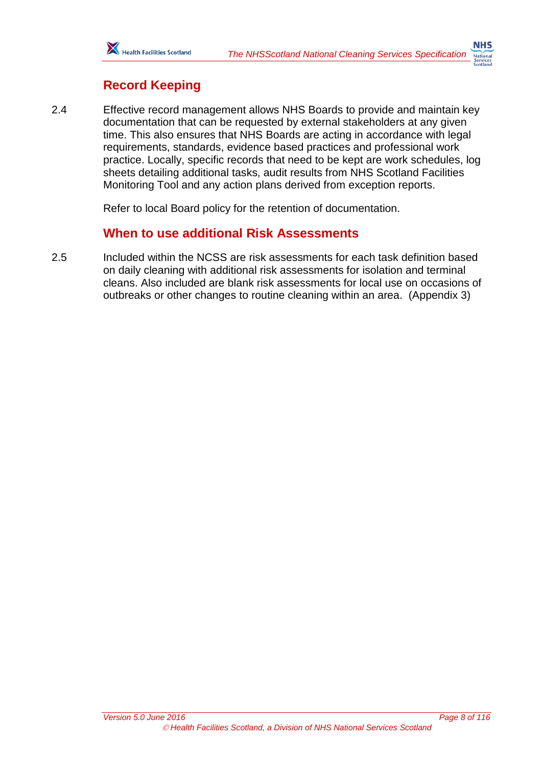### **Record Keeping**

<span id="page-10-0"></span>2.4 Effective record management allows NHS Boards to provide and maintain key documentation that can be requested by external stakeholders at any given time. This also ensures that NHS Boards are acting in accordance with legal requirements, standards, evidence based practices and professional work practice. Locally, specific records that need to be kept are work schedules, log sheets detailing additional tasks, audit results from NHS Scotland Facilities Monitoring Tool and any action plans derived from exception reports.

Refer to local Board policy for the retention of documentation.

### **When to use additional Risk Assessments**

2.5 Included within the NCSS are risk assessments for each task definition based on daily cleaning with additional risk assessments for isolation and terminal cleans. Also included are blank risk assessments for local use on occasions of outbreaks or other changes to routine cleaning within an area. (Appendix 3)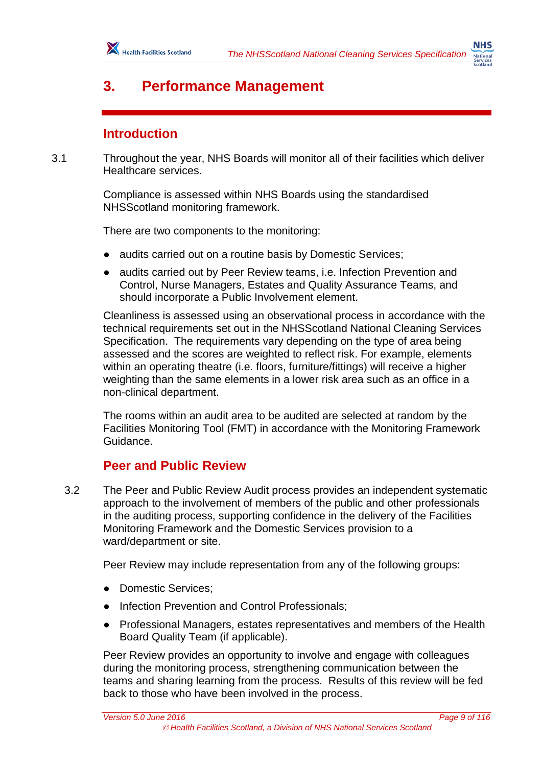### <span id="page-11-0"></span>**3. Performance Management**

### **Introduction**

3.1 Throughout the year, NHS Boards will monitor all of their facilities which deliver Healthcare services.

> Compliance is assessed within NHS Boards using the standardised NHSScotland monitoring framework.

There are two components to the monitoring:

- audits carried out on a routine basis by Domestic Services;
- audits carried out by Peer Review teams, i.e. Infection Prevention and Control, Nurse Managers, Estates and Quality Assurance Teams, and should incorporate a Public Involvement element.

Cleanliness is assessed using an observational process in accordance with the technical requirements set out in the NHSScotland National Cleaning Services Specification. The requirements vary depending on the type of area being assessed and the scores are weighted to reflect risk. For example, elements within an operating theatre (i.e. floors, furniture/fittings) will receive a higher weighting than the same elements in a lower risk area such as an office in a non-clinical department.

The rooms within an audit area to be audited are selected at random by the Facilities Monitoring Tool (FMT) in accordance with the Monitoring Framework Guidance.

### **Peer and Public Review**

3.2 The Peer and Public Review Audit process provides an independent systematic approach to the involvement of members of the public and other professionals in the auditing process, supporting confidence in the delivery of the Facilities Monitoring Framework and the Domestic Services provision to a ward/department or site.

Peer Review may include representation from any of the following groups:

- **Domestic Services;**
- Infection Prevention and Control Professionals;
- Professional Managers, estates representatives and members of the Health Board Quality Team (if applicable).

Peer Review provides an opportunity to involve and engage with colleagues during the monitoring process, strengthening communication between the teams and sharing learning from the process. Results of this review will be fed back to those who have been involved in the process.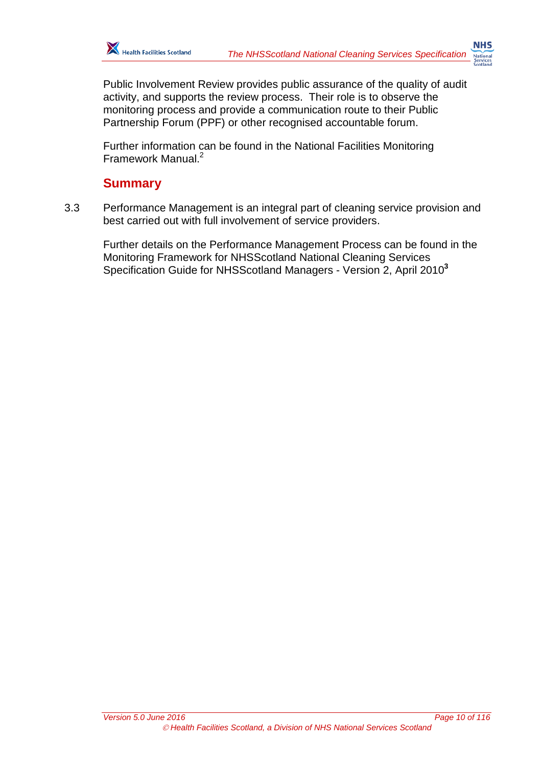<span id="page-12-0"></span>

Public Involvement Review provides public assurance of the quality of audit activity, and supports the review process. Their role is to observe the monitoring process and provide a communication route to their Public Partnership Forum (PPF) or other recognised accountable forum.

Further information can be found in the National Facilities Monitoring Framework Manual. 2

### **Summary**

3.3 Performance Management is an integral part of cleaning service provision and best carried out with full involvement of service providers.

Further details on the Performance Management Process can be found in the Monitoring Framework for NHSScotland National Cleaning Services Specification Guide for NHSScotland Managers - Version 2, April 2010**<sup>3</sup>**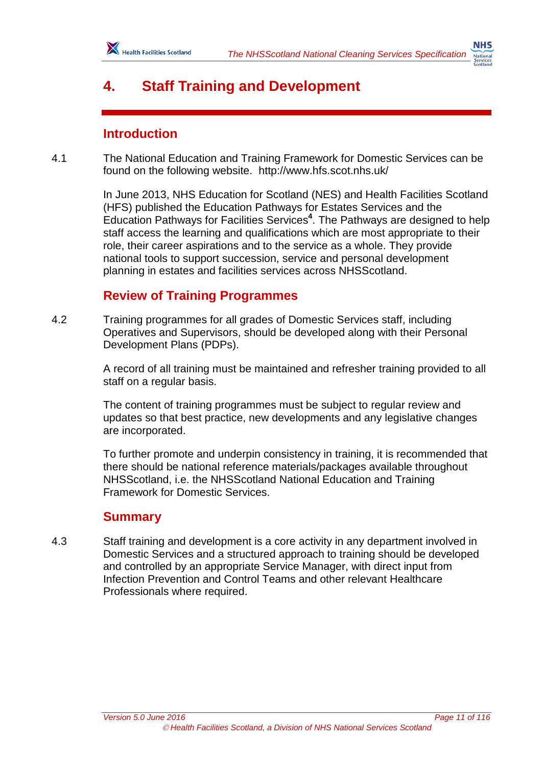### <span id="page-13-0"></span>**4. Staff Training and Development**

### **Introduction**

4.1 The National Education and Training Framework for Domestic Services can be found on the following website. http://www.hfs.scot.nhs.uk/

> In June 2013, NHS Education for Scotland (NES) and Health Facilities Scotland (HFS) published the Education Pathways for Estates Services and the Education Pathways for Facilities Services**<sup>4</sup>** . The Pathways are designed to help staff access the learning and qualifications which are most appropriate to their role, their career aspirations and to the service as a whole. They provide national tools to support succession, service and personal development planning in estates and facilities services across NHSScotland.

### **Review of Training Programmes**

4.2 Training programmes for all grades of Domestic Services staff, including Operatives and Supervisors, should be developed along with their Personal Development Plans (PDPs).

> A record of all training must be maintained and refresher training provided to all staff on a regular basis.

The content of training programmes must be subject to regular review and updates so that best practice, new developments and any legislative changes are incorporated.

To further promote and underpin consistency in training, it is recommended that there should be national reference materials/packages available throughout NHSScotland, i.e. the NHSScotland National Education and Training Framework for Domestic Services.

#### **Summary**

4.3 Staff training and development is a core activity in any department involved in Domestic Services and a structured approach to training should be developed and controlled by an appropriate Service Manager, with direct input from Infection Prevention and Control Teams and other relevant Healthcare Professionals where required.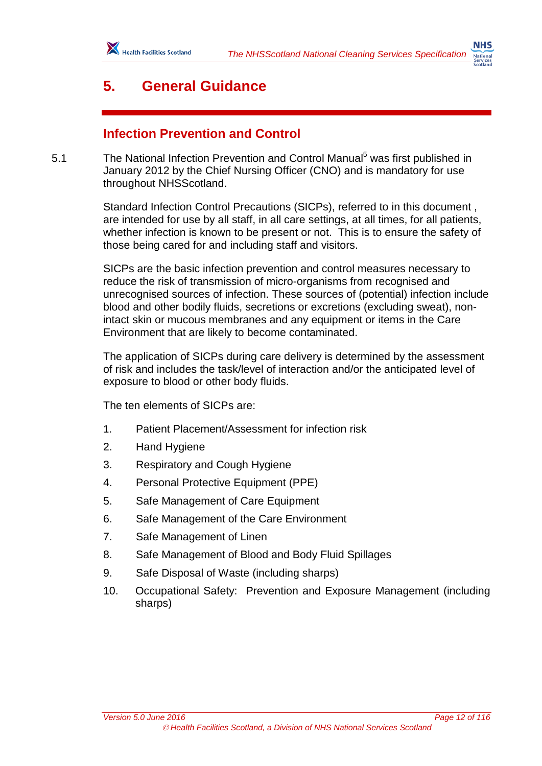### <span id="page-14-0"></span>**5. General Guidance**

### **Infection Prevention and Control**

5.1 The National Infection Prevention and Control Manual<sup>5</sup> was first published in January 2012 by the Chief Nursing Officer (CNO) and is mandatory for use throughout NHSScotland.

> Standard Infection Control Precautions (SICPs), referred to in this document , are intended for use by all staff, in all care settings, at all times, for all patients, whether infection is known to be present or not. This is to ensure the safety of those being cared for and including staff and visitors.

SICPs are the basic infection prevention and control measures necessary to reduce the risk of transmission of micro-organisms from recognised and unrecognised sources of infection. These sources of (potential) infection include blood and other bodily fluids, secretions or excretions (excluding sweat), nonintact skin or mucous membranes and any equipment or items in the Care Environment that are likely to become contaminated.

The application of SICPs during care delivery is determined by the assessment of risk and includes the task/level of interaction and/or the anticipated level of exposure to blood or other body fluids.

The ten elements of SICPs are:

- 1. Patient Placement/Assessment for infection risk
- 2. Hand Hygiene
- 3. Respiratory and Cough Hygiene
- 4. Personal Protective Equipment (PPE)
- 5. Safe Management of Care Equipment
- 6. Safe Management of the Care Environment
- 7. Safe Management of Linen
- 8. Safe Management of Blood and Body Fluid Spillages
- 9. Safe Disposal of Waste (including sharps)
- 10. Occupational Safety: Prevention and Exposure Management (including sharps)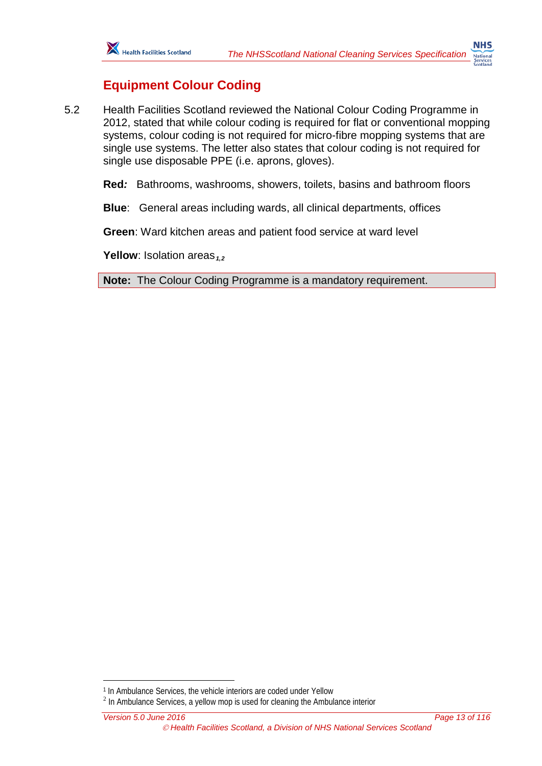### **Equipment Colour Coding**

<span id="page-15-0"></span>5.2 Health Facilities Scotland reviewed the National Colour Coding Programme in 2012, stated that while colour coding is required for flat or conventional mopping systems, colour coding is not required for micro-fibre mopping systems that are single use systems. The letter also states that colour coding is not required for single use disposable PPE (i.e. aprons, gloves).

**Red***:* Bathrooms, washrooms, showers, toilets, basins and bathroom floors

**Blue**: General areas including wards, all clinical departments, offices

**Green**: Ward kitchen areas and patient food service at ward level

**Yellow**: Isolation areas *[1,](#page-15-1)[2](#page-15-2)*

**Note:** The Colour Coding Programme is a mandatory requirement.

 $\overline{a}$ 

<span id="page-15-2"></span><span id="page-15-1"></span><sup>&</sup>lt;sup>1</sup> In Ambulance Services, the vehicle interiors are coded under Yellow

 $2$  In Ambulance Services, a yellow mop is used for cleaning the Ambulance interior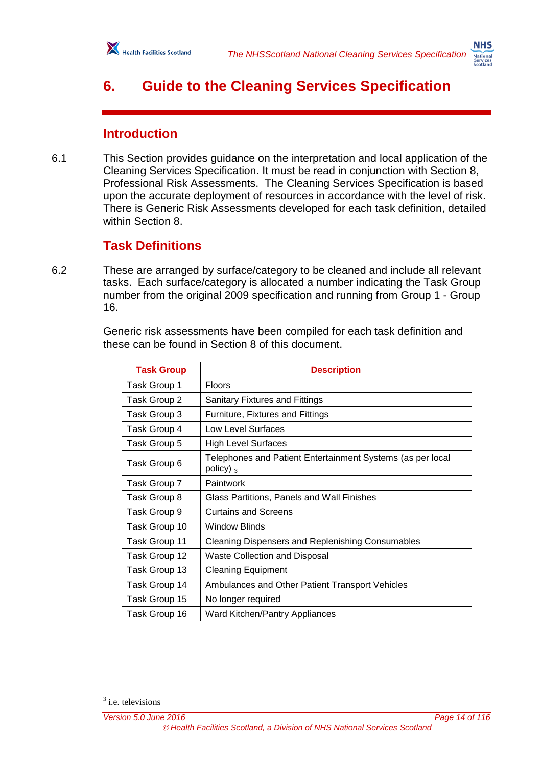### <span id="page-16-0"></span>**6. Guide to the Cleaning Services Specification**

### **Introduction**

6.1 This Section provides guidance on the interpretation and local application of the Cleaning Services Specification. It must be read in conjunction with Section 8, Professional Risk Assessments. The Cleaning Services Specification is based upon the accurate deployment of resources in accordance with the level of risk. There is Generic Risk Assessments developed for each task definition, detailed within Section 8.

### **Task Definitions**

6.2 These are arranged by surface/category to be cleaned and include all relevant tasks. Each surface/category is allocated a number indicating the Task Group number from the original 2009 specification and running from Group 1 - Group 16.

> Generic risk assessments have been compiled for each task definition and these can be found in Section 8 of this document.

| <b>Task Group</b> | <b>Description</b>                                                         |
|-------------------|----------------------------------------------------------------------------|
| Task Group 1      | <b>Floors</b>                                                              |
| Task Group 2      | Sanitary Fixtures and Fittings                                             |
| Task Group 3      | Furniture, Fixtures and Fittings                                           |
| Task Group 4      | Low Level Surfaces                                                         |
| Task Group 5      | <b>High Level Surfaces</b>                                                 |
| Task Group 6      | Telephones and Patient Entertainment Systems (as per local<br>policy) $_3$ |
| Task Group 7      | Paintwork                                                                  |
| Task Group 8      | Glass Partitions, Panels and Wall Finishes                                 |
| Task Group 9      | <b>Curtains and Screens</b>                                                |
| Task Group 10     | <b>Window Blinds</b>                                                       |
| Task Group 11     | <b>Cleaning Dispensers and Replenishing Consumables</b>                    |
| Task Group 12     | <b>Waste Collection and Disposal</b>                                       |
| Task Group 13     | <b>Cleaning Equipment</b>                                                  |
| Task Group 14     | Ambulances and Other Patient Transport Vehicles                            |
| Task Group 15     | No longer required                                                         |
| Task Group 16     | <b>Ward Kitchen/Pantry Appliances</b>                                      |

<span id="page-16-1"></span><sup>&</sup>lt;sup>3</sup> i.e. televisions

*Health Facilities Scotland, a Division of NHS National Services Scotland*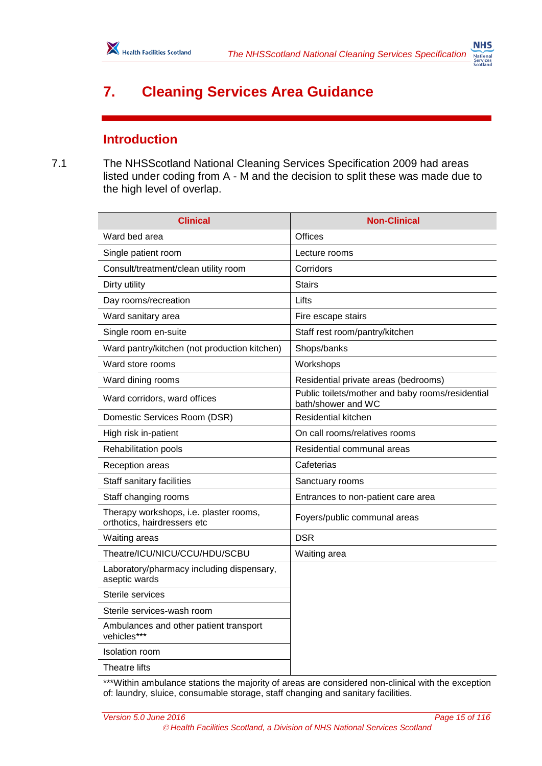### <span id="page-17-0"></span>**7. Cleaning Services Area Guidance**

### **Introduction**

7.1 The NHSScotland National Cleaning Services Specification 2009 had areas listed under coding from A - M and the decision to split these was made due to the high level of overlap.

| <b>Clinical</b>                                                       | <b>Non-Clinical</b>                                                    |
|-----------------------------------------------------------------------|------------------------------------------------------------------------|
| Ward bed area                                                         | <b>Offices</b>                                                         |
| Single patient room                                                   | Lecture rooms                                                          |
| Consult/treatment/clean utility room                                  | Corridors                                                              |
| Dirty utility                                                         | <b>Stairs</b>                                                          |
| Day rooms/recreation                                                  | Lifts                                                                  |
| Ward sanitary area                                                    | Fire escape stairs                                                     |
| Single room en-suite                                                  | Staff rest room/pantry/kitchen                                         |
| Ward pantry/kitchen (not production kitchen)                          | Shops/banks                                                            |
| Ward store rooms                                                      | Workshops                                                              |
| Ward dining rooms                                                     | Residential private areas (bedrooms)                                   |
| Ward corridors, ward offices                                          | Public toilets/mother and baby rooms/residential<br>bath/shower and WC |
| Domestic Services Room (DSR)                                          | Residential kitchen                                                    |
| High risk in-patient                                                  | On call rooms/relatives rooms                                          |
| Rehabilitation pools                                                  | Residential communal areas                                             |
| Reception areas                                                       | Cafeterias                                                             |
| Staff sanitary facilities                                             | Sanctuary rooms                                                        |
| Staff changing rooms                                                  | Entrances to non-patient care area                                     |
| Therapy workshops, i.e. plaster rooms,<br>orthotics, hairdressers etc | Foyers/public communal areas                                           |
| Waiting areas                                                         | <b>DSR</b>                                                             |
| Theatre/ICU/NICU/CCU/HDU/SCBU                                         | Waiting area                                                           |
| Laboratory/pharmacy including dispensary,<br>aseptic wards            |                                                                        |
| Sterile services                                                      |                                                                        |
| Sterile services-wash room                                            |                                                                        |
| Ambulances and other patient transport<br>vehicles***                 |                                                                        |
| Isolation room                                                        |                                                                        |
| Theatre lifts                                                         |                                                                        |

\*\*\*Within ambulance stations the majority of areas are considered non-clinical with the exception of: laundry, sluice, consumable storage, staff changing and sanitary facilities.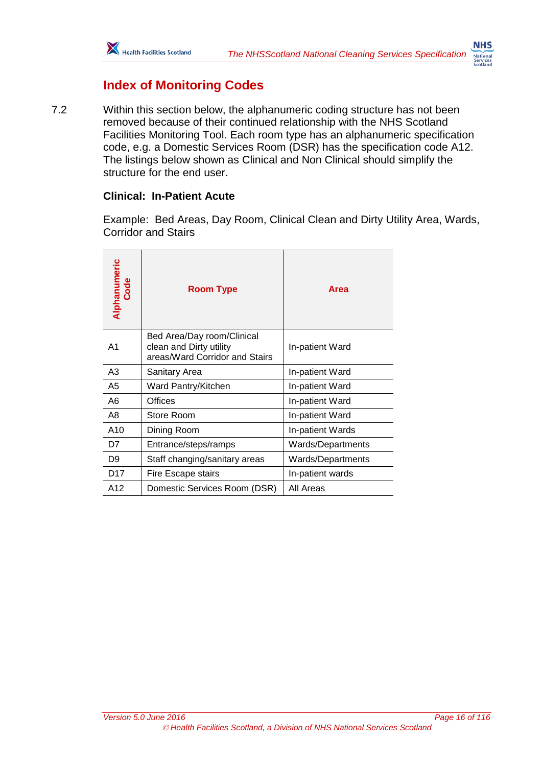### **Index of Monitoring Codes**

<span id="page-18-0"></span>7.2 Within this section below, the alphanumeric coding structure has not been removed because of their continued relationship with the NHS Scotland Facilities Monitoring Tool. Each room type has an alphanumeric specification code, e.g. a Domestic Services Room (DSR) has the specification code A12. The listings below shown as Clinical and Non Clinical should simplify the structure for the end user.

#### **Clinical: In-Patient Acute**

Example: Bed Areas, Day Room, Clinical Clean and Dirty Utility Area, Wards, Corridor and Stairs

| Alphanumeric<br>Code | <b>Room Type</b>                                                                        | Area                     |
|----------------------|-----------------------------------------------------------------------------------------|--------------------------|
| A <sub>1</sub>       | Bed Area/Day room/Clinical<br>clean and Dirty utility<br>areas/Ward Corridor and Stairs | In-patient Ward          |
| A <sub>3</sub>       | Sanitary Area                                                                           | In-patient Ward          |
| A5                   | Ward Pantry/Kitchen                                                                     | In-patient Ward          |
| A6                   | <b>Offices</b>                                                                          | In-patient Ward          |
| A8                   | Store Room                                                                              | In-patient Ward          |
| A10                  | Dining Room                                                                             | In-patient Wards         |
| D7                   | Entrance/steps/ramps                                                                    | Wards/Departments        |
| D <sub>9</sub>       | Staff changing/sanitary areas                                                           | <b>Wards/Departments</b> |
| D17                  | Fire Escape stairs                                                                      | In-patient wards         |
| A12                  | Domestic Services Room (DSR)                                                            | All Areas                |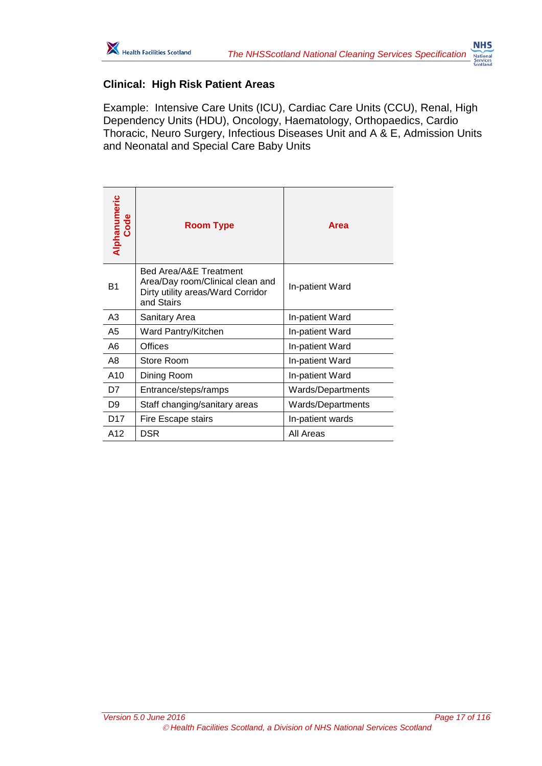

#### **Clinical: High Risk Patient Areas**

Example: Intensive Care Units (ICU), Cardiac Care Units (CCU), Renal, High Dependency Units (HDU), Oncology, Haematology, Orthopaedics, Cardio Thoracic, Neuro Surgery, Infectious Diseases Unit and A & E, Admission Units and Neonatal and Special Care Baby Units

| Alphanumeric<br>Code | <b>Room Type</b>                                                                                              | Area                     |
|----------------------|---------------------------------------------------------------------------------------------------------------|--------------------------|
| B1                   | Bed Area/A&E Treatment<br>Area/Day room/Clinical clean and<br>Dirty utility areas/Ward Corridor<br>and Stairs | In-patient Ward          |
| A3                   | Sanitary Area                                                                                                 | In-patient Ward          |
| A5                   | Ward Pantry/Kitchen                                                                                           | In-patient Ward          |
| A6                   | Offices                                                                                                       | In-patient Ward          |
| A8                   | Store Room                                                                                                    | In-patient Ward          |
| A10                  | Dining Room                                                                                                   | In-patient Ward          |
| D7                   | Entrance/steps/ramps                                                                                          | Wards/Departments        |
| D <sub>9</sub>       | Staff changing/sanitary areas                                                                                 | <b>Wards/Departments</b> |
| D17                  | Fire Escape stairs                                                                                            | In-patient wards         |
| A12                  | DSR                                                                                                           | All Areas                |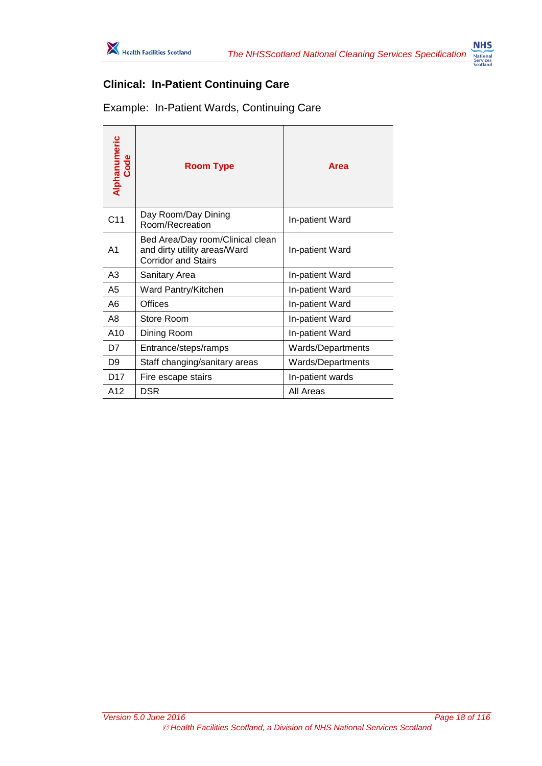

### **Clinical: In-Patient Continuing Care**

|  | Example: In-Patient Wards, Continuing Care |  |  |  |
|--|--------------------------------------------|--|--|--|
|--|--------------------------------------------|--|--|--|

| Alphanumeric<br>Code | <b>Room Type</b>                                                                               | Area                     |
|----------------------|------------------------------------------------------------------------------------------------|--------------------------|
| C <sub>11</sub>      | Day Room/Day Dining<br>Room/Recreation                                                         | In-patient Ward          |
| A <sub>1</sub>       | Bed Area/Day room/Clinical clean<br>and dirty utility areas/Ward<br><b>Corridor and Stairs</b> | In-patient Ward          |
| A <sub>3</sub>       | Sanitary Area                                                                                  | In-patient Ward          |
| A <sub>5</sub>       | Ward Pantry/Kitchen                                                                            | In-patient Ward          |
| A6                   | Offices                                                                                        | In-patient Ward          |
| A8                   | Store Room                                                                                     | In-patient Ward          |
| A <sub>10</sub>      | Dining Room                                                                                    | In-patient Ward          |
| D7                   | Entrance/steps/ramps                                                                           | Wards/Departments        |
| D <sub>9</sub>       | Staff changing/sanitary areas                                                                  | <b>Wards/Departments</b> |
| D <sub>17</sub>      | Fire escape stairs                                                                             | In-patient wards         |
| A12                  | DSR                                                                                            | All Areas                |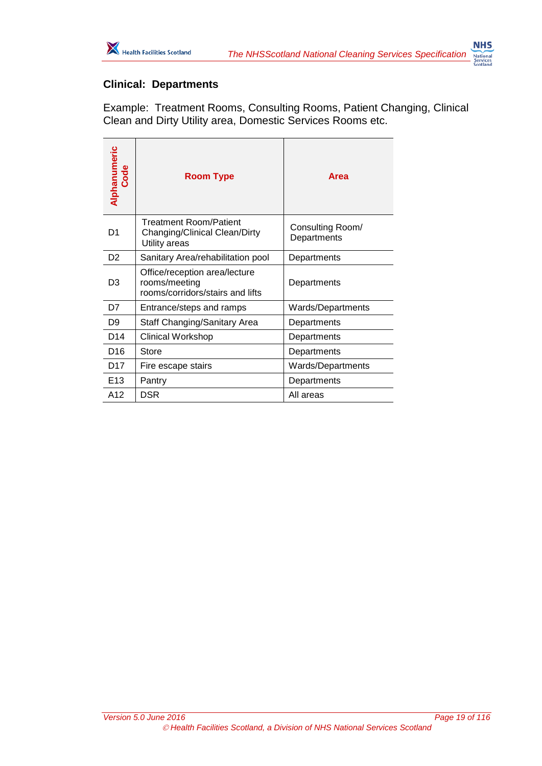

#### **Clinical: Departments**

Example: Treatment Rooms, Consulting Rooms, Patient Changing, Clinical Clean and Dirty Utility area, Domestic Services Rooms etc.

| Alphanumeric<br>Code | <b>Room Type</b>                                                                   | Area                            |
|----------------------|------------------------------------------------------------------------------------|---------------------------------|
| D1                   | <b>Treatment Room/Patient</b><br>Changing/Clinical Clean/Dirty<br>Utility areas    | Consulting Room/<br>Departments |
| D <sub>2</sub>       | Sanitary Area/rehabilitation pool                                                  | Departments                     |
| D3                   | Office/reception area/lecture<br>rooms/meeting<br>rooms/corridors/stairs and lifts | Departments                     |
| D7                   | Entrance/steps and ramps                                                           | <b>Wards/Departments</b>        |
| D <sub>9</sub>       | <b>Staff Changing/Sanitary Area</b>                                                | Departments                     |
| D <sub>14</sub>      | <b>Clinical Workshop</b>                                                           | Departments                     |
| D <sub>16</sub>      | <b>Store</b>                                                                       | Departments                     |
| D <sub>17</sub>      | Fire escape stairs                                                                 | <b>Wards/Departments</b>        |
| E <sub>13</sub>      | Pantry                                                                             | Departments                     |
| A12                  | <b>DSR</b>                                                                         | All areas                       |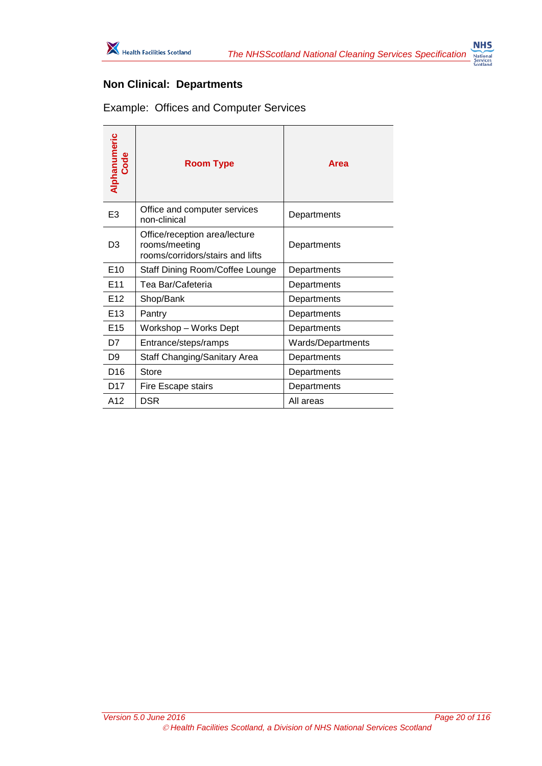

### **Non Clinical: Departments**

|  |  |  | Example: Offices and Computer Services |  |
|--|--|--|----------------------------------------|--|
|--|--|--|----------------------------------------|--|

| Alphanumeric<br>Code | <b>Room Type</b>                                                                   | Area                     |
|----------------------|------------------------------------------------------------------------------------|--------------------------|
| E <sub>3</sub>       | Office and computer services<br>non-clinical                                       | Departments              |
| D3                   | Office/reception area/lecture<br>rooms/meeting<br>rooms/corridors/stairs and lifts | Departments              |
| E10                  | Staff Dining Room/Coffee Lounge                                                    | Departments              |
| E <sub>11</sub>      | Tea Bar/Cafeteria                                                                  | Departments              |
| E <sub>12</sub>      | Shop/Bank                                                                          | Departments              |
| E <sub>13</sub>      | Pantry                                                                             | Departments              |
| E <sub>15</sub>      | Workshop - Works Dept                                                              | Departments              |
| D7                   | Entrance/steps/ramps                                                               | <b>Wards/Departments</b> |
| D9                   | Staff Changing/Sanitary Area                                                       | Departments              |
| D16                  | Store                                                                              | Departments              |
| D17                  | Fire Escape stairs                                                                 | Departments              |
| A12                  | DSR                                                                                | All areas                |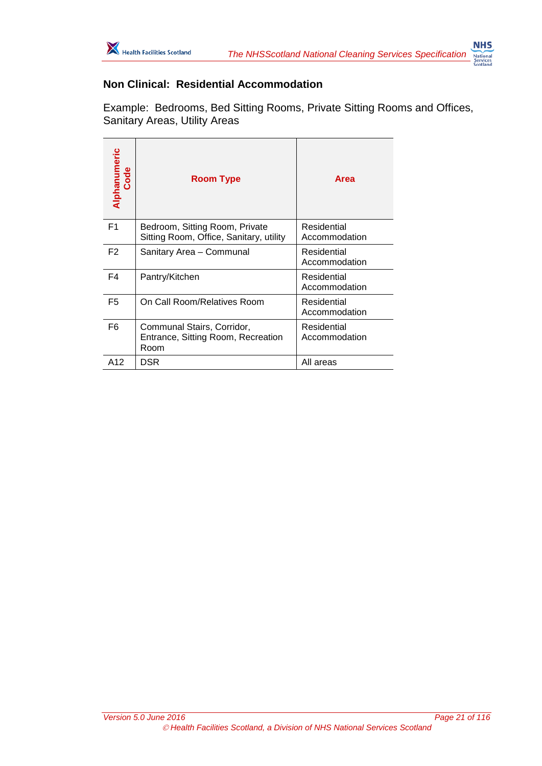

#### **Non Clinical: Residential Accommodation**

Example: Bedrooms, Bed Sitting Rooms, Private Sitting Rooms and Offices, Sanitary Areas, Utility Areas

| Alphanumeric<br>Code | Room Type                                                                 | Area                         |
|----------------------|---------------------------------------------------------------------------|------------------------------|
| F <sub>1</sub>       | Bedroom, Sitting Room, Private<br>Sitting Room, Office, Sanitary, utility | Residential<br>Accommodation |
| F <sub>2</sub>       | Sanitary Area - Communal                                                  | Residential<br>Accommodation |
| F4                   | Pantry/Kitchen                                                            | Residential<br>Accommodation |
| F5                   | On Call Room/Relatives Room                                               | Residential<br>Accommodation |
| F6                   | Communal Stairs, Corridor,<br>Entrance, Sitting Room, Recreation<br>Room  | Residential<br>Accommodation |
| A12                  | DSR                                                                       | All areas                    |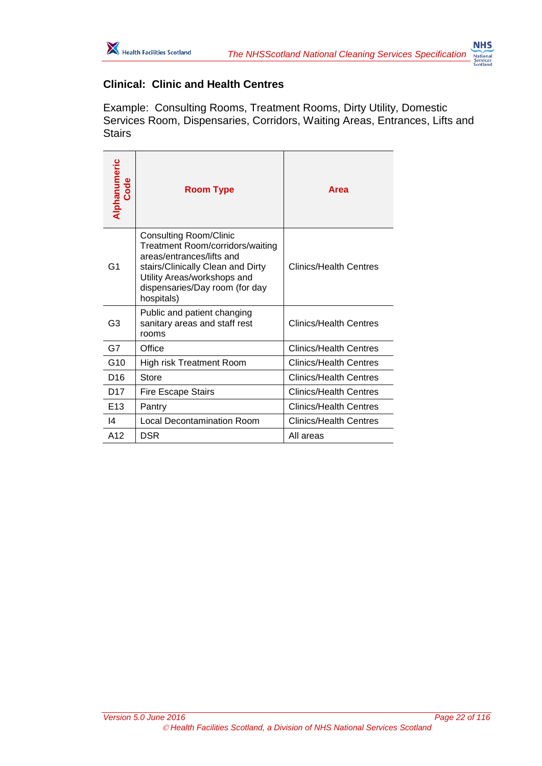

#### **Clinical: Clinic and Health Centres**

Example: Consulting Rooms, Treatment Rooms, Dirty Utility, Domestic Services Room, Dispensaries, Corridors, Waiting Areas, Entrances, Lifts and **Stairs** 

| Alphanumeric<br>Code | <b>Room Type</b>                                                                                                                                                                                                   | Area                          |
|----------------------|--------------------------------------------------------------------------------------------------------------------------------------------------------------------------------------------------------------------|-------------------------------|
| G <sub>1</sub>       | <b>Consulting Room/Clinic</b><br>Treatment Room/corridors/waiting<br>areas/entrances/lifts and<br>stairs/Clinically Clean and Dirty<br>Utility Areas/workshops and<br>dispensaries/Day room (for day<br>hospitals) | <b>Clinics/Health Centres</b> |
| G3                   | Public and patient changing<br>sanitary areas and staff rest<br>rooms                                                                                                                                              | <b>Clinics/Health Centres</b> |
| G7                   | Office                                                                                                                                                                                                             | <b>Clinics/Health Centres</b> |
| G <sub>10</sub>      | High risk Treatment Room                                                                                                                                                                                           | <b>Clinics/Health Centres</b> |
| D <sub>16</sub>      | Store                                                                                                                                                                                                              | <b>Clinics/Health Centres</b> |
| D <sub>17</sub>      | Fire Escape Stairs                                                                                                                                                                                                 | <b>Clinics/Health Centres</b> |
| E <sub>13</sub>      | Pantry                                                                                                                                                                                                             | <b>Clinics/Health Centres</b> |
| 14                   | Local Decontamination Room                                                                                                                                                                                         | <b>Clinics/Health Centres</b> |
| A <sub>12</sub>      | <b>DSR</b>                                                                                                                                                                                                         | All areas                     |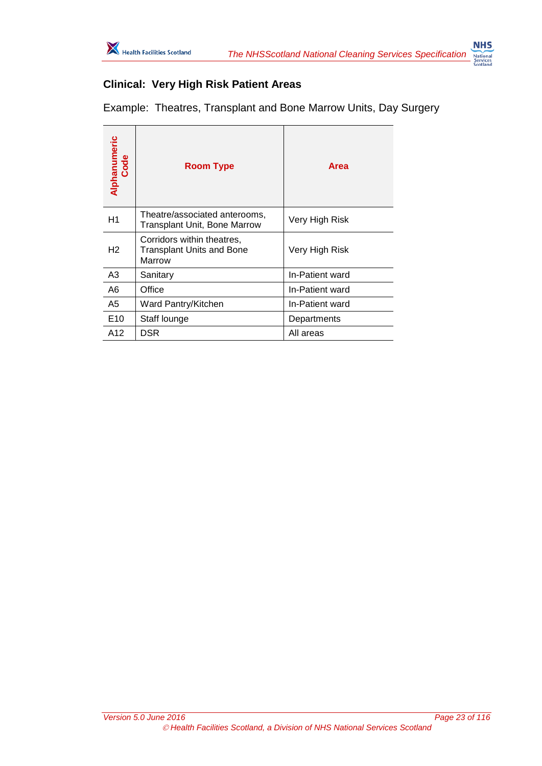

### **Clinical: Very High Risk Patient Areas**

Example: Theatres, Transplant and Bone Marrow Units, Day Surgery

| Alphanumeric<br>Code | <b>Room Type</b>                                                     | Area            |
|----------------------|----------------------------------------------------------------------|-----------------|
| H1                   | Theatre/associated anterooms,<br><b>Transplant Unit, Bone Marrow</b> | Very High Risk  |
| H <sub>2</sub>       | Corridors within theatres,<br>Transplant Units and Bone<br>Marrow    | Very High Risk  |
| A3                   | Sanitary                                                             | In-Patient ward |
| A6                   | Office                                                               | In-Patient ward |
| A5                   | Ward Pantry/Kitchen                                                  | In-Patient ward |
| E <sub>10</sub>      | Staff lounge                                                         | Departments     |
| A12                  | DSR                                                                  | All areas       |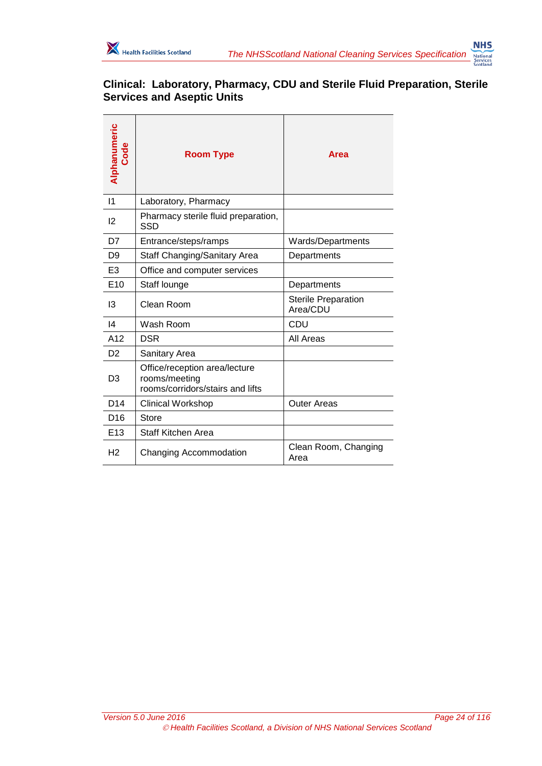#### **Clinical: Laboratory, Pharmacy, CDU and Sterile Fluid Preparation, Sterile Services and Aseptic Units**

| Alphanumeric<br>Code | <b>Room Type</b>                                                                   | Area                                   |
|----------------------|------------------------------------------------------------------------------------|----------------------------------------|
| $\mathsf{I}$         | Laboratory, Pharmacy                                                               |                                        |
| 12                   | Pharmacy sterile fluid preparation,<br>SSD                                         |                                        |
| D <sub>7</sub>       | Entrance/steps/ramps                                                               | Wards/Departments                      |
| D <sub>9</sub>       | <b>Staff Changing/Sanitary Area</b>                                                | Departments                            |
| E <sub>3</sub>       | Office and computer services                                                       |                                        |
| E10                  | Staff lounge                                                                       | Departments                            |
| 13                   | Clean Room                                                                         | <b>Sterile Preparation</b><br>Area/CDU |
| 4                    | Wash Room                                                                          | CDU                                    |
| A12                  | <b>DSR</b>                                                                         | All Areas                              |
| D <sub>2</sub>       | Sanitary Area                                                                      |                                        |
| D <sub>3</sub>       | Office/reception area/lecture<br>rooms/meeting<br>rooms/corridors/stairs and lifts |                                        |
| D <sub>14</sub>      | <b>Clinical Workshop</b>                                                           | <b>Outer Areas</b>                     |
| D <sub>16</sub>      | Store                                                                              |                                        |
| E <sub>13</sub>      | Staff Kitchen Area                                                                 |                                        |
| H <sub>2</sub>       | Changing Accommodation                                                             | Clean Room, Changing<br>Area           |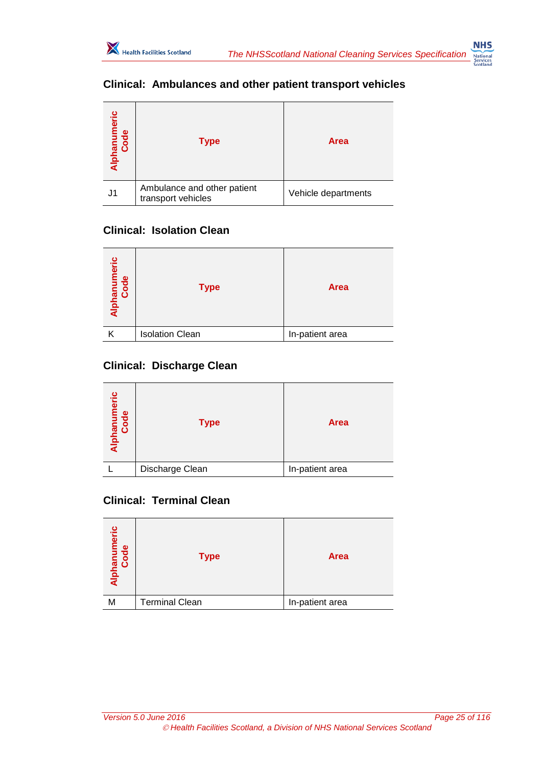### **Clinical: Ambulances and other patient transport vehicles**

| Alphanumeric<br>Code | <b>Type</b>                                       | Area                |
|----------------------|---------------------------------------------------|---------------------|
| J <sub>1</sub>       | Ambulance and other patient<br>transport vehicles | Vehicle departments |

### **Clinical: Isolation Clean**

| Alphanumeric<br>Code | <b>Type</b>            | <b>Area</b>     |
|----------------------|------------------------|-----------------|
|                      | <b>Isolation Clean</b> | In-patient area |

### **Clinical: Discharge Clean**

| Alphanumeric<br>Code | <b>Type</b>     | <b>Area</b>     |
|----------------------|-----------------|-----------------|
|                      | Discharge Clean | In-patient area |

### **Clinical: Terminal Clean**

| Alphanumeric<br>Code | <b>Type</b>           | <b>Area</b>     |
|----------------------|-----------------------|-----------------|
| М                    | <b>Terminal Clean</b> | In-patient area |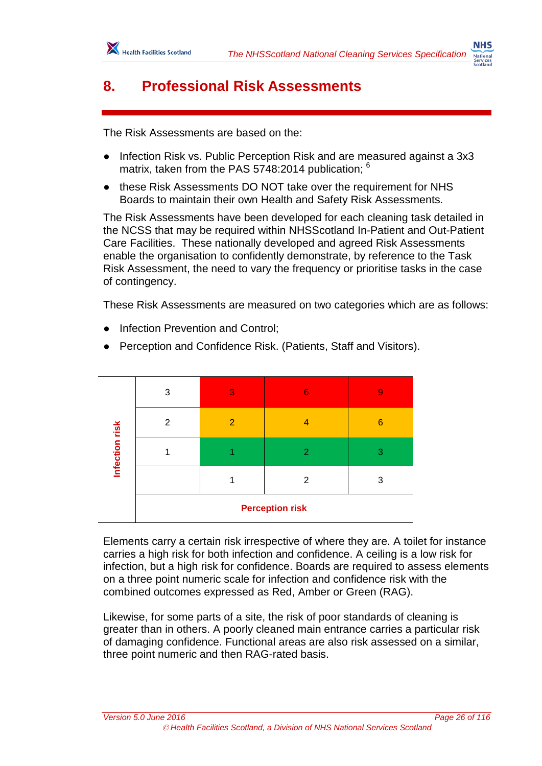### <span id="page-28-0"></span>**8. Professional Risk Assessments**

The Risk Assessments are based on the:

- Infection Risk vs. Public Perception Risk and are measured against a 3x3 matrix, taken from the PAS 5748:2014 publication;  $^6$
- these Risk Assessments DO NOT take over the requirement for NHS Boards to maintain their own Health and Safety Risk Assessments.

The Risk Assessments have been developed for each cleaning task detailed in the NCSS that may be required within NHSScotland In-Patient and Out-Patient Care Facilities. These nationally developed and agreed Risk Assessments enable the organisation to confidently demonstrate, by reference to the Task Risk Assessment, the need to vary the frequency or prioritise tasks in the case of contingency.

These Risk Assessments are measured on two categories which are as follows:

- **Infection Prevention and Control:**
- Perception and Confidence Risk. (Patients, Staff and Visitors).

|                | 3                      | 3 | 6 | 9 |  |  |  |  |  |
|----------------|------------------------|---|---|---|--|--|--|--|--|
|                | 2                      | 2 | 4 | 6 |  |  |  |  |  |
| Infection risk |                        |   | 2 | З |  |  |  |  |  |
|                |                        |   | 2 | 3 |  |  |  |  |  |
|                | <b>Perception risk</b> |   |   |   |  |  |  |  |  |

Elements carry a certain risk irrespective of where they are. A toilet for instance carries a high risk for both infection and confidence. A ceiling is a low risk for infection, but a high risk for confidence. Boards are required to assess elements on a three point numeric scale for infection and confidence risk with the combined outcomes expressed as Red, Amber or Green (RAG).

Likewise, for some parts of a site, the risk of poor standards of cleaning is greater than in others. A poorly cleaned main entrance carries a particular risk of damaging confidence. Functional areas are also risk assessed on a similar, three point numeric and then RAG-rated basis.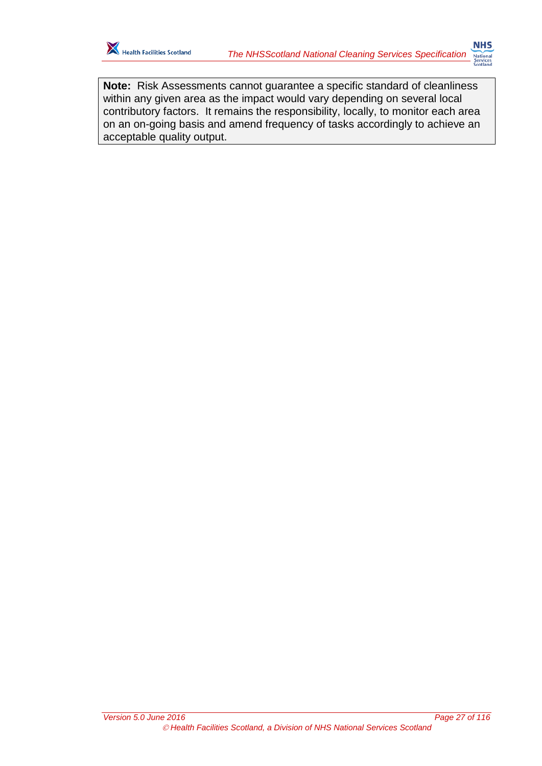

**Note:** Risk Assessments cannot guarantee a specific standard of cleanliness within any given area as the impact would vary depending on several local contributory factors. It remains the responsibility, locally, to monitor each area on an on-going basis and amend frequency of tasks accordingly to achieve an acceptable quality output.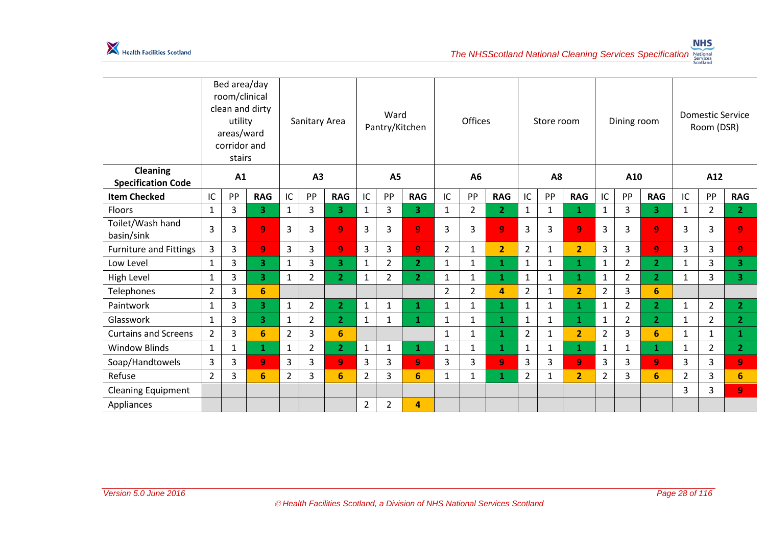

|                                              |                | Bed area/day<br>room/clinical<br>utility<br>areas/ward<br>corridor and | clean and dirty |                |                | Sanitary Area           |                | Ward<br>Pantry/Kitchen |                 |                | Offices        |                |                | Store room   |                |                | Dining room    |                | <b>Domestic Service</b><br>Room (DSR) |                |                 |  |
|----------------------------------------------|----------------|------------------------------------------------------------------------|-----------------|----------------|----------------|-------------------------|----------------|------------------------|-----------------|----------------|----------------|----------------|----------------|--------------|----------------|----------------|----------------|----------------|---------------------------------------|----------------|-----------------|--|
| <b>Cleaning</b><br><b>Specification Code</b> |                | stairs<br>A1                                                           |                 |                | A <sub>3</sub> |                         | A <sub>5</sub> |                        |                 | A6             |                |                | A8             |              |                | A10            |                |                | A12                                   |                |                 |  |
| <b>Item Checked</b>                          | IC             | PP                                                                     | <b>RAG</b>      | IC             | PP             | <b>RAG</b>              | IC             | PP                     | <b>RAG</b>      | IC             | PP             | <b>RAG</b>     | IC             | PP           | <b>RAG</b>     | IC             | PP             | <b>RAG</b>     | IC                                    | PP             | <b>RAG</b>      |  |
| <b>Floors</b>                                | $\mathbf{1}$   | 3                                                                      | 3               | $\mathbf{1}$   | 3              | $\overline{\mathbf{3}}$ | $\mathbf{1}$   | 3                      | 3               | 1              | $\overline{2}$ | $\overline{2}$ | $\mathbf{1}$   | $\mathbf{1}$ | 1              | $\mathbf{1}$   | 3              | 3              | $\mathbf{1}$                          | $\overline{2}$ | 2 <sup>1</sup>  |  |
| Toilet/Wash hand<br>basin/sink               | $\overline{3}$ | 3                                                                      | 9               | 3              | 3              | $\overline{9}$          | 3              | 3                      | 9               | 3              | 3              | $\overline{9}$ | 3              | 3            | 9              | 3              | 3              | $\overline{9}$ | 3                                     | 3              | $\overline{9}$  |  |
| <b>Furniture and Fittings</b>                | 3              | 3                                                                      | 9               | 3              | 3              | 9                       | 3              | 3                      | 9               | $\overline{2}$ | 1              | $\overline{2}$ | $\overline{2}$ | $\mathbf{1}$ | $\overline{2}$ | 3              | 3              | $\overline{9}$ | 3                                     | 3              | $\overline{9}$  |  |
| Low Level                                    | $\mathbf{1}$   | 3                                                                      | 3               | $\mathbf{1}$   | 3              | 3                       | $\mathbf{1}$   | $\overline{2}$         | $\overline{2}$  | $\mathbf{1}$   | $\mathbf{1}$   | $\mathbf{1}$   | $\mathbf{1}$   | $\mathbf{1}$ | 1              | 1              | $\overline{2}$ | $\overline{2}$ | 1                                     | 3              | 3               |  |
| <b>High Level</b>                            | $\mathbf{1}$   | 3                                                                      | 3.              | $\mathbf{1}$   | $\overline{2}$ | $\overline{2}$          | $\mathbf{1}$   | $\overline{2}$         | $\overline{2}$  | 1              | $\mathbf{1}$   | 1              | $\mathbf{1}$   | $\mathbf{1}$ | 1              | $\mathbf{1}$   | $\overline{2}$ | $\overline{2}$ | 1                                     | 3              | 3.              |  |
| Telephones                                   | $\overline{2}$ | $\overline{3}$                                                         | $6\phantom{1}$  |                |                |                         |                |                        |                 | $\overline{2}$ | $\overline{2}$ | 4              | $\overline{2}$ | $\mathbf{1}$ | $\overline{2}$ | $\overline{2}$ | 3              | 6              |                                       |                |                 |  |
| Paintwork                                    | $\mathbf{1}$   | 3                                                                      | 3.              | $\mathbf{1}$   | $\overline{2}$ | $\overline{2}$          | $\mathbf{1}$   | $\mathbf{1}$           | 1               | $\mathbf{1}$   | $\mathbf{1}$   | $\mathbf 1$    | 1              | $\mathbf{1}$ | 1              | 1              | $\overline{2}$ | $\overline{2}$ | $\mathbf{1}$                          | $\overline{2}$ | $\overline{2}$  |  |
| Glasswork                                    | $\mathbf{1}$   | 3                                                                      | 3               | $\mathbf{1}$   | $\overline{2}$ | $\overline{2}$          | $\mathbf{1}$   | $\mathbf{1}$           | $\mathbf{1}$    | 1              | $\mathbf{1}$   | $\mathbf 1$    | $\mathbf{1}$   | $\mathbf{1}$ | 1              | $\mathbf{1}$   | $\overline{2}$ | $\overline{2}$ | $\mathbf{1}$                          | $\overline{2}$ | $\overline{2}$  |  |
| <b>Curtains and Screens</b>                  | $\overline{2}$ | 3                                                                      | $6\phantom{1}$  | $\overline{2}$ | 3              | 6                       |                |                        |                 | $\mathbf{1}$   | $\mathbf{1}$   | $\mathbf{1}$   | $\overline{2}$ | $\mathbf{1}$ | $\overline{2}$ | $\overline{2}$ | 3              | 6              | $\mathbf{1}$                          | $\mathbf{1}$   | $\mathbf{1}$    |  |
| <b>Window Blinds</b>                         | $\mathbf{1}$   | $\mathbf{1}$                                                           | $\mathbf{1}$    | $\mathbf 1$    | $\overline{2}$ | $\overline{2}$          | $\mathbf{1}$   | $\mathbf{1}$           | $\mathbf{1}$    | $\mathbf{1}$   | $\mathbf{1}$   | $\mathbf{1}$   | $\mathbf{1}$   | $\mathbf{1}$ | 1              | $\mathbf{1}$   | $\mathbf{1}$   | $\mathbf{1}$   | $\mathbf{1}$                          | $\overline{2}$ | 2 <sup>1</sup>  |  |
| Soap/Handtowels                              | $\overline{3}$ | 3                                                                      | 9               | 3              | 3              | 9                       | 3              | $\overline{3}$         | 9               | 3              | 3              | $\overline{9}$ | 3              | 3            | 9              | $\overline{3}$ | 3              | 9              | 3                                     | $\overline{3}$ | $\overline{9}$  |  |
| Refuse                                       | $\overline{2}$ | 3                                                                      | $6\phantom{1}$  | $\overline{2}$ | 3              | $6\phantom{1}6$         | $\overline{2}$ | 3                      | $6\phantom{1}6$ | 1              | $\mathbf{1}$   | $\mathbf{1}$   | $\overline{2}$ | $\mathbf{1}$ | $\overline{2}$ | $\overline{2}$ | 3              | 6              | $\overline{2}$                        | 3              | $6\phantom{1}6$ |  |
| <b>Cleaning Equipment</b>                    |                |                                                                        |                 |                |                |                         |                |                        |                 |                |                |                |                |              |                |                |                |                | 3                                     | $\overline{3}$ | 9               |  |
| Appliances                                   |                |                                                                        |                 |                |                |                         | $\overline{2}$ | $\overline{2}$         | 4               |                |                |                |                |              |                |                |                |                |                                       |                |                 |  |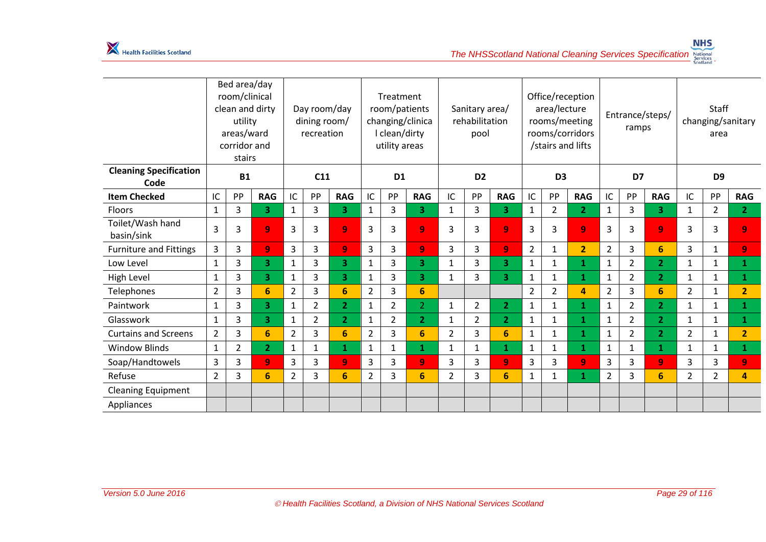

|                                       |                | Bed area/day<br>room/clinical<br>utility<br>areas/ward<br>corridor and<br>stairs | clean and dirty         |                | Day room/day<br>dining room/<br>recreation |                 |                | Treatment<br>room/patients<br>changing/clinica<br>I clean/dirty<br>utility areas |                 |                | Sanitary area/<br>rehabilitation<br>pool |                 |                | area/lecture   | Office/reception<br>rooms/meeting<br>rooms/corridors<br>/stairs and lifts |                | ramps          | Entrance/steps/ | Staff<br>changing/sanitary<br>area |                |                |  |
|---------------------------------------|----------------|----------------------------------------------------------------------------------|-------------------------|----------------|--------------------------------------------|-----------------|----------------|----------------------------------------------------------------------------------|-----------------|----------------|------------------------------------------|-----------------|----------------|----------------|---------------------------------------------------------------------------|----------------|----------------|-----------------|------------------------------------|----------------|----------------|--|
| <b>Cleaning Specification</b><br>Code | <b>B1</b>      |                                                                                  | C11                     |                | D <sub>1</sub>                             |                 |                | D <sub>2</sub>                                                                   |                 |                | D <sub>3</sub>                           |                 |                | D7             |                                                                           |                | D <sub>9</sub> |                 |                                    |                |                |  |
| <b>Item Checked</b>                   | IC             | PP                                                                               | <b>RAG</b>              | IC             | PP                                         | <b>RAG</b>      | IC             | PP                                                                               | <b>RAG</b>      | IC             | PP                                       | <b>RAG</b>      | IC             | PP             | <b>RAG</b>                                                                | IC             | PP             | <b>RAG</b>      | IC                                 | PP             | <b>RAG</b>     |  |
| Floors                                | $\mathbf{1}$   | 3                                                                                | $\overline{\mathbf{3}}$ | $\mathbf{1}$   | 3                                          | 3               | $\mathbf{1}$   | 3                                                                                | 3               | 1              | 3                                        | 3.              | 1              | $\overline{2}$ | $\overline{2}$                                                            | 1              | 3              | 3               | $\mathbf{1}$                       | $\overline{2}$ | 2 <sup>1</sup> |  |
| Toilet/Wash hand<br>basin/sink        | 3              | 3                                                                                | 9                       | 3              | 3                                          | $\overline{9}$  | 3              | 3                                                                                | 9               | 3              | 3                                        | 9               | 3              | 3              | 9                                                                         | 3              | 3              | $\overline{9}$  | 3                                  | 3              | 9              |  |
| <b>Furniture and Fittings</b>         | $\overline{3}$ | 3                                                                                | 9                       | 3              | 3                                          | $\overline{9}$  | $\overline{3}$ | 3                                                                                | 9               | 3              | 3                                        | 9               | $\overline{2}$ | $\mathbf{1}$   | $\overline{2}$                                                            | $\overline{2}$ | 3              | $6\phantom{1}$  | 3                                  | $\mathbf{1}$   | $\overline{9}$ |  |
| Low Level                             | $\mathbf{1}$   | 3                                                                                | 3                       | 1              | 3                                          | 3               | $\mathbf{1}$   | 3                                                                                | 3               | 1              | 3                                        | 3.              | 1              | 1              | $\mathbf{1}$                                                              | 1              | $\overline{2}$ | $\overline{2}$  | $\mathbf{1}$                       | 1              | $\mathbf{1}$   |  |
| High Level                            | $\mathbf{1}$   | 3                                                                                | 3                       | $\mathbf{1}$   | 3                                          | 3               | $\mathbf{1}$   | 3                                                                                | 3               | 1              | 3                                        | 3               | 1              | 1              | 1                                                                         | 1              | $\overline{2}$ | $\overline{2}$  | $\mathbf{1}$                       | $\mathbf{1}$   | 1              |  |
| Telephones                            | $\overline{2}$ | 3                                                                                | $6\phantom{1}$          | $\overline{2}$ | 3                                          | $6\phantom{1}6$ | $\overline{2}$ | 3                                                                                | $6\phantom{1}6$ |                |                                          |                 | $\overline{2}$ | $\overline{2}$ | $\overline{4}$                                                            | $\overline{2}$ | 3              | $6\phantom{1}$  | $\overline{2}$                     | $\mathbf{1}$   | $\overline{2}$ |  |
| Paintwork                             | $\mathbf{1}$   | 3                                                                                | 3                       | 1              | $\overline{2}$                             | $\overline{2}$  | $\mathbf{1}$   | $\overline{2}$                                                                   | $\overline{2}$  | 1              | $\overline{2}$                           | $\overline{2}$  | 1              | 1              | $\mathbf{1}$                                                              | 1              | $\overline{2}$ | $\overline{2}$  | $\mathbf{1}$                       | $\mathbf{1}$   | $\mathbf{1}$   |  |
| Glasswork                             | $\mathbf{1}$   | 3                                                                                | 3                       | 1              | $\overline{2}$                             | $\overline{2}$  | $\mathbf{1}$   | $\overline{2}$                                                                   | $\overline{2}$  | 1              | $\overline{2}$                           | $\overline{2}$  | 1              | 1              | 1                                                                         | 1              | $\overline{2}$ | $\overline{2}$  | $\mathbf{1}$                       | 1              | 1              |  |
| <b>Curtains and Screens</b>           | $\overline{2}$ | 3                                                                                | $6\phantom{1}$          | $\overline{2}$ | 3                                          | 6               | $\overline{2}$ | $\overline{3}$                                                                   | $6\phantom{1}$  | $\overline{2}$ | 3                                        | $6\overline{6}$ | $\mathbf{1}$   | 1              | 1                                                                         | 1              | $\overline{2}$ | $\overline{2}$  | $\overline{2}$                     | $\mathbf{1}$   | $\overline{2}$ |  |
| <b>Window Blinds</b>                  | $\mathbf{1}$   | $\overline{2}$                                                                   | $\overline{2}$          | $\mathbf{1}$   | $\mathbf{1}$                               | 1               | $\mathbf{1}$   | 1                                                                                | 1               | 1              | $\mathbf{1}$                             | $\mathbf{1}$    | 1              | $\mathbf{1}$   | $\mathbf{1}$                                                              | $\mathbf{1}$   | $\mathbf{1}$   | 1               | 1                                  | 1              | $\mathbf{1}$   |  |
| Soap/Handtowels                       | $\mathbf{3}$   | 3                                                                                | 9                       | 3              | 3                                          | $\overline{9}$  | 3              | 3                                                                                | 9               | 3              | 3                                        | 9               | $\overline{3}$ | 3              | 9                                                                         | 3              | 3              | $\overline{9}$  | 3                                  | 3              | 9              |  |
| Refuse                                | $\overline{2}$ | 3                                                                                | 6                       | 2              | 3                                          | 6               | $\overline{2}$ | 3                                                                                | 6               | 2              | 3                                        | 6               | 1              | 1              | 1                                                                         | 2              | 3              | 6               | $\overline{2}$                     | $\overline{2}$ | 4              |  |
| <b>Cleaning Equipment</b>             |                |                                                                                  |                         |                |                                            |                 |                |                                                                                  |                 |                |                                          |                 |                |                |                                                                           |                |                |                 |                                    |                |                |  |
| Appliances                            |                |                                                                                  |                         |                |                                            |                 |                |                                                                                  |                 |                |                                          |                 |                |                |                                                                           |                |                |                 |                                    |                |                |  |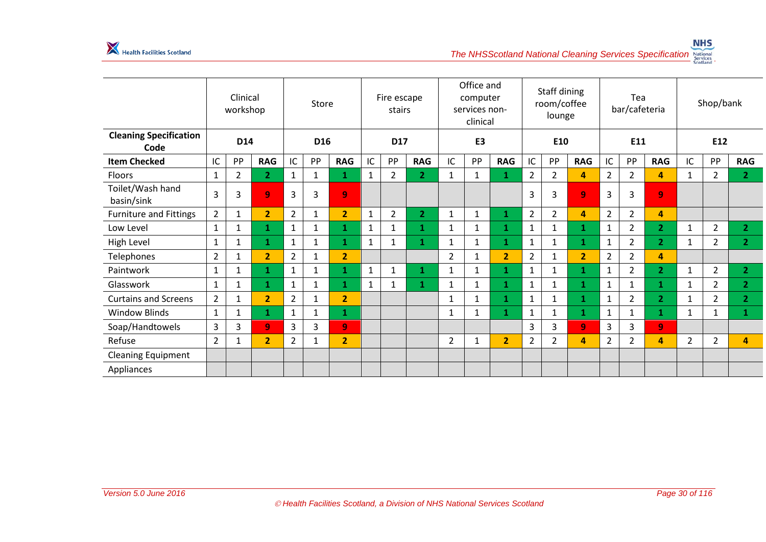

**Example 18 All Seconds Accept Accept Accept Accept Accept Accept Accept Accept Accept Accept Accept Accept Accept Accept Accepted Accepted Accepted Accepted Accepted Accepted Accepted Accepted Accepted Accepted Accepted A** 

|                                       | Clinical<br>workshop |                |                | Store           |              |                | Fire escape<br>stairs |                |                | Office and<br>computer<br>services non-<br>clinical |              |                | Staff dining<br>room/coffee<br>lounge |                |                |                | Tea<br>bar/cafeteria |                | Shop/bank |                |                |
|---------------------------------------|----------------------|----------------|----------------|-----------------|--------------|----------------|-----------------------|----------------|----------------|-----------------------------------------------------|--------------|----------------|---------------------------------------|----------------|----------------|----------------|----------------------|----------------|-----------|----------------|----------------|
| <b>Cleaning Specification</b><br>Code | D14                  |                |                | D <sub>16</sub> |              |                | D17                   |                |                | E <sub>3</sub>                                      |              |                | E10                                   |                |                |                | E11                  |                | E12       |                |                |
| <b>Item Checked</b>                   | IC                   | PP             | <b>RAG</b>     | IC              | PP           | <b>RAG</b>     | IC                    | PP             | <b>RAG</b>     | IC                                                  | PP           | <b>RAG</b>     | IC                                    | PP             | <b>RAG</b>     | IC             | PP                   | <b>RAG</b>     | IC        | PP             | <b>RAG</b>     |
| <b>Floors</b>                         | $\mathbf{1}$         | $\overline{2}$ | $\overline{2}$ | 1               | 1            | 1              | $\mathbf{1}$          | $\overline{2}$ | $\overline{2}$ | 1                                                   | $\mathbf{1}$ | 1              | $\overline{2}$                        | $\overline{2}$ | 4              | $\overline{2}$ | $\overline{2}$       | 4              | 1         | 2              | $\mathbf{2}$   |
| Toilet/Wash hand<br>basin/sink        | 3                    | 3              | 9              | 3               | 3            | $\overline{9}$ |                       |                |                |                                                     |              |                | 3                                     | 3              | $\overline{9}$ | 3              | 3                    | 9              |           |                |                |
| <b>Furniture and Fittings</b>         | $\overline{2}$       | 1              | $\overline{2}$ | $\overline{2}$  | $\mathbf{1}$ | $\overline{2}$ | 1                     | $\overline{2}$ | $\overline{2}$ | 1                                                   | $\mathbf{1}$ | $\mathbf{1}$   | $\overline{2}$                        | $\overline{2}$ | 4              | $\overline{2}$ | $\overline{2}$       | 4              |           |                |                |
| Low Level                             | $\mathbf{1}$         | $\mathbf{1}$   | 1              | 1               | $\mathbf{1}$ | 1              | $\mathbf{1}$          | 1              | $\mathbf{1}$   | 1                                                   | $\mathbf{1}$ | 1              | 1                                     | 1              | 1              | $\mathbf{1}$   | $\overline{2}$       | $\overline{2}$ | 1         | $\overline{2}$ | 2 <sup>1</sup> |
| High Level                            | $\mathbf{1}$         | 1              | 1              | 1               | 1            | 1              | $\mathbf{1}$          | $\mathbf{1}$   | 1              | 1                                                   | $\mathbf 1$  | 1              | 1                                     | 1              | 1              | $\mathbf 1$    | $\overline{2}$       | $\overline{2}$ | 1         | $\overline{2}$ | $\overline{2}$ |
| Telephones                            | $\overline{2}$       | 1              | $\overline{2}$ | $\overline{2}$  | 1            | $\overline{2}$ |                       |                |                | $\overline{2}$                                      | $\mathbf{1}$ | $\overline{2}$ | $\overline{2}$                        | 1              | $\overline{2}$ | $\overline{2}$ | $\overline{2}$       | 4              |           |                |                |
| Paintwork                             | $\mathbf{1}$         | 1              | 1              | 1               | 1            | $\mathbf{1}$   | $\mathbf{1}$          | $\mathbf{1}$   | $\mathbf{1}$   | 1                                                   | $\mathbf{1}$ | $\mathbf{1}$   | 1                                     | $\mathbf{1}$   | 1              | $\mathbf{1}$   | $\overline{2}$       | $\overline{2}$ | 1         | $\overline{2}$ | $\overline{2}$ |
| Glasswork                             | $\mathbf{1}$         | $\mathbf{1}$   | 1              | 1               | $\mathbf{1}$ | $\mathbf{1}$   | $\mathbf{1}$          | $\mathbf{1}$   | $\mathbf{1}$   | $\mathbf 1$                                         | $\mathbf{1}$ | 1              | $\mathbf{1}$                          | $\mathbf{1}$   | 1              | $\mathbf{1}$   | 1                    | 1              | 1         | $\overline{2}$ | $\overline{2}$ |
| <b>Curtains and Screens</b>           | $\overline{2}$       | 1              | $\overline{2}$ | 2               | 1            | $\overline{2}$ |                       |                |                | $\mathbf{1}$                                        | $\mathbf{1}$ | $\mathbf{1}$   | 1                                     | 1              | 1              | $\mathbf 1$    | $\overline{2}$       | $\overline{2}$ | 1         | $\overline{2}$ | $\overline{2}$ |
| <b>Window Blinds</b>                  | $\mathbf{1}$         | 1              | 1              | 1               | 1            | 1              |                       |                |                | 1                                                   | $\mathbf{1}$ | 1              | 1                                     | 1              | 1              | $\mathbf{1}$   | 1                    | 1              | 1         | 1              | 1              |
| Soap/Handtowels                       | 3                    | 3              | $\overline{9}$ | 3               | 3            | $\overline{9}$ |                       |                |                |                                                     |              |                | 3                                     | 3              | 9              | 3              | 3                    | 9              |           |                |                |
| Refuse                                | $\overline{2}$       | $\mathbf{1}$   | $\overline{2}$ | $\overline{2}$  | 1            | $\overline{2}$ |                       |                |                | $\overline{2}$                                      | $\mathbf{1}$ | $\overline{2}$ | $\overline{2}$                        | $\overline{2}$ | 4              | $\overline{2}$ | $\overline{2}$       | 4              | 2         | $\overline{2}$ | 4              |
| <b>Cleaning Equipment</b>             |                      |                |                |                 |              |                |                       |                |                |                                                     |              |                |                                       |                |                |                |                      |                |           |                |                |
| Appliances                            |                      |                |                |                 |              |                |                       |                |                |                                                     |              |                |                                       |                |                |                |                      |                |           |                |                |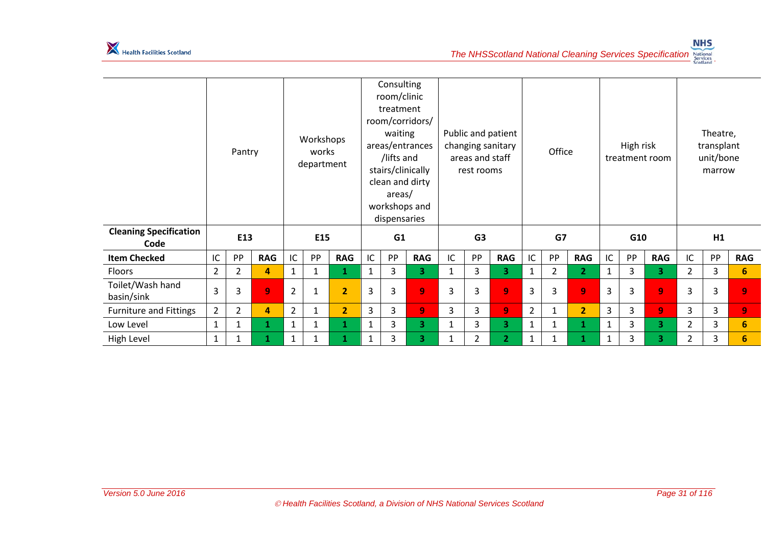**NHS The NHSScotland National Cleaning Services Specification** National **The NHSScotland National Cleaning Services Specification**<br>Services Specification

|                                       |                | Pantry         |                | Workshops<br>works<br>department |              |                | Consulting<br>room/clinic<br>treatment<br>room/corridors/<br>waiting<br>areas/entrances<br>/lifts and<br>stairs/clinically<br>clean and dirty<br>areas/<br>workshops and<br>dispensaries |    |                | Public and patient<br>changing sanitary<br>areas and staff<br>rest rooms |                |                |                | Office         |                |              | High risk | treatment room | Theatre,<br>transplant<br>unit/bone<br>marrow |    |                |
|---------------------------------------|----------------|----------------|----------------|----------------------------------|--------------|----------------|------------------------------------------------------------------------------------------------------------------------------------------------------------------------------------------|----|----------------|--------------------------------------------------------------------------|----------------|----------------|----------------|----------------|----------------|--------------|-----------|----------------|-----------------------------------------------|----|----------------|
| <b>Cleaning Specification</b><br>Code | E13            |                |                | E15                              |              | G <sub>1</sub> |                                                                                                                                                                                          |    | G <sub>3</sub> |                                                                          |                | G7             |                |                |                | G10          |           | H1             |                                               |    |                |
| <b>Item Checked</b>                   | IC.            | PP             | <b>RAG</b>     | IC                               | PP           | <b>RAG</b>     | IC                                                                                                                                                                                       | PP | <b>RAG</b>     | IC.                                                                      | PP             | <b>RAG</b>     | IC             | PP             | <b>RAG</b>     | IC.          | PP        | <b>RAG</b>     | IC.                                           | PP | <b>RAG</b>     |
| Floors                                | $\overline{2}$ | 2              | $\overline{4}$ | 1                                | 1            | 1              | 1                                                                                                                                                                                        | 3  | 3              | 1                                                                        | 3              | 3              | 1              | $\overline{2}$ | 2 <sup>1</sup> | 1            | 3         | $\mathbf{3}$   | $\overline{2}$                                | 3  | 6              |
| Toilet/Wash hand<br>basin/sink        | 3              | 3              | 9              | $\overline{2}$                   | $\mathbf{1}$ | $\overline{2}$ | 3                                                                                                                                                                                        | 3  | $\overline{9}$ | 3                                                                        | 3              | 9              | 3              | 3              | 9              | 3            | 3         | 9              | 3                                             | 3  | 9              |
| <b>Furniture and Fittings</b>         | $\overline{2}$ | $\overline{2}$ | 4              | $\overline{2}$                   | $\mathbf{1}$ | $\overline{2}$ | 3                                                                                                                                                                                        | 3  | $\overline{9}$ | 3                                                                        | 3              | $\overline{9}$ | $\overline{2}$ | 1              | $\overline{2}$ | 3            | 3         | $\overline{9}$ | 3                                             | 3  | $\overline{9}$ |
| Low Level                             |                | 1              | 1              |                                  | 1            | 1              | 1                                                                                                                                                                                        | 3  | 3              | 1                                                                        | 3              | 3              | 1              |                | 1              | $\mathbf{1}$ | 3         | 3              | $\overline{2}$                                | 3  | 6              |
| <b>High Level</b>                     |                |                |                | $\mathbf 1$                      | 1            |                | 1                                                                                                                                                                                        | 3  | 3              | 1                                                                        | $\overline{2}$ | $\overline{2}$ | 1              |                |                | $\mathbf{1}$ | 3         | 3.             | 2                                             | 3  | 6              |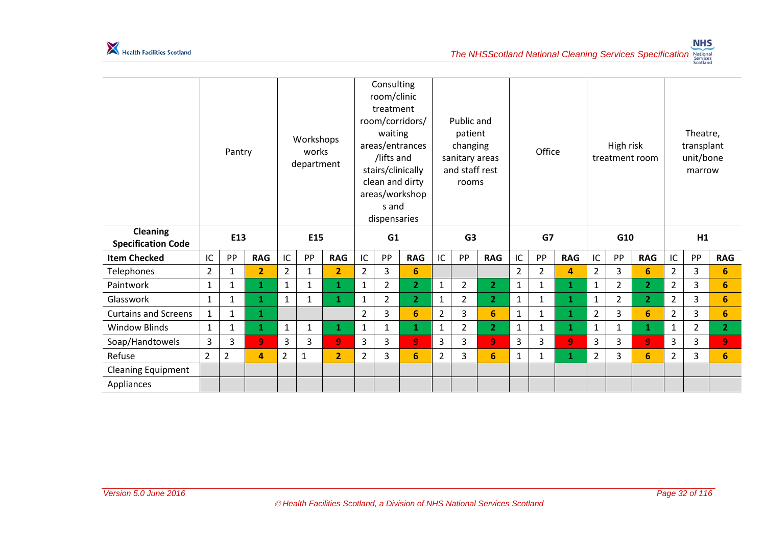**NHS Exercise Scotland**<br> **The NHSScotland National Cleaning Services Specification**<br> **Exercises**<br>
Services Specification

|                                              |                | Pantry       |                |                | Workshops<br>works<br>department |                | Consulting     | room/clinic<br>treatment<br>room/corridors/<br>waiting<br>areas/entrances<br>/lifts and<br>stairs/clinically<br>clean and dirty<br>areas/workshop<br>s and<br>dispensaries |                |                | Public and<br>patient<br>changing<br>sanitary areas<br>and staff rest<br>rooms |                |                | Office         |            |                | High risk      | treatment room | Theatre,<br>transplant<br>unit/bone<br>marrow |                |                |  |
|----------------------------------------------|----------------|--------------|----------------|----------------|----------------------------------|----------------|----------------|----------------------------------------------------------------------------------------------------------------------------------------------------------------------------|----------------|----------------|--------------------------------------------------------------------------------|----------------|----------------|----------------|------------|----------------|----------------|----------------|-----------------------------------------------|----------------|----------------|--|
| <b>Cleaning</b><br><b>Specification Code</b> | E13            |              |                | E15            |                                  |                | G1             |                                                                                                                                                                            |                | G <sub>3</sub> |                                                                                |                | G7             |                |            | G10            |                |                | H1                                            |                |                |  |
| <b>Item Checked</b>                          | IC             | PP           | <b>RAG</b>     | IC             | PP                               | <b>RAG</b>     | IC             | PP                                                                                                                                                                         | <b>RAG</b>     | IC             | PP                                                                             | <b>RAG</b>     | IC             | PP             | <b>RAG</b> | IC             | PP             | <b>RAG</b>     | IC.                                           | PP             | <b>RAG</b>     |  |
| Telephones                                   | $\overline{2}$ | 1            | $\overline{2}$ | $\overline{2}$ | 1                                | $\overline{2}$ | 2              | 3                                                                                                                                                                          | 6              |                |                                                                                |                | $\overline{2}$ | $\overline{2}$ | 4          | $\overline{2}$ | 3              | 6              | $\overline{2}$                                | 3              | 6              |  |
| Paintwork                                    | 1              | 1            | 1              | 1              | 1                                | 1              | 1              | $\overline{2}$                                                                                                                                                             | $\overline{2}$ | 1              | $\overline{2}$                                                                 | $\overline{2}$ | 1              | $\mathbf{1}$   | 1          | 1              | $\overline{2}$ | $\overline{2}$ | $\overline{2}$                                | 3              | 6              |  |
| Glasswork                                    | $\mathbf{1}$   | $\mathbf{1}$ | $\mathbf{1}$   | $\mathbf{1}$   | $\mathbf{1}$                     | 1              | $\mathbf{1}$   | $\overline{2}$                                                                                                                                                             | $\overline{2}$ | $\mathbf{1}$   | $\overline{2}$                                                                 | $\overline{2}$ | $\mathbf{1}$   | $\mathbf{1}$   | 1          | $\mathbf{1}$   | $\overline{2}$ | $\overline{2}$ | $\overline{2}$                                | 3              | 6              |  |
| <b>Curtains and Screens</b>                  | $\mathbf{1}$   | $\mathbf{1}$ | 1              |                |                                  |                | $\overline{2}$ | 3                                                                                                                                                                          | $6\phantom{1}$ | $\overline{2}$ | 3                                                                              | $6\phantom{1}$ | $\mathbf{1}$   | $\mathbf{1}$   | 1          | $\overline{2}$ | 3              | $6\phantom{1}$ | $\overline{2}$                                | 3              | 6              |  |
| <b>Window Blinds</b>                         | $\mathbf{1}$   | $\mathbf{1}$ | 1              | $\mathbf{1}$   | $\mathbf{1}$                     | 1              | 1              | 1                                                                                                                                                                          | $\mathbf{1}$   | 1              | $\overline{2}$                                                                 | 2 <sup>1</sup> | 1              | 1              | 1          | 1              | $\mathbf{1}$   | 1              | $\mathbf{1}$                                  | $\overline{2}$ | $\overline{2}$ |  |
| Soap/Handtowels                              | $\overline{3}$ | 3            | 9              | 3              | 3                                | 9              | 3              | 3                                                                                                                                                                          | 9              | 3              | 3                                                                              | 9              | 3              | 3              | 9          | 3              | 3              | 9              | 3                                             | 3              | 9              |  |
| Refuse                                       | $\overline{2}$ | 2            | 4              | $\overline{2}$ | 1                                | $\overline{2}$ | 2              | 3                                                                                                                                                                          | 6              | 2              | 3                                                                              | 6              | 1              | 1              | 1          | $\overline{2}$ | 3              | 6              | $\overline{2}$                                | 3              | 6              |  |
| <b>Cleaning Equipment</b>                    |                |              |                |                |                                  |                |                |                                                                                                                                                                            |                |                |                                                                                |                |                |                |            |                |                |                |                                               |                |                |  |
| Appliances                                   |                |              |                |                |                                  |                |                |                                                                                                                                                                            |                |                |                                                                                |                |                |                |            |                |                |                |                                               |                |                |  |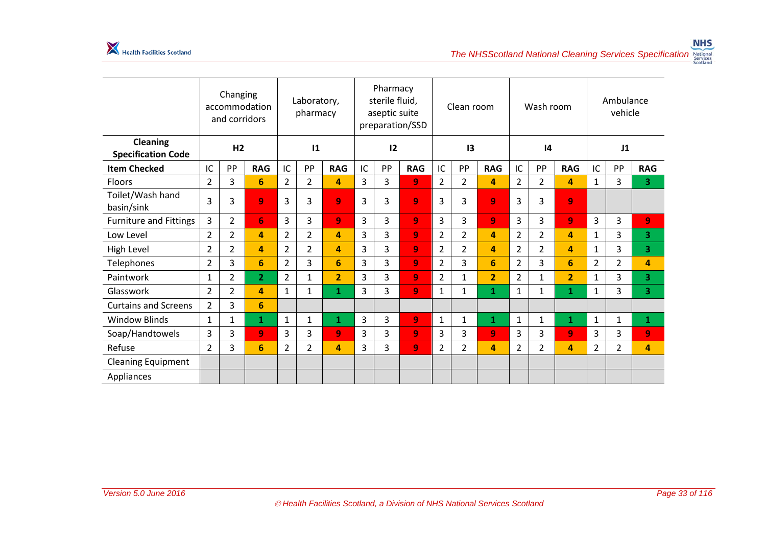|                                              |                | Changing<br>and corridors | accommodation   |                | Laboratory,<br>pharmacy |                |    | Pharmacy<br>sterile fluid,<br>aseptic suite | preparation/SSD |                | Clean room     |                |                | Wash room      |                | Ambulance<br>vehicle |                |            |  |
|----------------------------------------------|----------------|---------------------------|-----------------|----------------|-------------------------|----------------|----|---------------------------------------------|-----------------|----------------|----------------|----------------|----------------|----------------|----------------|----------------------|----------------|------------|--|
| <b>Cleaning</b><br><b>Specification Code</b> | H2             |                           |                 | 1              |                         |                |    | 12                                          |                 |                | 13             |                |                | 4              |                | J1                   |                |            |  |
| <b>Item Checked</b>                          | IC             | PP                        | <b>RAG</b>      | IC             | PP                      | <b>RAG</b>     | IC | PP                                          | <b>RAG</b>      | IC             | PP             | <b>RAG</b>     | IC             | PP             | <b>RAG</b>     | IC                   | PP             | <b>RAG</b> |  |
| <b>Floors</b>                                | 2              | 3                         | $6\phantom{1}6$ | 2              | $\overline{2}$          | 4              | 3  | 3                                           | 9               | $\overline{2}$ | 2              | 4              | $\overline{2}$ | 2              | 4              | 1                    | 3              | 3          |  |
| Toilet/Wash hand<br>basin/sink               | 3              | 3                         | 9               | 3              | 3                       | 9              | 3  | 3                                           | 9               | 3              | 3              | 9              | 3              | 3              | 9              |                      |                |            |  |
| <b>Furniture and Fittings</b>                | 3              | $\overline{2}$            | $6\phantom{1}$  | 3              | 3                       | 9              | 3  | 3                                           | 9               | 3              | 3              | 9              | 3              | 3              | 9              | 3                    | 3              | 9          |  |
| Low Level                                    | $\overline{2}$ | $\overline{2}$            | 4               | $\overline{2}$ | $\overline{2}$          | 4              | 3  | 3                                           | 9               | 2              | $\overline{2}$ | 4              | $\overline{2}$ | $\overline{2}$ | 4              | $\mathbf{1}$         | 3              | 3          |  |
| High Level                                   | $\overline{2}$ | $\overline{2}$            | 4               | $\overline{2}$ | $\overline{2}$          | 4              | 3  | 3                                           | 9               | $\overline{2}$ | $\overline{2}$ | 4              | $\overline{2}$ | $\overline{2}$ | 4              | $\mathbf{1}$         | 3              | 3          |  |
| Telephones                                   | $\overline{2}$ | 3                         | 6               | $\overline{2}$ | 3                       | 6              | 3  | 3                                           | 9               | $\overline{2}$ | 3              | 6              | $\overline{2}$ | 3              | $6\phantom{1}$ | $\overline{2}$       | $\overline{2}$ | 4          |  |
| Paintwork                                    | $\mathbf{1}$   | 2                         | $\overline{2}$  | $\overline{2}$ | 1                       | $\overline{2}$ | 3  | 3                                           | 9               | $\overline{2}$ | 1              | $\overline{2}$ | $\overline{2}$ | $\mathbf{1}$   | $\overline{2}$ | $\mathbf{1}$         | 3              | 3          |  |
| Glasswork                                    | $\overline{2}$ | $\overline{2}$            | 4               | $\mathbf{1}$   | 1                       | 1              | 3  | 3                                           | 9               | $\mathbf{1}$   | 1              | 1              | 1              | $\mathbf{1}$   | $\mathbf{1}$   | 1                    | 3              | 3          |  |
| <b>Curtains and Screens</b>                  | $\overline{2}$ | 3                         | $6\phantom{1}6$ |                |                         |                |    |                                             |                 |                |                |                |                |                |                |                      |                |            |  |
| <b>Window Blinds</b>                         | 1              | 1                         | 1               | 1              | 1                       | 1              | 3  | 3                                           | 9               | $\mathbf{1}$   | 1              | 1              | 1              | 1              | 1              | 1                    | 1              | 1          |  |
| Soap/Handtowels                              | 3              | 3                         | 9               | 3              | 3                       | 9              | 3  | 3                                           | 9               | 3              | 3              | 9              | 3              | 3              | 9              | 3                    | 3              | 9          |  |
| Refuse                                       | $\overline{2}$ | 3                         | 6               | $\overline{2}$ | $\overline{2}$          | 4              | 3  | 3                                           | 9               | $\overline{2}$ | $\overline{2}$ | 4              | $\overline{2}$ | $\overline{2}$ | 4              | $\overline{2}$       | $\overline{2}$ | 4          |  |
| <b>Cleaning Equipment</b>                    |                |                           |                 |                |                         |                |    |                                             |                 |                |                |                |                |                |                |                      |                |            |  |
| Appliances                                   |                |                           |                 |                |                         |                |    |                                             |                 |                |                |                |                |                |                |                      |                |            |  |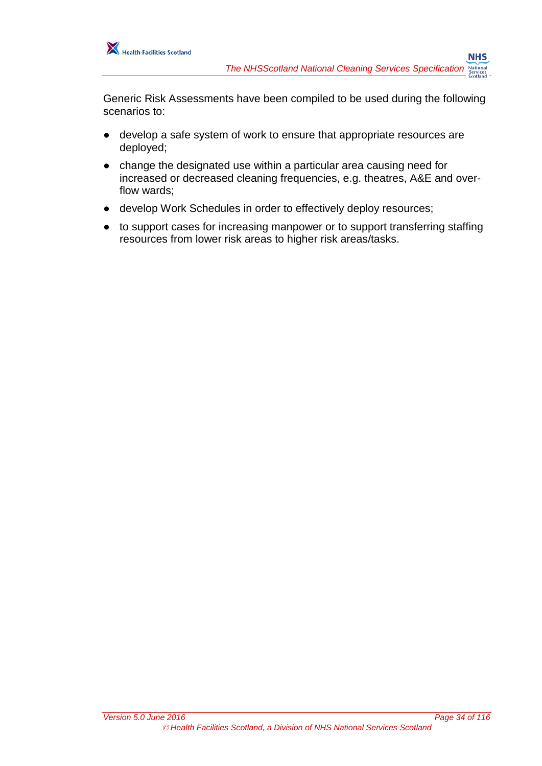

**NHS** 

Generic Risk Assessments have been compiled to be used during the following scenarios to:

- develop a safe system of work to ensure that appropriate resources are deployed;
- change the designated use within a particular area causing need for increased or decreased cleaning frequencies, e.g. theatres, A&E and overflow wards;
- develop Work Schedules in order to effectively deploy resources;
- to support cases for increasing manpower or to support transferring staffing resources from lower risk areas to higher risk areas/tasks.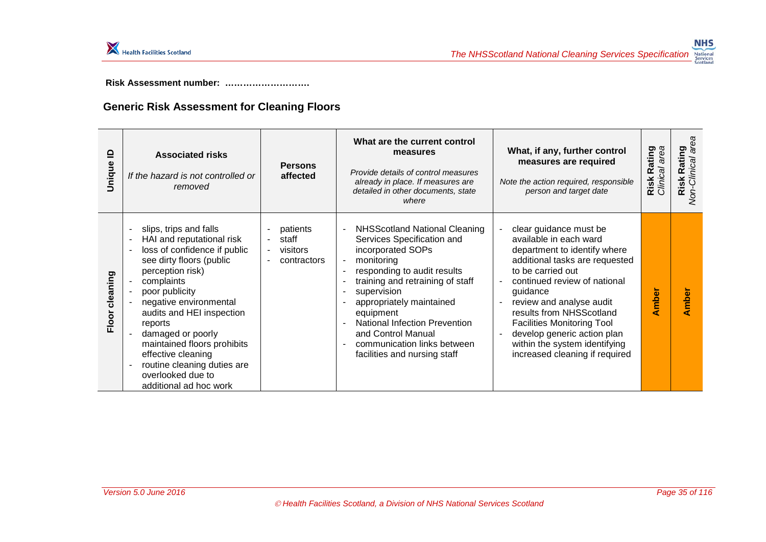

## **Generic Risk Assessment for Cleaning Floors**

| ≘<br>Unique       | <b>Associated risks</b><br>If the hazard is not controlled or<br>removed                                                                                                                                                                                                                                                                                                                                                        | <b>Persons</b><br>affected                   | What are the current control<br>measures<br>Provide details of control measures<br>already in place. If measures are<br>detailed in other documents, state<br>where                                                                                                                                                                                                                                                                                | What, if any, further control<br>measures are required<br>Note the action required, responsible<br>person and target date                                                                                                                                                                                                                                                                    | <b>Risk Rating</b><br>Clinical area | area<br>Risk Rating<br><b>Non-Clinical</b> |
|-------------------|---------------------------------------------------------------------------------------------------------------------------------------------------------------------------------------------------------------------------------------------------------------------------------------------------------------------------------------------------------------------------------------------------------------------------------|----------------------------------------------|----------------------------------------------------------------------------------------------------------------------------------------------------------------------------------------------------------------------------------------------------------------------------------------------------------------------------------------------------------------------------------------------------------------------------------------------------|----------------------------------------------------------------------------------------------------------------------------------------------------------------------------------------------------------------------------------------------------------------------------------------------------------------------------------------------------------------------------------------------|-------------------------------------|--------------------------------------------|
| cleaning<br>Floor | slips, trips and falls<br>$\overline{\phantom{a}}$<br>HAI and reputational risk<br>loss of confidence if public<br>٠.<br>see dirty floors (public<br>perception risk)<br>complaints<br>poor publicity<br>negative environmental<br>audits and HEI inspection<br>reports<br>damaged or poorly<br>maintained floors prohibits<br>effective cleaning<br>routine cleaning duties are<br>overlooked due to<br>additional ad hoc work | patients<br>staff<br>visitors<br>contractors | <b>NHSScotland National Cleaning</b><br>$\blacksquare$<br>Services Specification and<br>incorporated SOPs<br>monitoring<br>$\overline{\phantom{a}}$<br>responding to audit results<br>$\blacksquare$<br>training and retraining of staff<br>supervision<br>$\overline{\phantom{a}}$<br>appropriately maintained<br>equipment<br>National Infection Prevention<br>and Control Manual<br>communication links between<br>facilities and nursing staff | clear guidance must be<br>available in each ward<br>department to identify where<br>additional tasks are requested<br>to be carried out<br>continued review of national<br>guidance<br>review and analyse audit<br>$\sim$<br>results from NHSScotland<br><b>Facilities Monitoring Tool</b><br>develop generic action plan<br>within the system identifying<br>increased cleaning if required | <b>Amber</b>                        | Amber                                      |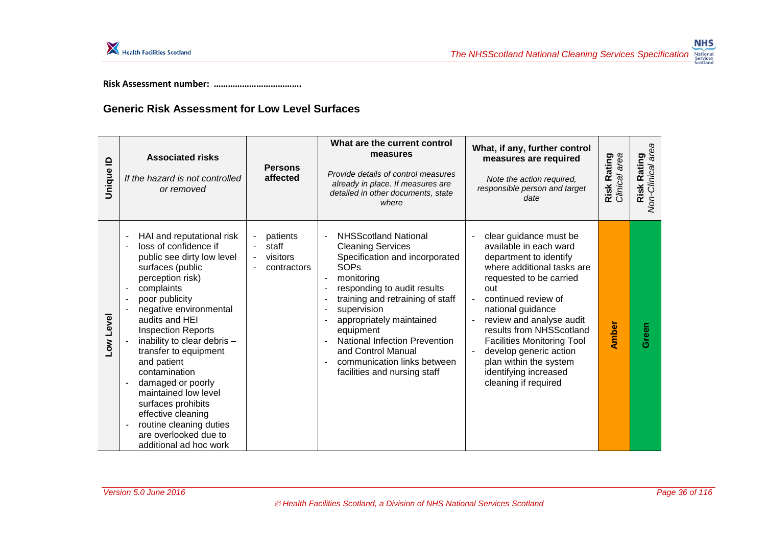

### **Generic Risk Assessment for Low Level Surfaces**

| ≘<br>Unique | <b>Associated risks</b><br>If the hazard is not controlled<br>or removed                                                                                                                                                                                                                                                                                                                                                                                                                                                                                                                                              | <b>Persons</b><br>affected                             | What are the current control<br>measures<br>Provide details of control measures<br>already in place. If measures are<br>detailed in other documents, state<br>where                                                                                                                                                                                                                              | What, if any, further control<br>measures are required<br>Note the action required,<br>responsible person and target<br>date                                                                                                                                                                                                                                                             | Clinical area<br><b>Risk Rating</b> | Non-Clinical area<br>Risk Rating |
|-------------|-----------------------------------------------------------------------------------------------------------------------------------------------------------------------------------------------------------------------------------------------------------------------------------------------------------------------------------------------------------------------------------------------------------------------------------------------------------------------------------------------------------------------------------------------------------------------------------------------------------------------|--------------------------------------------------------|--------------------------------------------------------------------------------------------------------------------------------------------------------------------------------------------------------------------------------------------------------------------------------------------------------------------------------------------------------------------------------------------------|------------------------------------------------------------------------------------------------------------------------------------------------------------------------------------------------------------------------------------------------------------------------------------------------------------------------------------------------------------------------------------------|-------------------------------------|----------------------------------|
| Level<br>No | HAI and reputational risk<br>$\overline{\phantom{a}}$<br>loss of confidence if<br>$\overline{\phantom{a}}$<br>public see dirty low level<br>surfaces (public<br>perception risk)<br>complaints<br>$\blacksquare$<br>poor publicity<br>٠<br>negative environmental<br>٠<br>audits and HEI<br><b>Inspection Reports</b><br>inability to clear debris -<br>transfer to equipment<br>and patient<br>contamination<br>damaged or poorly<br>٠<br>maintained low level<br>surfaces prohibits<br>effective cleaning<br>routine cleaning duties<br>$\overline{\phantom{a}}$<br>are overlooked due to<br>additional ad hoc work | patients<br>٠<br>staff<br>visitors<br>contractors<br>٠ | <b>NHSScotland National</b><br><b>Cleaning Services</b><br>Specification and incorporated<br><b>SOPs</b><br>monitoring<br>$\blacksquare$<br>responding to audit results<br>training and retraining of staff<br>supervision<br>appropriately maintained<br>equipment<br><b>National Infection Prevention</b><br>and Control Manual<br>communication links between<br>facilities and nursing staff | clear guidance must be<br>available in each ward<br>department to identify<br>where additional tasks are<br>requested to be carried<br>out<br>continued review of<br>national guidance<br>review and analyse audit<br>results from NHSScotland<br><b>Facilities Monitoring Tool</b><br>develop generic action<br>plan within the system<br>identifying increased<br>cleaning if required | Amber                               | Green                            |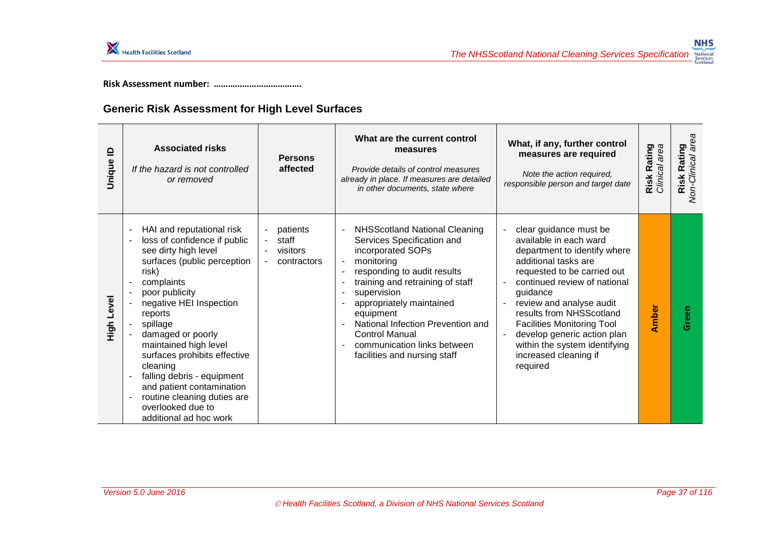

# **Generic Risk Assessment for High Level Surfaces**

| $\mathbf{\underline{a}}$<br>Unique | <b>Associated risks</b><br>If the hazard is not controlled<br>or removed                                                                                                                                                                                                                                                                                                                                                                                                   | <b>Persons</b><br>affected                        | What are the current control<br>measures<br>Provide details of control measures<br>already in place. If measures are detailed<br>in other documents, state where                                                                                                                                                                                                                | What, if any, further control<br>measures are required<br>Note the action required,<br>responsible person and target date                                                                                                                                                                                                                                                                               | <b>Risk Rating</b><br>Clinical area | area<br><b>Risk Rating</b><br>Non-Clinical are |
|------------------------------------|----------------------------------------------------------------------------------------------------------------------------------------------------------------------------------------------------------------------------------------------------------------------------------------------------------------------------------------------------------------------------------------------------------------------------------------------------------------------------|---------------------------------------------------|---------------------------------------------------------------------------------------------------------------------------------------------------------------------------------------------------------------------------------------------------------------------------------------------------------------------------------------------------------------------------------|---------------------------------------------------------------------------------------------------------------------------------------------------------------------------------------------------------------------------------------------------------------------------------------------------------------------------------------------------------------------------------------------------------|-------------------------------------|------------------------------------------------|
| Level<br>High I                    | HAI and reputational risk<br>$\overline{\phantom{a}}$<br>loss of confidence if public<br>see dirty high level<br>surfaces (public perception<br>risk)<br>complaints<br>poor publicity<br>negative HEI Inspection<br>reports<br>spillage<br>damaged or poorly<br>maintained high level<br>surfaces prohibits effective<br>cleaning<br>falling debris - equipment<br>and patient contamination<br>routine cleaning duties are<br>overlooked due to<br>additional ad hoc work | patients<br>staff<br>visitors<br>contractors<br>۰ | <b>NHSScotland National Cleaning</b><br>Services Specification and<br>incorporated SOPs<br>monitoring<br>$\blacksquare$<br>responding to audit results<br>training and retraining of staff<br>supervision<br>appropriately maintained<br>equipment<br>National Infection Prevention and<br><b>Control Manual</b><br>communication links between<br>facilities and nursing staff | clear guidance must be<br>available in each ward<br>department to identify where<br>additional tasks are<br>requested to be carried out<br>continued review of national<br>$\blacksquare$<br>guidance<br>review and analyse audit<br>results from NHSScotland<br><b>Facilities Monitoring Tool</b><br>develop generic action plan<br>within the system identifying<br>increased cleaning if<br>required | Amber                               | Green                                          |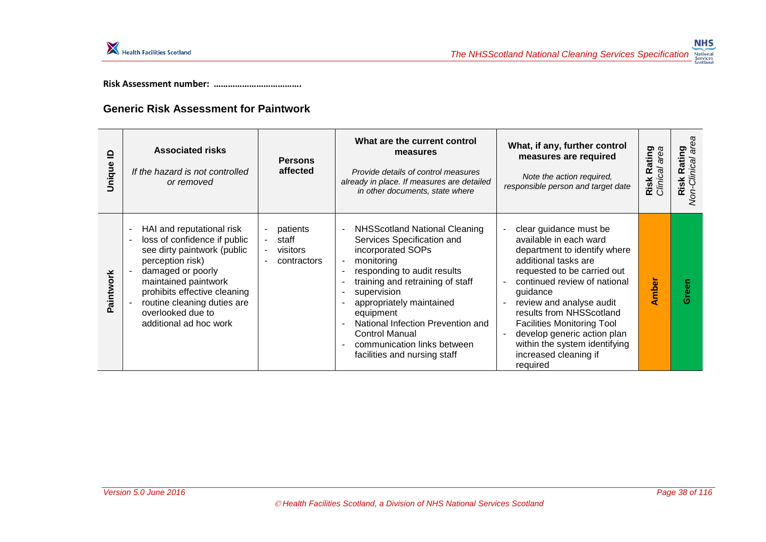

### **Generic Risk Assessment for Paintwork**

| ≘<br>Unique | <b>Associated risks</b><br>If the hazard is not controlled<br>or removed                                                                                                                                                                                                                            | <b>Persons</b><br>affected                                                       | What are the current control<br>measures<br>Provide details of control measures<br>already in place. If measures are detailed<br>in other documents, state where                                                                                                                                                                                                                                                                         | What, if any, further control<br>measures are required<br>Note the action required,<br>responsible person and target date                                                                                                                                                                                                                                                                                                                   | <b>Risk Rating</b><br>Clinical area | area<br>Rating<br>Von-Clinical<br>Risk |
|-------------|-----------------------------------------------------------------------------------------------------------------------------------------------------------------------------------------------------------------------------------------------------------------------------------------------------|----------------------------------------------------------------------------------|------------------------------------------------------------------------------------------------------------------------------------------------------------------------------------------------------------------------------------------------------------------------------------------------------------------------------------------------------------------------------------------------------------------------------------------|---------------------------------------------------------------------------------------------------------------------------------------------------------------------------------------------------------------------------------------------------------------------------------------------------------------------------------------------------------------------------------------------------------------------------------------------|-------------------------------------|----------------------------------------|
| Paintwork   | HAI and reputational risk<br>$\overline{\phantom{a}}$<br>loss of confidence if public<br>see dirty paintwork (public<br>perception risk)<br>damaged or poorly<br>maintained paintwork<br>prohibits effective cleaning<br>routine cleaning duties are<br>overlooked due to<br>additional ad hoc work | patients<br>$\blacksquare$<br>staff<br>$\blacksquare$<br>visitors<br>contractors | NHSScotland National Cleaning<br>$\blacksquare$<br>Services Specification and<br>incorporated SOPs<br>monitoring<br>$\blacksquare$<br>responding to audit results<br>training and retraining of staff<br>supervision<br>$\overline{\phantom{a}}$<br>appropriately maintained<br>equipment<br>National Infection Prevention and<br><b>Control Manual</b><br>communication links between<br>$\blacksquare$<br>facilities and nursing staff | clear guidance must be<br>$\blacksquare$<br>available in each ward<br>department to identify where<br>additional tasks are<br>requested to be carried out<br>continued review of national<br>$\blacksquare$<br>guidance<br>review and analyse audit<br>$\blacksquare$<br>results from NHSScotland<br><b>Facilities Monitoring Tool</b><br>develop generic action plan<br>within the system identifying<br>increased cleaning if<br>required | mber                                | <u>ଟ</u><br>(ŋ                         |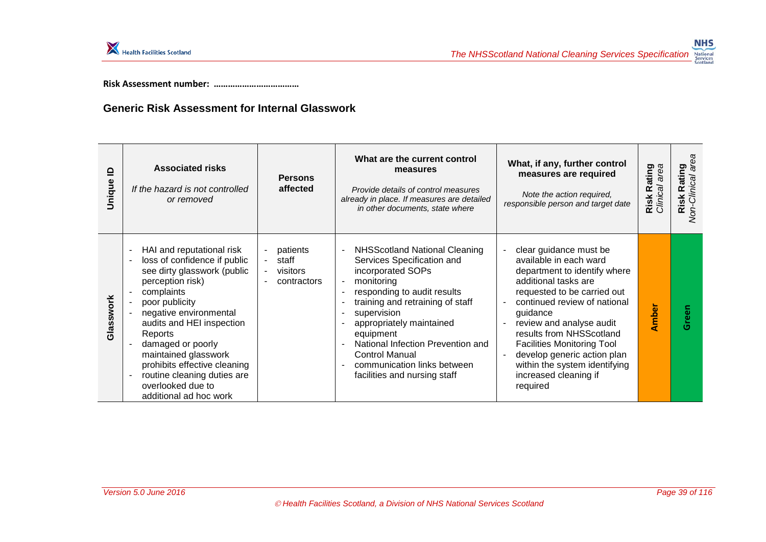

### **Generic Risk Assessment for Internal Glasswork**

| ≘<br>Unique | <b>Associated risks</b><br>If the hazard is not controlled<br>or removed                                                                                                                                                                                                                                                                                                  | <b>Persons</b><br>affected                                     | What are the current control<br>measures<br>Provide details of control measures<br>already in place. If measures are detailed<br>in other documents, state where                                                                                                                                                                                                                                     | What, if any, further control<br>measures are required<br>Note the action required,<br>responsible person and target date                                                                                                                                                                                                                                                                               | <b>Risk Rating</b><br>Clinical area | Rating<br><b>Risk Ratir</b><br>Non-Clinical |
|-------------|---------------------------------------------------------------------------------------------------------------------------------------------------------------------------------------------------------------------------------------------------------------------------------------------------------------------------------------------------------------------------|----------------------------------------------------------------|------------------------------------------------------------------------------------------------------------------------------------------------------------------------------------------------------------------------------------------------------------------------------------------------------------------------------------------------------------------------------------------------------|---------------------------------------------------------------------------------------------------------------------------------------------------------------------------------------------------------------------------------------------------------------------------------------------------------------------------------------------------------------------------------------------------------|-------------------------------------|---------------------------------------------|
| Glasswork   | HAI and reputational risk<br>loss of confidence if public<br>see dirty glasswork (public<br>perception risk)<br>complaints<br>poor publicity<br>negative environmental<br>audits and HEI inspection<br>Reports<br>damaged or poorly<br>maintained glasswork<br>prohibits effective cleaning<br>routine cleaning duties are<br>overlooked due to<br>additional ad hoc work | patients<br>staff<br>visitors<br>contractors<br>$\blacksquare$ | NHSScotland National Cleaning<br>$\overline{\phantom{a}}$<br>Services Specification and<br>incorporated SOPs<br>monitoring<br>$\blacksquare$<br>responding to audit results<br>training and retraining of staff<br>supervision<br>appropriately maintained<br>equipment<br>National Infection Prevention and<br><b>Control Manual</b><br>communication links between<br>facilities and nursing staff | clear guidance must be<br>available in each ward<br>department to identify where<br>additional tasks are<br>requested to be carried out<br>continued review of national<br>$\blacksquare$<br>guidance<br>review and analyse audit<br>results from NHSScotland<br><b>Facilities Monitoring Tool</b><br>develop generic action plan<br>within the system identifying<br>increased cleaning if<br>required | Amber                               | Green                                       |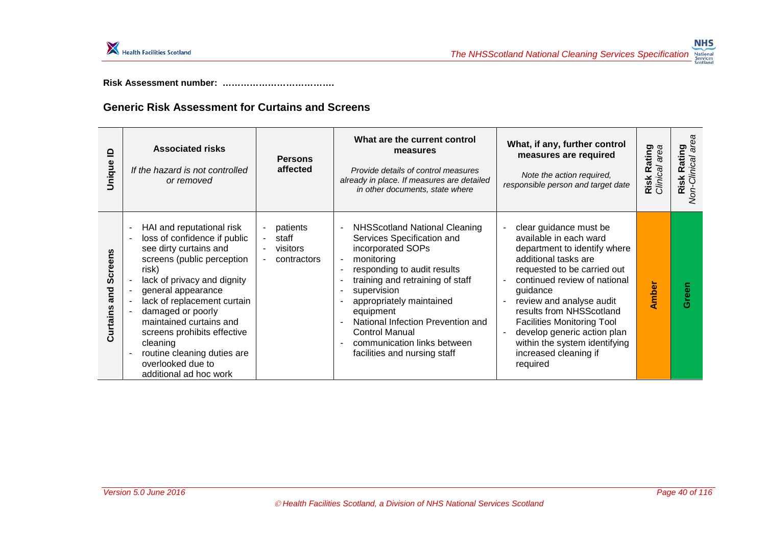

### **Generic Risk Assessment for Curtains and Screens**

| ≘<br>Unique                           | <b>Associated risks</b><br>If the hazard is not controlled<br>or removed                                                                                                                                                                                                                                                                                                                | <b>Persons</b><br>affected                   | What are the current control<br>measures<br>Provide details of control measures<br>already in place. If measures are detailed<br>in other documents, state where                                                                                                                                                                                              | What, if any, further control<br>measures are required<br>Note the action required,<br>responsible person and target date                                                                                                                                                                                                                                                                                                 | Rating<br>cal area<br><b>Clinical</b><br><b>Risk</b> | Rating<br><b>Non-Clinical</b><br>Risk l |
|---------------------------------------|-----------------------------------------------------------------------------------------------------------------------------------------------------------------------------------------------------------------------------------------------------------------------------------------------------------------------------------------------------------------------------------------|----------------------------------------------|---------------------------------------------------------------------------------------------------------------------------------------------------------------------------------------------------------------------------------------------------------------------------------------------------------------------------------------------------------------|---------------------------------------------------------------------------------------------------------------------------------------------------------------------------------------------------------------------------------------------------------------------------------------------------------------------------------------------------------------------------------------------------------------------------|------------------------------------------------------|-----------------------------------------|
| <b>Screens</b><br>and<br>urtains<br>ت | HAI and reputational risk<br>loss of confidence if public<br>see dirty curtains and<br>screens (public perception<br>risk)<br>lack of privacy and dignity<br>general appearance<br>lack of replacement curtain<br>damaged or poorly<br>maintained curtains and<br>screens prohibits effective<br>cleaning<br>routine cleaning duties are<br>overlooked due to<br>additional ad hoc work | patients<br>staff<br>visitors<br>contractors | <b>NHSScotland National Cleaning</b><br>Services Specification and<br>incorporated SOPs<br>monitoring<br>responding to audit results<br>training and retraining of staff<br>supervision<br>appropriately maintained<br>equipment<br>National Infection Prevention and<br><b>Control Manual</b><br>communication links between<br>facilities and nursing staff | clear guidance must be<br>available in each ward<br>department to identify where<br>additional tasks are<br>requested to be carried out<br>continued review of national<br>$\blacksquare$<br>guidance<br>review and analyse audit<br>$\blacksquare$<br>results from NHSScotland<br><b>Facilities Monitoring Tool</b><br>develop generic action plan<br>within the system identifying<br>increased cleaning if<br>required | Amber                                                | reen<br>ō                               |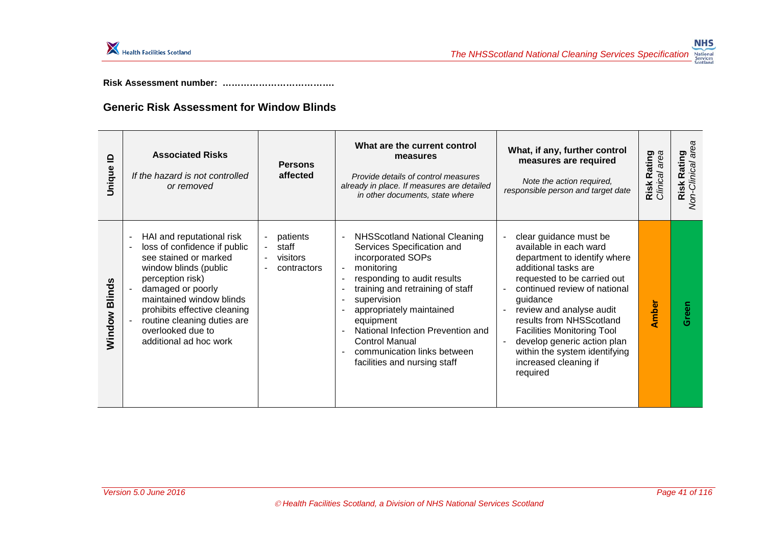

### **Generic Risk Assessment for Window Blinds**

| ≘<br>Unique      | <b>Associated Risks</b><br>If the hazard is not controlled<br>or removed                                                                                                                                                                                                                       | <b>Persons</b><br>affected                   | What are the current control<br>measures<br>Provide details of control measures<br>already in place. If measures are detailed<br>in other documents, state where                                                                                                                                                                                              | What, if any, further control<br>measures are required<br>Note the action required,<br>responsible person and target date                                                                                                                                                                                                                                                                                                 | <b>Risk Rating</b><br>Clinical area | area<br><b>Risk Rating</b><br>Non-Clinical are |
|------------------|------------------------------------------------------------------------------------------------------------------------------------------------------------------------------------------------------------------------------------------------------------------------------------------------|----------------------------------------------|---------------------------------------------------------------------------------------------------------------------------------------------------------------------------------------------------------------------------------------------------------------------------------------------------------------------------------------------------------------|---------------------------------------------------------------------------------------------------------------------------------------------------------------------------------------------------------------------------------------------------------------------------------------------------------------------------------------------------------------------------------------------------------------------------|-------------------------------------|------------------------------------------------|
| Blinds<br>Window | HAI and reputational risk<br>loss of confidence if public<br>see stained or marked<br>window blinds (public<br>perception risk)<br>damaged or poorly<br>maintained window blinds<br>prohibits effective cleaning<br>routine cleaning duties are<br>overlooked due to<br>additional ad hoc work | patients<br>staff<br>visitors<br>contractors | <b>NHSScotland National Cleaning</b><br>Services Specification and<br>incorporated SOPs<br>monitoring<br>responding to audit results<br>training and retraining of staff<br>supervision<br>appropriately maintained<br>equipment<br>National Infection Prevention and<br><b>Control Manual</b><br>communication links between<br>facilities and nursing staff | clear guidance must be<br>available in each ward<br>department to identify where<br>additional tasks are<br>requested to be carried out<br>continued review of national<br>$\blacksquare$<br>guidance<br>review and analyse audit<br>$\blacksquare$<br>results from NHSScotland<br><b>Facilities Monitoring Tool</b><br>develop generic action plan<br>within the system identifying<br>increased cleaning if<br>required | Amber                               | Green                                          |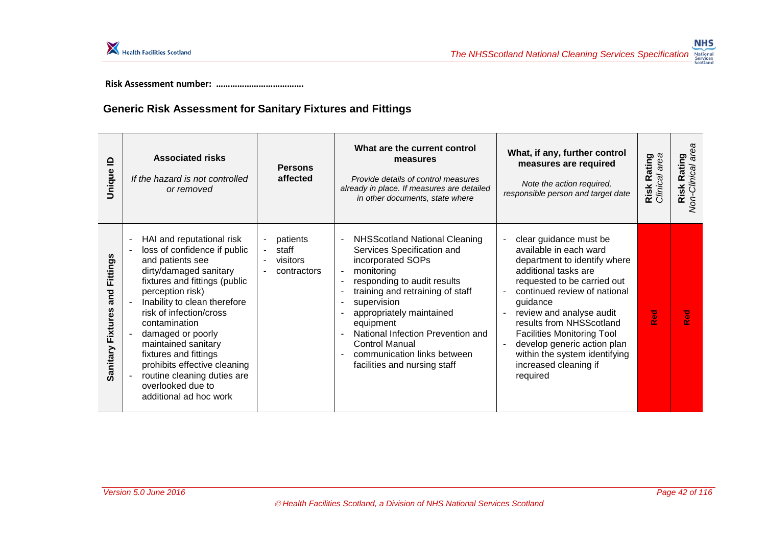

## **Generic Risk Assessment for Sanitary Fixtures and Fittings**

| ≘<br>Unique                                        | <b>Associated risks</b><br>If the hazard is not controlled<br>or removed                                                                                                                                                                                                                                                                                                                                                    | <b>Persons</b><br>affected                   | What are the current control<br>measures<br>Provide details of control measures<br>already in place. If measures are detailed<br>in other documents, state where                                                                                                                                                                                              | What, if any, further control<br>measures are required<br>Note the action required,<br>responsible person and target date                                                                                                                                                                                                                                                                                                 | <b>Risk Rating</b><br>Clinical area | area<br><b>Risk Rating</b><br><b>Non-Clinical</b> |
|----------------------------------------------------|-----------------------------------------------------------------------------------------------------------------------------------------------------------------------------------------------------------------------------------------------------------------------------------------------------------------------------------------------------------------------------------------------------------------------------|----------------------------------------------|---------------------------------------------------------------------------------------------------------------------------------------------------------------------------------------------------------------------------------------------------------------------------------------------------------------------------------------------------------------|---------------------------------------------------------------------------------------------------------------------------------------------------------------------------------------------------------------------------------------------------------------------------------------------------------------------------------------------------------------------------------------------------------------------------|-------------------------------------|---------------------------------------------------|
| <b>Fittings</b><br>and<br><b>Sanitary Fixtures</b> | HAI and reputational risk<br>loss of confidence if public<br>and patients see<br>dirty/damaged sanitary<br>fixtures and fittings (public<br>perception risk)<br>Inability to clean therefore<br>risk of infection/cross<br>contamination<br>damaged or poorly<br>maintained sanitary<br>fixtures and fittings<br>prohibits effective cleaning<br>routine cleaning duties are<br>overlooked due to<br>additional ad hoc work | patients<br>staff<br>visitors<br>contractors | <b>NHSScotland National Cleaning</b><br>Services Specification and<br>incorporated SOPs<br>monitoring<br>responding to audit results<br>training and retraining of staff<br>supervision<br>appropriately maintained<br>equipment<br>National Infection Prevention and<br><b>Control Manual</b><br>communication links between<br>facilities and nursing staff | clear guidance must be<br>$\blacksquare$<br>available in each ward<br>department to identify where<br>additional tasks are<br>requested to be carried out<br>continued review of national<br>$\blacksquare$<br>guidance<br>review and analyse audit<br>results from NHSScotland<br><b>Facilities Monitoring Tool</b><br>develop generic action plan<br>within the system identifying<br>increased cleaning if<br>required | <b>Red</b>                          | Red<br>Kl                                         |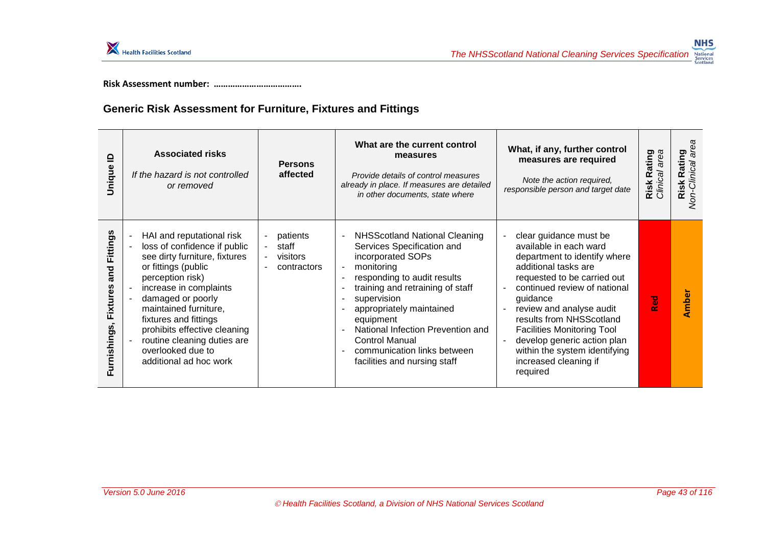

## **Generic Risk Assessment for Furniture, Fixtures and Fittings**

| ≘<br>Unique                                                    | <b>Associated risks</b><br>If the hazard is not controlled<br>or removed                                                                                                                                                                                                                                                                             | <b>Persons</b><br>affected                   | What are the current control<br>measures<br>Provide details of control measures<br>already in place. If measures are detailed<br>in other documents, state where                                                                                                                                                                                                                          | What, if any, further control<br>measures are required<br>Note the action required,<br>responsible person and target date                                                                                                                                                                                                                                                                       | Rating<br>cal area<br>Clinical<br>Risk | area<br>Rating<br>-Clinical<br>Risk I<br>Non-Clin |
|----------------------------------------------------------------|------------------------------------------------------------------------------------------------------------------------------------------------------------------------------------------------------------------------------------------------------------------------------------------------------------------------------------------------------|----------------------------------------------|-------------------------------------------------------------------------------------------------------------------------------------------------------------------------------------------------------------------------------------------------------------------------------------------------------------------------------------------------------------------------------------------|-------------------------------------------------------------------------------------------------------------------------------------------------------------------------------------------------------------------------------------------------------------------------------------------------------------------------------------------------------------------------------------------------|----------------------------------------|---------------------------------------------------|
| <b>Fittings</b><br>and<br><b>Fixtures</b><br>urnishings,<br>L. | HAI and reputational risk<br>loss of confidence if public<br>see dirty furniture, fixtures<br>or fittings (public<br>perception risk)<br>increase in complaints<br>damaged or poorly<br>maintained furniture,<br>fixtures and fittings<br>prohibits effective cleaning<br>routine cleaning duties are<br>overlooked due to<br>additional ad hoc work | patients<br>staff<br>visitors<br>contractors | <b>NHSScotland National Cleaning</b><br>Services Specification and<br>incorporated SOPs<br>monitoring<br>$\overline{\phantom{a}}$<br>responding to audit results<br>training and retraining of staff<br>supervision<br>appropriately maintained<br>equipment<br>National Infection Prevention and<br><b>Control Manual</b><br>communication links between<br>facilities and nursing staff | clear guidance must be<br>available in each ward<br>department to identify where<br>additional tasks are<br>requested to be carried out<br>continued review of national<br>$\sim$<br>guidance<br>review and analyse audit<br>results from NHSScotland<br><b>Facilities Monitoring Tool</b><br>develop generic action plan<br>within the system identifying<br>increased cleaning if<br>required | 공<br>$\alpha$                          | Amber                                             |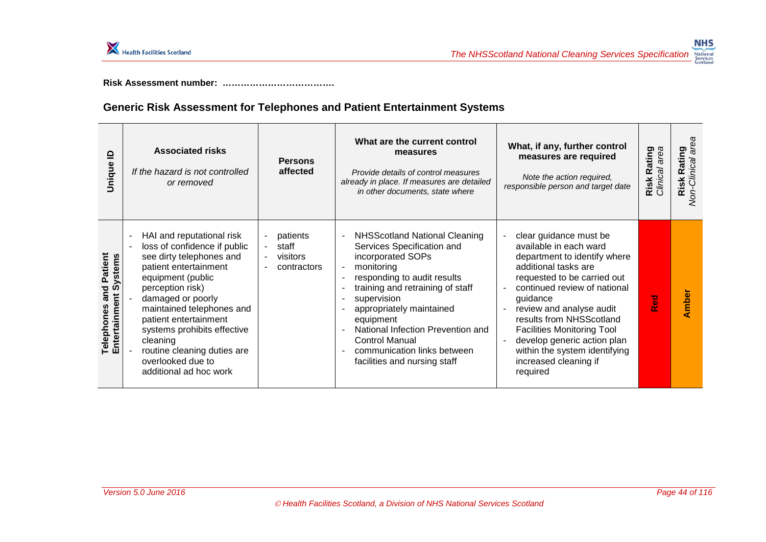

## **Generic Risk Assessment for Telephones and Patient Entertainment Systems**

| ≘<br>Unique                                           | <b>Associated risks</b><br>If the hazard is not controlled<br>or removed                                                                                                                                                                                                                                                                                    | <b>Persons</b><br>affected                                       | What are the current control<br>measures<br>Provide details of control measures<br>already in place. If measures are detailed<br>in other documents, state where                                                                                                                                                                                                                                  | What, if any, further control<br>measures are required<br>Note the action required,<br>responsible person and target date                                                                                                                                                                                                                                                                                                 | Rating<br>cal area<br>Clinical<br>Risk I | area<br>Rating<br><b>Risk Ratin</b><br>Non-Clinical a |
|-------------------------------------------------------|-------------------------------------------------------------------------------------------------------------------------------------------------------------------------------------------------------------------------------------------------------------------------------------------------------------------------------------------------------------|------------------------------------------------------------------|---------------------------------------------------------------------------------------------------------------------------------------------------------------------------------------------------------------------------------------------------------------------------------------------------------------------------------------------------------------------------------------------------|---------------------------------------------------------------------------------------------------------------------------------------------------------------------------------------------------------------------------------------------------------------------------------------------------------------------------------------------------------------------------------------------------------------------------|------------------------------------------|-------------------------------------------------------|
| and Patient<br>Systems<br>Entertainment<br>Telephones | HAI and reputational risk<br>loss of confidence if public<br>see dirty telephones and<br>patient entertainment<br>equipment (public<br>perception risk)<br>damaged or poorly<br>maintained telephones and<br>patient entertainment<br>systems prohibits effective<br>cleaning<br>routine cleaning duties are<br>overlooked due to<br>additional ad hoc work | patients<br>staff<br>$\sim$<br>visitors<br>contractors<br>$\sim$ | <b>NHSScotland National Cleaning</b><br>Services Specification and<br>incorporated SOPs<br>monitoring<br>$\blacksquare$<br>responding to audit results<br>training and retraining of staff<br>supervision<br>appropriately maintained<br>equipment<br>National Infection Prevention and<br>$\blacksquare$<br><b>Control Manual</b><br>communication links between<br>facilities and nursing staff | clear guidance must be<br>available in each ward<br>department to identify where<br>additional tasks are<br>requested to be carried out<br>continued review of national<br>$\blacksquare$<br>guidance<br>review and analyse audit<br>$\blacksquare$<br>results from NHSScotland<br><b>Facilities Monitoring Tool</b><br>develop generic action plan<br>within the system identifying<br>increased cleaning if<br>required | <b>Ped</b>                               | <b>Amber</b>                                          |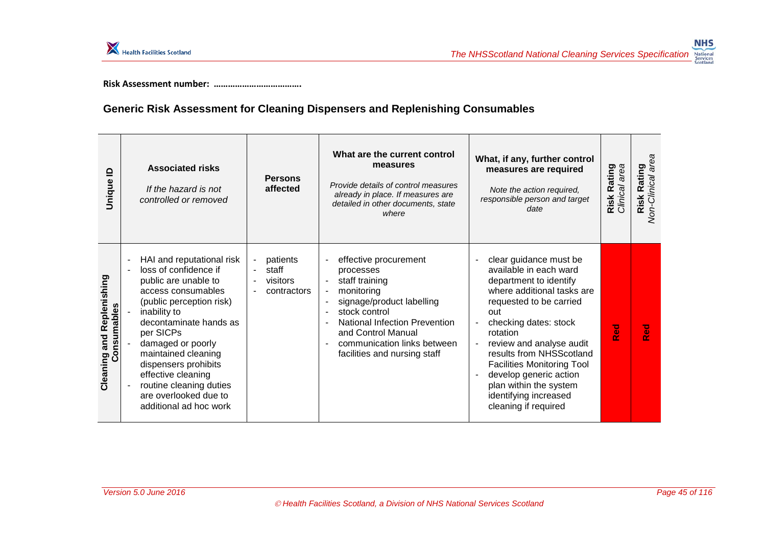

## **Generic Risk Assessment for Cleaning Dispensers and Replenishing Consumables**

| $\mathbf{r}$<br>Unique                         | <b>Associated risks</b><br>If the hazard is not<br>controlled or removed                                                                                                                                                                                                                                                                                    | <b>Persons</b><br>affected                   | What are the current control<br>measures<br>Provide details of control measures<br>already in place. If measures are<br>detailed in other documents, state<br>where                                                                                                        | What, if any, further control<br>measures are required<br>Note the action required,<br>responsible person and target<br>date                                                                                                                                                                                                                                                                                  | Clinical area<br><b>Risk Rating</b> | Non-Clinical area<br>Risk Rating |
|------------------------------------------------|-------------------------------------------------------------------------------------------------------------------------------------------------------------------------------------------------------------------------------------------------------------------------------------------------------------------------------------------------------------|----------------------------------------------|----------------------------------------------------------------------------------------------------------------------------------------------------------------------------------------------------------------------------------------------------------------------------|---------------------------------------------------------------------------------------------------------------------------------------------------------------------------------------------------------------------------------------------------------------------------------------------------------------------------------------------------------------------------------------------------------------|-------------------------------------|----------------------------------|
| Replenishing<br>Consumables<br>and<br>Cleaning | HAI and reputational risk<br>loss of confidence if<br>public are unable to<br>access consumables<br>(public perception risk)<br>inability to<br>decontaminate hands as<br>per SICPs<br>damaged or poorly<br>maintained cleaning<br>dispensers prohibits<br>effective cleaning<br>routine cleaning duties<br>are overlooked due to<br>additional ad hoc work | patients<br>staff<br>visitors<br>contractors | effective procurement<br>processes<br>staff training<br>$\blacksquare$<br>monitoring<br>$\blacksquare$<br>signage/product labelling<br>stock control<br>National Infection Prevention<br>and Control Manual<br>communication links between<br>facilities and nursing staff | clear guidance must be<br>available in each ward<br>department to identify<br>where additional tasks are<br>requested to be carried<br>out<br>checking dates: stock<br>$\blacksquare$<br>rotation<br>review and analyse audit<br>$\sim$<br>results from NHSScotland<br><b>Facilities Monitoring Tool</b><br>develop generic action<br>plan within the system<br>identifying increased<br>cleaning if required | Red                                 | Red                              |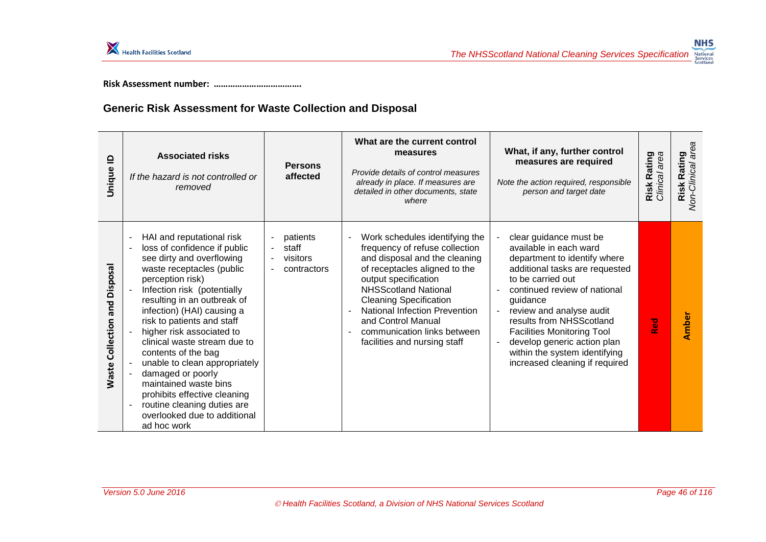

## **Generic Risk Assessment for Waste Collection and Disposal**

| ≘<br>Unique                             | <b>Associated risks</b><br>If the hazard is not controlled or<br>removed                                                                                                                                                                                                                                                                                                                                                                                                                                                                                                       | <b>Persons</b><br>affected                                                       | What are the current control<br>measures<br>Provide details of control measures<br>already in place. If measures are<br>detailed in other documents, state<br>where                                                                                                                                                                                     | What, if any, further control<br>measures are required<br>Note the action required, responsible<br>person and target date                                                                                                                                                                                                                                                          | <b>Risk Rating</b><br>Clinical area | area<br>Risk Rating<br>Non-Clinical |
|-----------------------------------------|--------------------------------------------------------------------------------------------------------------------------------------------------------------------------------------------------------------------------------------------------------------------------------------------------------------------------------------------------------------------------------------------------------------------------------------------------------------------------------------------------------------------------------------------------------------------------------|----------------------------------------------------------------------------------|---------------------------------------------------------------------------------------------------------------------------------------------------------------------------------------------------------------------------------------------------------------------------------------------------------------------------------------------------------|------------------------------------------------------------------------------------------------------------------------------------------------------------------------------------------------------------------------------------------------------------------------------------------------------------------------------------------------------------------------------------|-------------------------------------|-------------------------------------|
| Disposal<br><b>Naste Collection and</b> | HAI and reputational risk<br>$\overline{\phantom{a}}$<br>loss of confidence if public<br>see dirty and overflowing<br>waste receptacles (public<br>perception risk)<br>Infection risk (potentially<br>resulting in an outbreak of<br>infection) (HAI) causing a<br>risk to patients and staff<br>higher risk associated to<br>clinical waste stream due to<br>contents of the bag<br>unable to clean appropriately<br>damaged or poorly<br>maintained waste bins<br>prohibits effective cleaning<br>routine cleaning duties are<br>overlooked due to additional<br>ad hoc work | patients<br>$\blacksquare$<br>staff<br>visitors<br>contractors<br>$\blacksquare$ | Work schedules identifying the<br>frequency of refuse collection<br>and disposal and the cleaning<br>of receptacles aligned to the<br>output specification<br><b>NHSScotland National</b><br><b>Cleaning Specification</b><br><b>National Infection Prevention</b><br>and Control Manual<br>communication links between<br>facilities and nursing staff | clear guidance must be<br>available in each ward<br>department to identify where<br>additional tasks are requested<br>to be carried out<br>continued review of national<br>quidance<br>review and analyse audit<br>results from NHSScotland<br><b>Facilities Monitoring Tool</b><br>develop generic action plan<br>within the system identifying<br>increased cleaning if required | <b>Red</b>                          | <b>Amber</b>                        |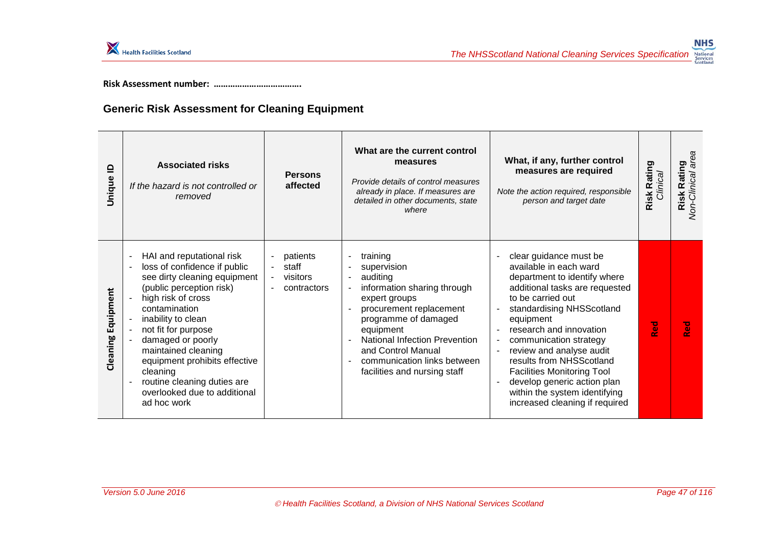

# **Generic Risk Assessment for Cleaning Equipment**

| ≘<br>Unique               | <b>Associated risks</b><br>If the hazard is not controlled or<br>removed                                                                                                                                                                                                                                                                                                         | <b>Persons</b><br>affected                                                                         | What are the current control<br>measures<br>Provide details of control measures<br>already in place. If measures are<br>detailed in other documents, state<br>where                                                                                                              | What, if any, further control<br>measures are required<br>Note the action required, responsible<br>person and target date                                                                                                                                                                                                                                                                                                                                         | Rating<br><b>Clinical</b><br>Risk | area<br>Rating<br><b>Non-Clinical</b><br>Risk |
|---------------------------|----------------------------------------------------------------------------------------------------------------------------------------------------------------------------------------------------------------------------------------------------------------------------------------------------------------------------------------------------------------------------------|----------------------------------------------------------------------------------------------------|----------------------------------------------------------------------------------------------------------------------------------------------------------------------------------------------------------------------------------------------------------------------------------|-------------------------------------------------------------------------------------------------------------------------------------------------------------------------------------------------------------------------------------------------------------------------------------------------------------------------------------------------------------------------------------------------------------------------------------------------------------------|-----------------------------------|-----------------------------------------------|
| <b>Cleaning Equipment</b> | HAI and reputational risk<br>loss of confidence if public<br>see dirty cleaning equipment<br>(public perception risk)<br>high risk of cross<br>contamination<br>inability to clean<br>not fit for purpose<br>damaged or poorly<br>maintained cleaning<br>equipment prohibits effective<br>cleaning<br>routine cleaning duties are<br>overlooked due to additional<br>ad hoc work | patients<br>$\blacksquare$<br>staff<br>$\blacksquare$<br>visitors<br>$\blacksquare$<br>contractors | training<br>supervision<br>auditing<br>information sharing through<br>expert groups<br>procurement replacement<br>programme of damaged<br>equipment<br><b>National Infection Prevention</b><br>and Control Manual<br>communication links between<br>facilities and nursing staff | clear guidance must be<br>available in each ward<br>department to identify where<br>additional tasks are requested<br>to be carried out<br>standardising NHSScotland<br>equipment<br>research and innovation<br>communication strategy<br>$\overline{\phantom{a}}$<br>review and analyse audit<br>results from NHSScotland<br><b>Facilities Monitoring Tool</b><br>develop generic action plan<br>within the system identifying<br>increased cleaning if required | <b>Red</b>                        | <b>Red</b>                                    |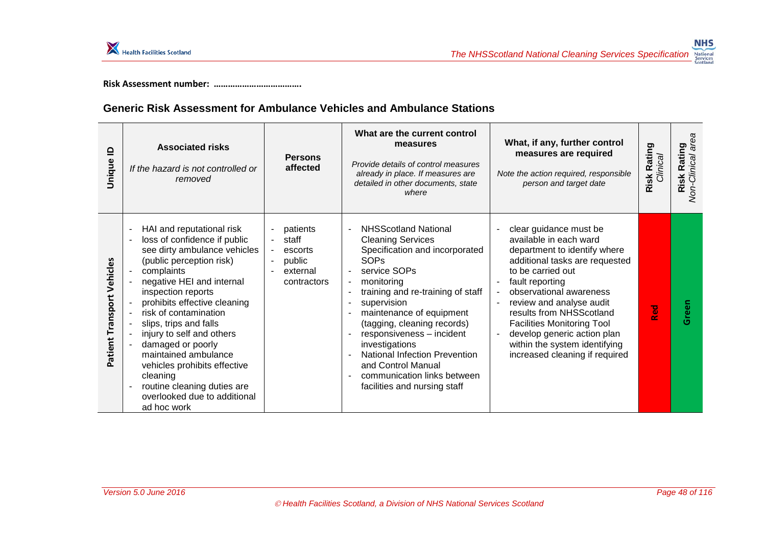

#### **Generic Risk Assessment for Ambulance Vehicles and Ambulance Stations**

| ≘<br>Unique                | <b>Associated risks</b><br>If the hazard is not controlled or<br>removed                                                                                                                                                                                                                                                                                                                                                                                                      | <b>Persons</b><br>affected                                                                                                                          | What are the current control<br>measures<br>Provide details of control measures<br>already in place. If measures are<br>detailed in other documents, state<br>where                                                                                                                                                                                                                                                        | What, if any, further control<br>measures are required<br>Note the action required, responsible<br>person and target date                                                                                                                                                                                                                                                                 | <b>Risk Rating</b><br>Clinical | area<br>Rating<br>Non-Clinical<br>Risk l |
|----------------------------|-------------------------------------------------------------------------------------------------------------------------------------------------------------------------------------------------------------------------------------------------------------------------------------------------------------------------------------------------------------------------------------------------------------------------------------------------------------------------------|-----------------------------------------------------------------------------------------------------------------------------------------------------|----------------------------------------------------------------------------------------------------------------------------------------------------------------------------------------------------------------------------------------------------------------------------------------------------------------------------------------------------------------------------------------------------------------------------|-------------------------------------------------------------------------------------------------------------------------------------------------------------------------------------------------------------------------------------------------------------------------------------------------------------------------------------------------------------------------------------------|--------------------------------|------------------------------------------|
| Patient Transport Vehicles | HAI and reputational risk<br>loss of confidence if public<br>see dirty ambulance vehicles<br>(public perception risk)<br>complaints<br>negative HEI and internal<br>inspection reports<br>prohibits effective cleaning<br>risk of contamination<br>slips, trips and falls<br>injury to self and others<br>damaged or poorly<br>maintained ambulance<br>vehicles prohibits effective<br>cleaning<br>routine cleaning duties are<br>overlooked due to additional<br>ad hoc work | patients<br>$\overline{\phantom{a}}$<br>staff<br>$\blacksquare$<br>escorts<br>$\blacksquare$<br>public<br>$\overline{a}$<br>external<br>contractors | <b>NHSScotland National</b><br><b>Cleaning Services</b><br>Specification and incorporated<br><b>SOPs</b><br>service SOPs<br>monitoring<br>training and re-training of staff<br>supervision<br>maintenance of equipment<br>(tagging, cleaning records)<br>responsiveness - incident<br>investigations<br>National Infection Prevention<br>and Control Manual<br>communication links between<br>facilities and nursing staff | clear guidance must be<br>available in each ward<br>department to identify where<br>additional tasks are requested<br>to be carried out<br>fault reporting<br>observational awareness<br>review and analyse audit<br>÷<br>results from NHSScotland<br><b>Facilities Monitoring Tool</b><br>develop generic action plan<br>within the system identifying<br>increased cleaning if required | <b>Red</b>                     | Green                                    |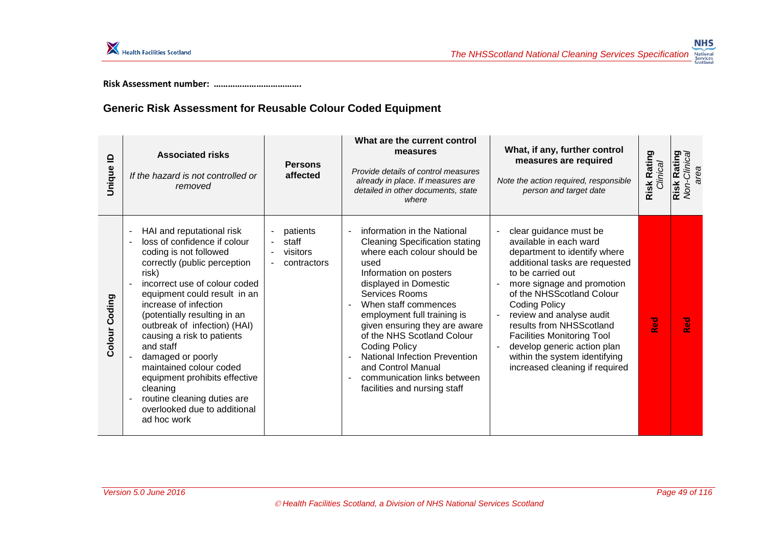

## **Generic Risk Assessment for Reusable Colour Coded Equipment**

| $\mathbf{\underline{0}}$<br><b>Unique</b> | <b>Associated risks</b><br>If the hazard is not controlled or<br>removed                                                                                                                                                                                                                                                                                                                                                                                                                                                                 | <b>Persons</b><br>affected                   | What are the current control<br>measures<br>Provide details of control measures<br>already in place. If measures are<br>detailed in other documents, state<br>where                                                                                                                                                                                                                                                                                         | What, if any, further control<br>measures are required<br>Note the action required, responsible<br>person and target date                                                                                                                                                                                                                                                                                                                             | <b>Risk Rating</b><br><b>Clinical</b> | <b>Risk Rating</b><br>Non-Clinical<br>area |
|-------------------------------------------|------------------------------------------------------------------------------------------------------------------------------------------------------------------------------------------------------------------------------------------------------------------------------------------------------------------------------------------------------------------------------------------------------------------------------------------------------------------------------------------------------------------------------------------|----------------------------------------------|-------------------------------------------------------------------------------------------------------------------------------------------------------------------------------------------------------------------------------------------------------------------------------------------------------------------------------------------------------------------------------------------------------------------------------------------------------------|-------------------------------------------------------------------------------------------------------------------------------------------------------------------------------------------------------------------------------------------------------------------------------------------------------------------------------------------------------------------------------------------------------------------------------------------------------|---------------------------------------|--------------------------------------------|
| <b>Colour Coding</b>                      | HAI and reputational risk<br>$\overline{\phantom{a}}$<br>loss of confidence if colour<br>coding is not followed<br>correctly (public perception<br>risk)<br>incorrect use of colour coded<br>equipment could result in an<br>increase of infection<br>(potentially resulting in an<br>outbreak of infection) (HAI)<br>causing a risk to patients<br>and staff<br>damaged or poorly<br>maintained colour coded<br>equipment prohibits effective<br>cleaning<br>routine cleaning duties are<br>overlooked due to additional<br>ad hoc work | patients<br>staff<br>visitors<br>contractors | information in the National<br><b>Cleaning Specification stating</b><br>where each colour should be<br>used<br>Information on posters<br>displayed in Domestic<br><b>Services Rooms</b><br>When staff commences<br>employment full training is<br>given ensuring they are aware<br>of the NHS Scotland Colour<br><b>Coding Policy</b><br>National Infection Prevention<br>and Control Manual<br>communication links between<br>facilities and nursing staff | clear guidance must be<br>available in each ward<br>department to identify where<br>additional tasks are requested<br>to be carried out<br>more signage and promotion<br>$\overline{\phantom{a}}$<br>of the NHSScotland Colour<br><b>Coding Policy</b><br>review and analyse audit<br>results from NHSScotland<br><b>Facilities Monitoring Tool</b><br>develop generic action plan<br>within the system identifying<br>increased cleaning if required | <b>Red</b>                            | Red                                        |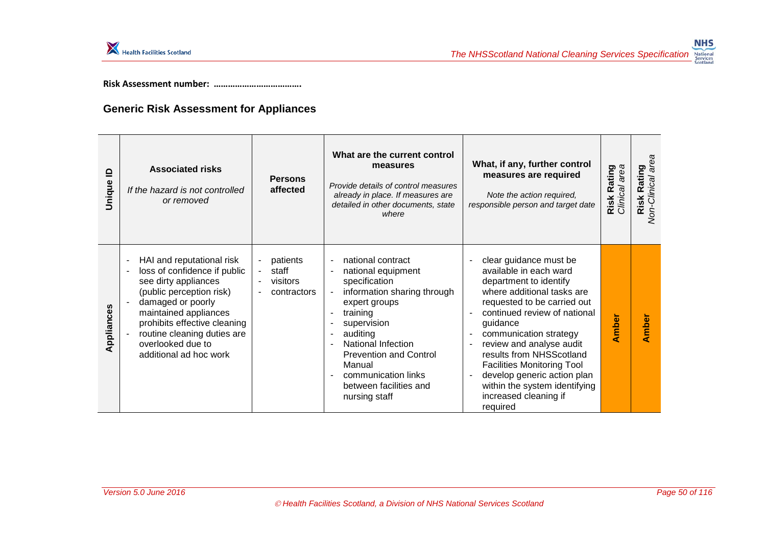

# **Generic Risk Assessment for Appliances**

| $\mathbf{r}$<br>Unique | <b>Associated risks</b><br>If the hazard is not controlled<br>or removed                                                                                                                                                                                                  | <b>Persons</b><br>affected                                                                                                               | What are the current control<br>measures<br>Provide details of control measures<br>already in place. If measures are<br>detailed in other documents, state<br>where                                                                                                                                  | What, if any, further control<br>measures are required<br>Note the action required,<br>responsible person and target date                                                                                                                                                                                                                                                                                                                                               | Clinical area<br><b>Risk Rating</b> | Non-Clinical area<br>Risk Rating |
|------------------------|---------------------------------------------------------------------------------------------------------------------------------------------------------------------------------------------------------------------------------------------------------------------------|------------------------------------------------------------------------------------------------------------------------------------------|------------------------------------------------------------------------------------------------------------------------------------------------------------------------------------------------------------------------------------------------------------------------------------------------------|-------------------------------------------------------------------------------------------------------------------------------------------------------------------------------------------------------------------------------------------------------------------------------------------------------------------------------------------------------------------------------------------------------------------------------------------------------------------------|-------------------------------------|----------------------------------|
| Appliances             | HAI and reputational risk<br>loss of confidence if public<br>see dirty appliances<br>(public perception risk)<br>damaged or poorly<br>maintained appliances<br>prohibits effective cleaning<br>routine cleaning duties are<br>overlooked due to<br>additional ad hoc work | patients<br>$\blacksquare$<br>staff<br>$\overline{\phantom{a}}$<br>visitors<br>$\overline{\phantom{a}}$<br>contractors<br>$\blacksquare$ | national contract<br>national equipment<br>specification<br>information sharing through<br>$\blacksquare$<br>expert groups<br>training<br>supervision<br>auditing<br>National Infection<br><b>Prevention and Control</b><br>Manual<br>communication links<br>between facilities and<br>nursing staff | clear guidance must be<br>available in each ward<br>department to identify<br>where additional tasks are<br>requested to be carried out<br>continued review of national<br>guidance<br>communication strategy<br>review and analyse audit<br>$\overline{\phantom{a}}$<br>results from NHSScotland<br><b>Facilities Monitoring Tool</b><br>develop generic action plan<br>$\overline{\phantom{a}}$<br>within the system identifying<br>increased cleaning if<br>required | <b>Amber</b>                        | Amber                            |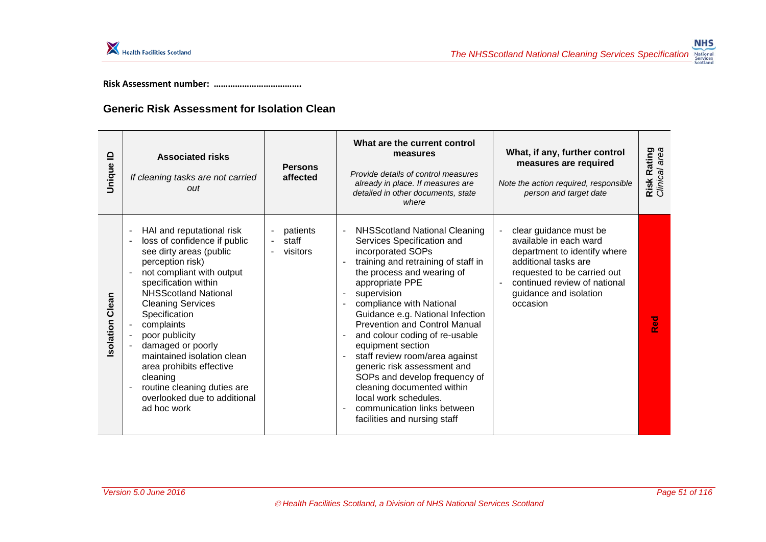

### **Generic Risk Assessment for Isolation Clean**

| ≘<br>Unique    | <b>Associated risks</b><br>If cleaning tasks are not carried<br>out                                                                                                                                                                                                                                                                                                                                                                                                            | <b>Persons</b><br>affected                      | What are the current control<br>measures<br>Provide details of control measures<br>already in place. If measures are<br>detailed in other documents, state<br>where                                                                                                                                                                                                                                                                                                                                                                                                                                       | What, if any, further control<br>measures are required<br>Note the action required, responsible<br>person and target date                                                                                     | <b>Risk Rating</b><br>Clinical area |
|----------------|--------------------------------------------------------------------------------------------------------------------------------------------------------------------------------------------------------------------------------------------------------------------------------------------------------------------------------------------------------------------------------------------------------------------------------------------------------------------------------|-------------------------------------------------|-----------------------------------------------------------------------------------------------------------------------------------------------------------------------------------------------------------------------------------------------------------------------------------------------------------------------------------------------------------------------------------------------------------------------------------------------------------------------------------------------------------------------------------------------------------------------------------------------------------|---------------------------------------------------------------------------------------------------------------------------------------------------------------------------------------------------------------|-------------------------------------|
| solation Clean | HAI and reputational risk<br>loss of confidence if public<br>$\overline{\phantom{a}}$<br>see dirty areas (public<br>perception risk)<br>not compliant with output<br>specification within<br><b>NHSScotland National</b><br><b>Cleaning Services</b><br>Specification<br>complaints<br>poor publicity<br>damaged or poorly<br>maintained isolation clean<br>area prohibits effective<br>cleaning<br>routine cleaning duties are<br>overlooked due to additional<br>ad hoc work | patients<br>staff<br>$\blacksquare$<br>visitors | <b>NHSScotland National Cleaning</b><br>Services Specification and<br>incorporated SOPs<br>training and retraining of staff in<br>$\sim$<br>the process and wearing of<br>appropriate PPE<br>supervision<br>$\sim$<br>compliance with National<br>Guidance e.g. National Infection<br><b>Prevention and Control Manual</b><br>and colour coding of re-usable<br>equipment section<br>staff review room/area against<br>generic risk assessment and<br>SOPs and develop frequency of<br>cleaning documented within<br>local work schedules.<br>communication links between<br>facilities and nursing staff | clear guidance must be<br>available in each ward<br>department to identify where<br>additional tasks are<br>requested to be carried out<br>continued review of national<br>guidance and isolation<br>occasion | Red                                 |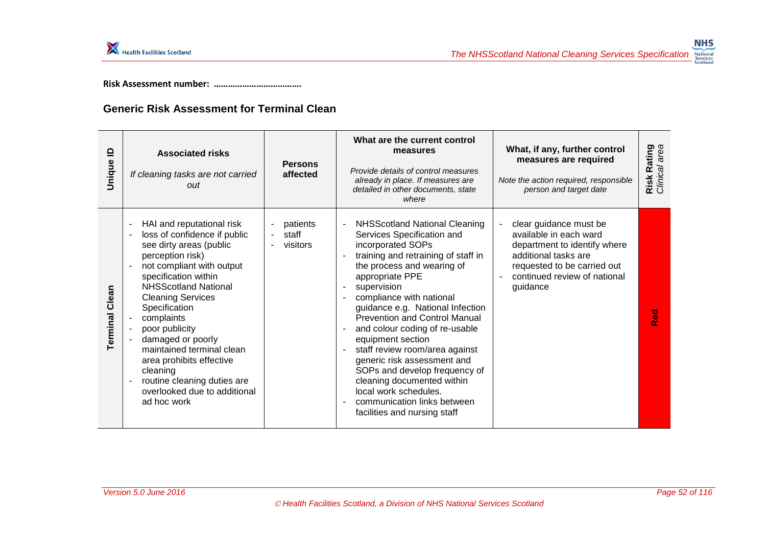

### **Generic Risk Assessment for Terminal Clean**

| ≘<br>Unique           | <b>Associated risks</b><br>If cleaning tasks are not carried<br>out                                                                                                                                                                                                                                                                                                                                                                               | <b>Persons</b><br>affected    | What are the current control<br>measures<br>Provide details of control measures<br>already in place. If measures are<br>detailed in other documents, state<br>where                                                                                                                                                                                                                                                                                                                                                                                                                                                       | What, if any, further control<br>measures are required<br>Note the action required, responsible<br>person and target date                                                           | <b>Risk Rating</b><br>Clinical area |
|-----------------------|---------------------------------------------------------------------------------------------------------------------------------------------------------------------------------------------------------------------------------------------------------------------------------------------------------------------------------------------------------------------------------------------------------------------------------------------------|-------------------------------|---------------------------------------------------------------------------------------------------------------------------------------------------------------------------------------------------------------------------------------------------------------------------------------------------------------------------------------------------------------------------------------------------------------------------------------------------------------------------------------------------------------------------------------------------------------------------------------------------------------------------|-------------------------------------------------------------------------------------------------------------------------------------------------------------------------------------|-------------------------------------|
| <b>Terminal Clean</b> | HAI and reputational risk<br>loss of confidence if public<br>see dirty areas (public<br>perception risk)<br>not compliant with output<br>specification within<br><b>NHSScotland National</b><br><b>Cleaning Services</b><br>Specification<br>complaints<br>poor publicity<br>damaged or poorly<br>maintained terminal clean<br>area prohibits effective<br>cleaning<br>routine cleaning duties are<br>overlooked due to additional<br>ad hoc work | patients<br>staff<br>visitors | <b>NHSScotland National Cleaning</b><br>Services Specification and<br>incorporated SOPs<br>training and retraining of staff in<br>$\blacksquare$<br>the process and wearing of<br>appropriate PPE<br>supervision<br>$\blacksquare$<br>compliance with national<br>guidance e.g. National Infection<br><b>Prevention and Control Manual</b><br>and colour coding of re-usable<br>equipment section<br>staff review room/area against<br>generic risk assessment and<br>SOPs and develop frequency of<br>cleaning documented within<br>local work schedules.<br>communication links between<br>facilities and nursing staff | clear guidance must be<br>available in each ward<br>department to identify where<br>additional tasks are<br>requested to be carried out<br>continued review of national<br>guidance | <b>Red</b>                          |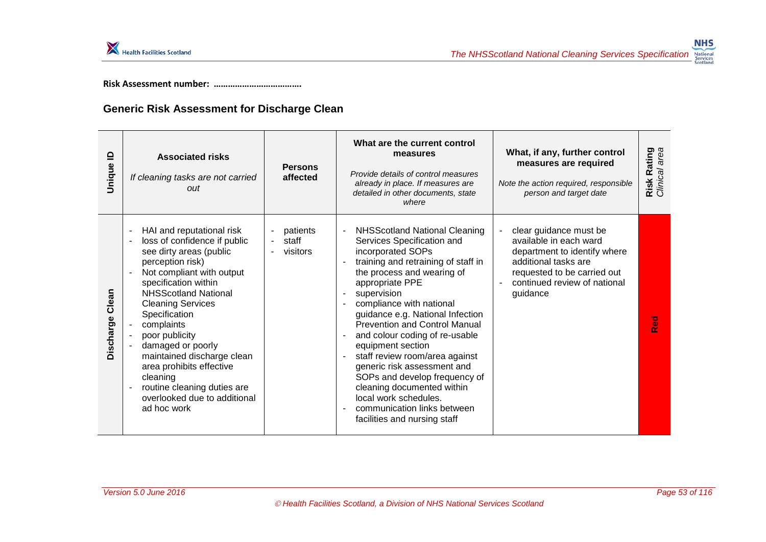

## **Generic Risk Assessment for Discharge Clean**

| $\mathbf{\underline{0}}$<br>Unique | <b>Associated risks</b><br>If cleaning tasks are not carried<br>out                                                                                                                                                                                                                                                                                                                                                                                | <b>Persons</b><br>affected    | What are the current control<br>measures<br>Provide details of control measures<br>already in place. If measures are<br>detailed in other documents, state<br>where                                                                                                                                                                                                                                                                                                                                                                                                                                                                                   | What, if any, further control<br>measures are required<br>Note the action required, responsible<br>person and target date                                                                                       | <b>Risk Rating</b><br>Clinical area |
|------------------------------------|----------------------------------------------------------------------------------------------------------------------------------------------------------------------------------------------------------------------------------------------------------------------------------------------------------------------------------------------------------------------------------------------------------------------------------------------------|-------------------------------|-------------------------------------------------------------------------------------------------------------------------------------------------------------------------------------------------------------------------------------------------------------------------------------------------------------------------------------------------------------------------------------------------------------------------------------------------------------------------------------------------------------------------------------------------------------------------------------------------------------------------------------------------------|-----------------------------------------------------------------------------------------------------------------------------------------------------------------------------------------------------------------|-------------------------------------|
| Clean<br>Discharge                 | HAI and reputational risk<br>loss of confidence if public<br>see dirty areas (public<br>perception risk)<br>Not compliant with output<br>specification within<br><b>NHSScotland National</b><br><b>Cleaning Services</b><br>Specification<br>complaints<br>poor publicity<br>damaged or poorly<br>maintained discharge clean<br>area prohibits effective<br>cleaning<br>routine cleaning duties are<br>overlooked due to additional<br>ad hoc work | patients<br>staff<br>visitors | <b>NHSScotland National Cleaning</b><br>$\blacksquare$<br>Services Specification and<br>incorporated SOPs<br>training and retraining of staff in<br>$\blacksquare$<br>the process and wearing of<br>appropriate PPE<br>supervision<br>$\blacksquare$<br>compliance with national<br>guidance e.g. National Infection<br><b>Prevention and Control Manual</b><br>and colour coding of re-usable<br>$\sim$<br>equipment section<br>staff review room/area against<br>generic risk assessment and<br>SOPs and develop frequency of<br>cleaning documented within<br>local work schedules.<br>communication links between<br>facilities and nursing staff | clear guidance must be<br>$\overline{\phantom{a}}$<br>available in each ward<br>department to identify where<br>additional tasks are<br>requested to be carried out<br>continued review of national<br>guidance | <b>Red</b>                          |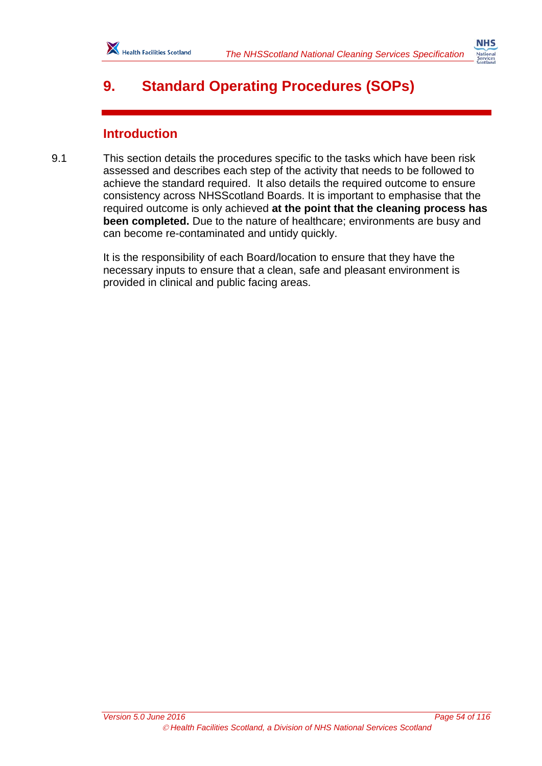# **9. Standard Operating Procedures (SOPs)**

# **Introduction**

9.1 This section details the procedures specific to the tasks which have been risk assessed and describes each step of the activity that needs to be followed to achieve the standard required. It also details the required outcome to ensure consistency across NHSScotland Boards. It is important to emphasise that the required outcome is only achieved **at the point that the cleaning process has been completed.** Due to the nature of healthcare; environments are busy and can become re-contaminated and untidy quickly.

> It is the responsibility of each Board/location to ensure that they have the necessary inputs to ensure that a clean, safe and pleasant environment is provided in clinical and public facing areas.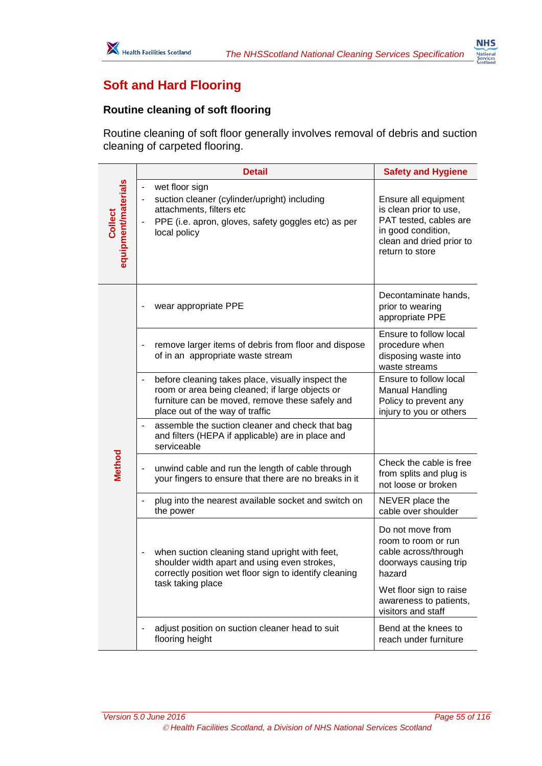

# **Soft and Hard Flooring**

## **Routine cleaning of soft flooring**

Routine cleaning of soft floor generally involves removal of debris and suction cleaning of carpeted flooring.

|                                       | <b>Detail</b>                                                                                                                                                                                                                 | <b>Safety and Hygiene</b>                                                                                                                     |
|---------------------------------------|-------------------------------------------------------------------------------------------------------------------------------------------------------------------------------------------------------------------------------|-----------------------------------------------------------------------------------------------------------------------------------------------|
| equipment/materials<br><b>Collect</b> | wet floor sign<br>$\overline{\phantom{0}}$<br>suction cleaner (cylinder/upright) including<br>attachments, filters etc<br>PPE (i.e. apron, gloves, safety goggles etc) as per<br>$\qquad \qquad \blacksquare$<br>local policy | Ensure all equipment<br>is clean prior to use,<br>PAT tested, cables are<br>in good condition,<br>clean and dried prior to<br>return to store |
|                                       | wear appropriate PPE                                                                                                                                                                                                          | Decontaminate hands,<br>prior to wearing<br>appropriate PPE                                                                                   |
|                                       | remove larger items of debris from floor and dispose<br>of in an appropriate waste stream                                                                                                                                     | Ensure to follow local<br>procedure when<br>disposing waste into<br>waste streams                                                             |
|                                       | before cleaning takes place, visually inspect the<br>$\overline{\phantom{0}}$<br>room or area being cleaned; if large objects or<br>furniture can be moved, remove these safely and<br>place out of the way of traffic        | Ensure to follow local<br><b>Manual Handling</b><br>Policy to prevent any<br>injury to you or others                                          |
|                                       | assemble the suction cleaner and check that bag<br>and filters (HEPA if applicable) are in place and<br>serviceable                                                                                                           |                                                                                                                                               |
| <b>Method</b>                         | unwind cable and run the length of cable through<br>$\qquad \qquad \blacksquare$<br>your fingers to ensure that there are no breaks in it                                                                                     | Check the cable is free<br>from splits and plug is<br>not loose or broken                                                                     |
|                                       | plug into the nearest available socket and switch on<br>$\overline{\phantom{0}}$<br>the power                                                                                                                                 | NEVER place the<br>cable over shoulder                                                                                                        |
|                                       | when suction cleaning stand upright with feet,<br>shoulder width apart and using even strokes,<br>correctly position wet floor sign to identify cleaning<br>task taking place                                                 | Do not move from<br>room to room or run<br>cable across/through<br>doorways causing trip<br>hazard                                            |
|                                       |                                                                                                                                                                                                                               | Wet floor sign to raise<br>awareness to patients,<br>visitors and staff                                                                       |
|                                       | adjust position on suction cleaner head to suit<br>flooring height                                                                                                                                                            | Bend at the knees to<br>reach under furniture                                                                                                 |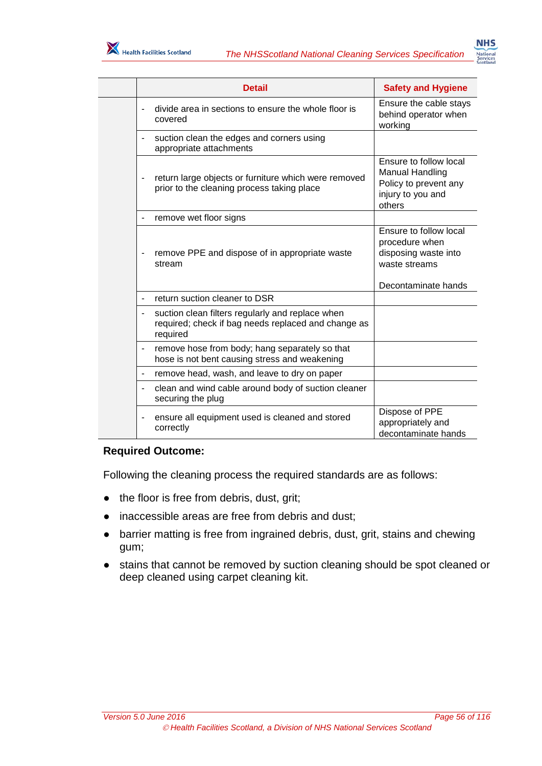

| <b>Detail</b>                                                                                                       | <b>Safety and Hygiene</b>                                                                         |
|---------------------------------------------------------------------------------------------------------------------|---------------------------------------------------------------------------------------------------|
| divide area in sections to ensure the whole floor is<br>covered                                                     | Ensure the cable stays<br>behind operator when<br>working                                         |
| suction clean the edges and corners using<br>appropriate attachments                                                |                                                                                                   |
| return large objects or furniture which were removed<br>prior to the cleaning process taking place                  | Ensure to follow local<br>Manual Handling<br>Policy to prevent any<br>injury to you and<br>others |
| remove wet floor signs                                                                                              |                                                                                                   |
| remove PPE and dispose of in appropriate waste<br>stream                                                            | Ensure to follow local<br>procedure when<br>disposing waste into<br>waste streams                 |
|                                                                                                                     | Decontaminate hands                                                                               |
| return suction cleaner to DSR                                                                                       |                                                                                                   |
| suction clean filters regularly and replace when<br>required; check if bag needs replaced and change as<br>required |                                                                                                   |
| remove hose from body; hang separately so that<br>hose is not bent causing stress and weakening                     |                                                                                                   |
| remove head, wash, and leave to dry on paper                                                                        |                                                                                                   |
| clean and wind cable around body of suction cleaner<br>-<br>securing the plug                                       |                                                                                                   |
| ensure all equipment used is cleaned and stored<br>correctly                                                        | Dispose of PPE<br>appropriately and<br>decontaminate hands                                        |

### **Required Outcome:**

Following the cleaning process the required standards are as follows:

- the floor is free from debris, dust, grit;
- inaccessible areas are free from debris and dust;
- barrier matting is free from ingrained debris, dust, grit, stains and chewing gum;
- stains that cannot be removed by suction cleaning should be spot cleaned or deep cleaned using carpet cleaning kit.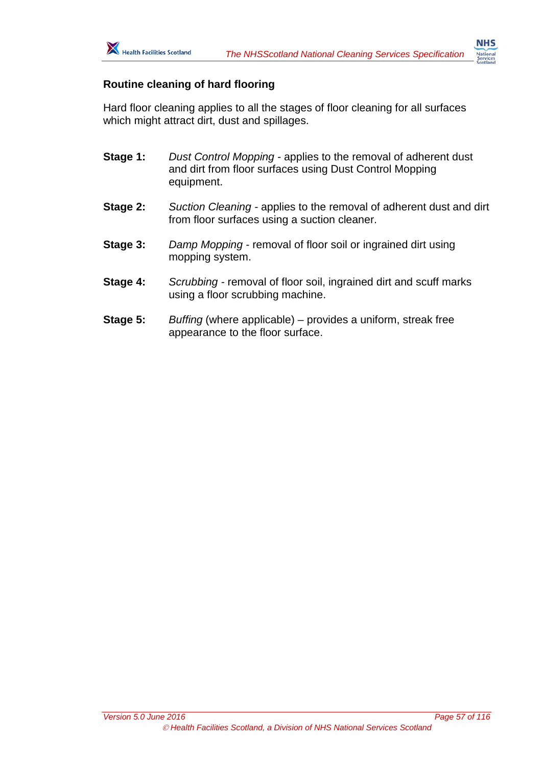### **Routine cleaning of hard flooring**

Hard floor cleaning applies to all the stages of floor cleaning for all surfaces which might attract dirt, dust and spillages.

- **Stage 1:** *Dust Control Mopping -* applies to the removal of adherent dust and dirt from floor surfaces using Dust Control Mopping equipment.
- **Stage 2:** *Suction Cleaning -* applies to the removal of adherent dust and dirt from floor surfaces using a suction cleaner.
- **Stage 3:** *Damp Mopping* removal of floor soil or ingrained dirt using mopping system.
- **Stage 4:** *Scrubbing -* removal of floor soil, ingrained dirt and scuff marks using a floor scrubbing machine.
- **Stage 5:** *Buffing* (where applicable) provides a uniform, streak free appearance to the floor surface.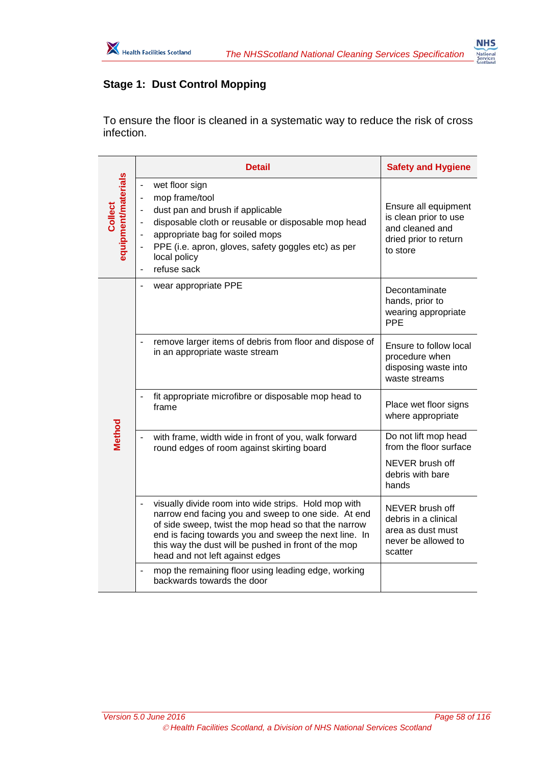

**NHS** 

# **Stage 1: Dust Control Mopping**

To ensure the floor is cleaned in a systematic way to reduce the risk of cross infection.

|                                       | <b>Detail</b>                                                                                                                                                                                                                                                                                                           | <b>Safety and Hygiene</b>                                                                             |
|---------------------------------------|-------------------------------------------------------------------------------------------------------------------------------------------------------------------------------------------------------------------------------------------------------------------------------------------------------------------------|-------------------------------------------------------------------------------------------------------|
| equipment/materials<br><b>Collect</b> | wet floor sign<br>mop frame/tool<br>dust pan and brush if applicable<br>disposable cloth or reusable or disposable mop head<br>appropriate bag for soiled mops<br>$\qquad \qquad \blacksquare$<br>PPE (i.e. apron, gloves, safety goggles etc) as per<br>local policy<br>refuse sack<br>÷,                              | Ensure all equipment<br>is clean prior to use<br>and cleaned and<br>dried prior to return<br>to store |
|                                       | wear appropriate PPE<br>٠                                                                                                                                                                                                                                                                                               | Decontaminate<br>hands, prior to<br>wearing appropriate<br>PPE                                        |
|                                       | remove larger items of debris from floor and dispose of<br>in an appropriate waste stream                                                                                                                                                                                                                               | Ensure to follow local<br>procedure when<br>disposing waste into<br>waste streams                     |
|                                       | fit appropriate microfibre or disposable mop head to<br>frame                                                                                                                                                                                                                                                           | Place wet floor signs<br>where appropriate                                                            |
| <b>Method</b>                         | with frame, width wide in front of you, walk forward<br>round edges of room against skirting board                                                                                                                                                                                                                      | Do not lift mop head<br>from the floor surface                                                        |
|                                       |                                                                                                                                                                                                                                                                                                                         | NEVER brush off<br>debris with bare<br>hands                                                          |
|                                       | visually divide room into wide strips. Hold mop with<br>narrow end facing you and sweep to one side. At end<br>of side sweep, twist the mop head so that the narrow<br>end is facing towards you and sweep the next line. In<br>this way the dust will be pushed in front of the mop<br>head and not left against edges | NEVER brush off<br>debris in a clinical<br>area as dust must<br>never be allowed to<br>scatter        |
|                                       | mop the remaining floor using leading edge, working<br>backwards towards the door                                                                                                                                                                                                                                       |                                                                                                       |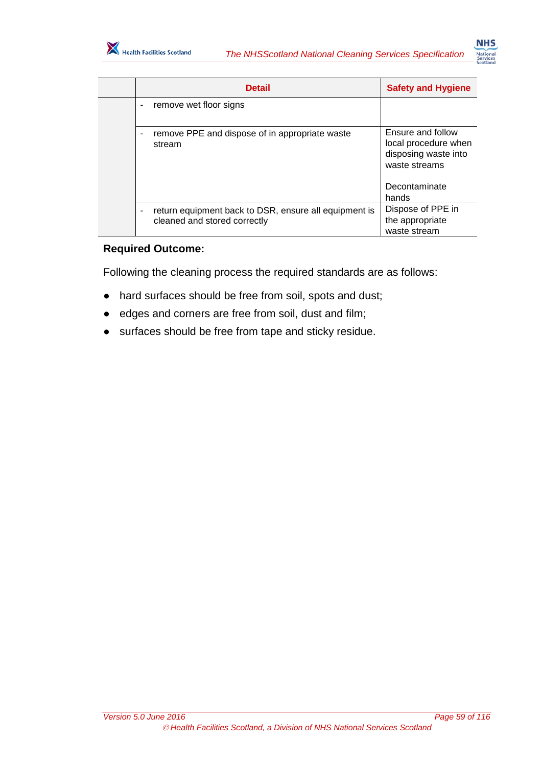

| <b>Detail</b>                                                                         | <b>Safety and Hygiene</b>                                                          |
|---------------------------------------------------------------------------------------|------------------------------------------------------------------------------------|
| remove wet floor signs                                                                |                                                                                    |
| remove PPE and dispose of in appropriate waste<br>stream                              | Ensure and follow<br>local procedure when<br>disposing waste into<br>waste streams |
|                                                                                       | Decontaminate<br>hands                                                             |
| return equipment back to DSR, ensure all equipment is<br>cleaned and stored correctly | Dispose of PPE in<br>the appropriate<br>waste stream                               |

#### **Required Outcome:**

Following the cleaning process the required standards are as follows:

- hard surfaces should be free from soil, spots and dust;
- edges and corners are free from soil, dust and film;
- surfaces should be free from tape and sticky residue.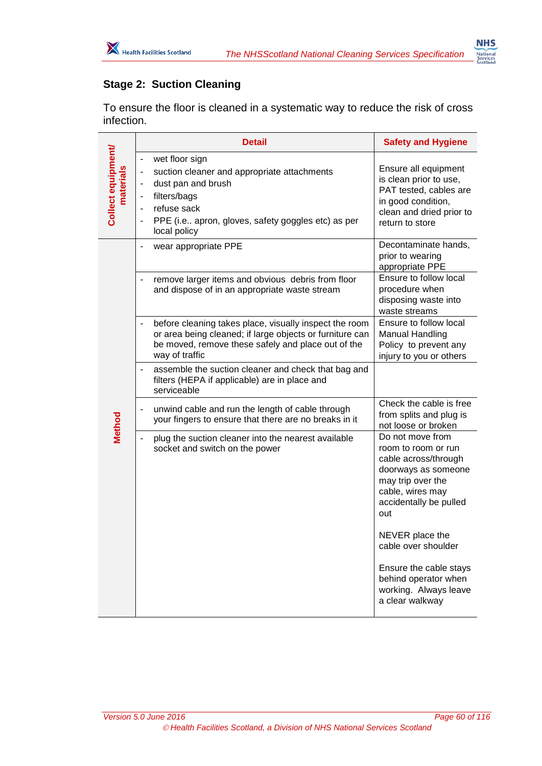**NHS** 

# **Stage 2: Suction Cleaning**

To ensure the floor is cleaned in a systematic way to reduce the risk of cross infection.

|                                 | <b>Detail</b>                                                                                                                                                                                                                                                                                                          | <b>Safety and Hygiene</b>                                                                                                                                        |
|---------------------------------|------------------------------------------------------------------------------------------------------------------------------------------------------------------------------------------------------------------------------------------------------------------------------------------------------------------------|------------------------------------------------------------------------------------------------------------------------------------------------------------------|
| Collect equipment/<br>naterials | wet floor sign<br>-<br>suction cleaner and appropriate attachments<br>$\overline{\phantom{0}}$<br>dust pan and brush<br>$\overline{\phantom{0}}$<br>filters/bags<br>$\overline{\phantom{0}}$<br>refuse sack<br>$\qquad \qquad \blacksquare$<br>PPE (i.e apron, gloves, safety goggles etc) as per<br>-<br>local policy | Ensure all equipment<br>is clean prior to use,<br>PAT tested, cables are<br>in good condition,<br>clean and dried prior to<br>return to store                    |
|                                 | wear appropriate PPE<br>٠                                                                                                                                                                                                                                                                                              | Decontaminate hands,<br>prior to wearing<br>appropriate PPE                                                                                                      |
|                                 | remove larger items and obvious debris from floor<br>and dispose of in an appropriate waste stream                                                                                                                                                                                                                     | Ensure to follow local<br>procedure when<br>disposing waste into<br>waste streams                                                                                |
|                                 | before cleaning takes place, visually inspect the room<br>$\overline{\phantom{m}}$<br>or area being cleaned; if large objects or furniture can<br>be moved, remove these safely and place out of the<br>way of traffic                                                                                                 | Ensure to follow local<br>Manual Handling<br>Policy to prevent any<br>injury to you or others                                                                    |
|                                 | assemble the suction cleaner and check that bag and<br>$\overline{\phantom{a}}$<br>filters (HEPA if applicable) are in place and<br>serviceable                                                                                                                                                                        |                                                                                                                                                                  |
| <b>Method</b>                   | unwind cable and run the length of cable through<br>your fingers to ensure that there are no breaks in it                                                                                                                                                                                                              | Check the cable is free<br>from splits and plug is<br>not loose or broken                                                                                        |
|                                 | plug the suction cleaner into the nearest available<br>$\overline{\phantom{0}}$<br>socket and switch on the power                                                                                                                                                                                                      | Do not move from<br>room to room or run<br>cable across/through<br>doorways as someone<br>may trip over the<br>cable, wires may<br>accidentally be pulled<br>out |
|                                 |                                                                                                                                                                                                                                                                                                                        | NEVER place the<br>cable over shoulder                                                                                                                           |
|                                 |                                                                                                                                                                                                                                                                                                                        | Ensure the cable stays<br>behind operator when<br>working. Always leave<br>a clear walkway                                                                       |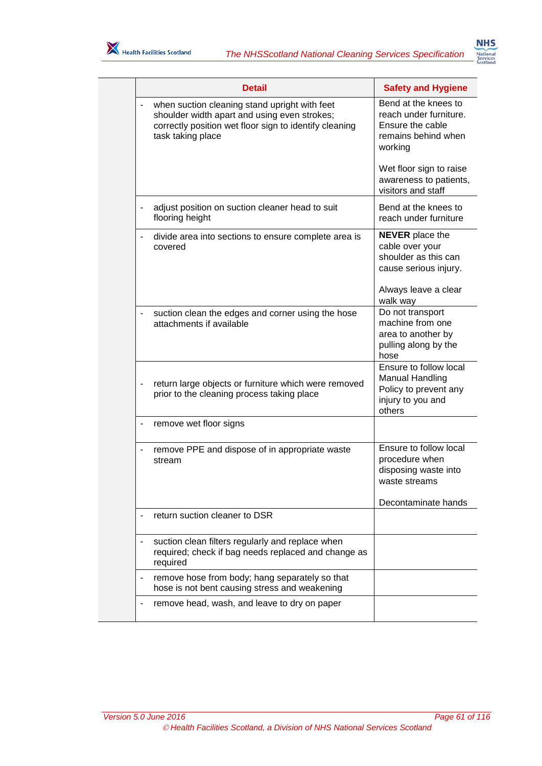

| <b>Detail</b>                                                                                                                                                                | <b>Safety and Hygiene</b>                                                                            |
|------------------------------------------------------------------------------------------------------------------------------------------------------------------------------|------------------------------------------------------------------------------------------------------|
| when suction cleaning stand upright with feet<br>shoulder width apart and using even strokes;<br>correctly position wet floor sign to identify cleaning<br>task taking place | Bend at the knees to<br>reach under furniture.<br>Ensure the cable<br>remains behind when<br>working |
|                                                                                                                                                                              | Wet floor sign to raise<br>awareness to patients,<br>visitors and staff                              |
| adjust position on suction cleaner head to suit<br>flooring height                                                                                                           | Bend at the knees to<br>reach under furniture                                                        |
| divide area into sections to ensure complete area is<br>covered                                                                                                              | <b>NEVER</b> place the<br>cable over your<br>shoulder as this can<br>cause serious injury.           |
|                                                                                                                                                                              | Always leave a clear<br>walk way                                                                     |
| suction clean the edges and corner using the hose<br>attachments if available                                                                                                | Do not transport<br>machine from one<br>area to another by<br>pulling along by the<br>hose           |
| return large objects or furniture which were removed<br>$\overline{\phantom{0}}$<br>prior to the cleaning process taking place                                               | Ensure to follow local<br>Manual Handling<br>Policy to prevent any<br>injury to you and<br>others    |
| remove wet floor signs                                                                                                                                                       |                                                                                                      |
| remove PPE and dispose of in appropriate waste<br>stream                                                                                                                     | Ensure to follow local<br>procedure when<br>disposing waste into<br>waste streams                    |
|                                                                                                                                                                              | Decontaminate hands                                                                                  |
| return suction cleaner to DSR                                                                                                                                                |                                                                                                      |
| suction clean filters regularly and replace when<br>۰<br>required; check if bag needs replaced and change as<br>required                                                     |                                                                                                      |
| remove hose from body; hang separately so that<br>hose is not bent causing stress and weakening                                                                              |                                                                                                      |
| remove head, wash, and leave to dry on paper                                                                                                                                 |                                                                                                      |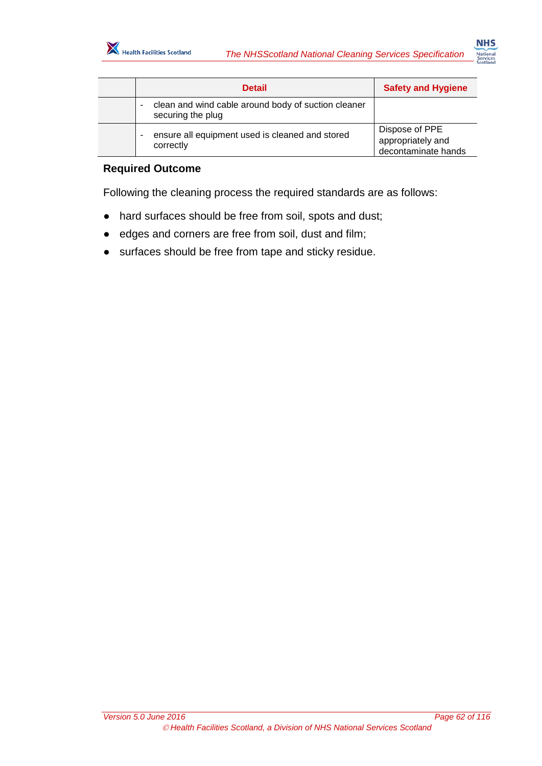

| <b>Detail</b>                                                                 | <b>Safety and Hygiene</b>                                  |
|-------------------------------------------------------------------------------|------------------------------------------------------------|
| clean and wind cable around body of suction cleaner<br>۰<br>securing the plug |                                                            |
| ensure all equipment used is cleaned and stored<br>correctly                  | Dispose of PPE<br>appropriately and<br>decontaminate hands |

### **Required Outcome**

Following the cleaning process the required standards are as follows:

- hard surfaces should be free from soil, spots and dust;
- edges and corners are free from soil, dust and film;
- surfaces should be free from tape and sticky residue.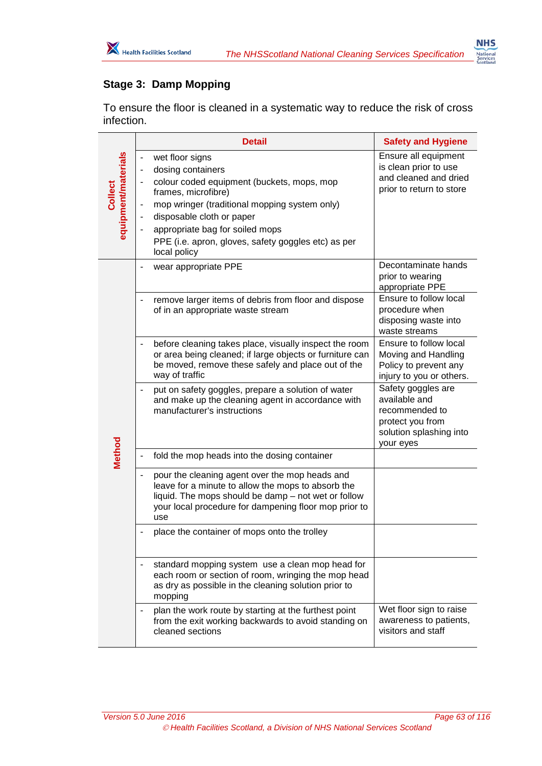# **Stage 3: Damp Mopping**

To ensure the floor is cleaned in a systematic way to reduce the risk of cross infection.

|                                       | <b>Detail</b>                                                                                                                                                                                                                                                                                                                                                          | <b>Safety and Hygiene</b>                                                                                         |
|---------------------------------------|------------------------------------------------------------------------------------------------------------------------------------------------------------------------------------------------------------------------------------------------------------------------------------------------------------------------------------------------------------------------|-------------------------------------------------------------------------------------------------------------------|
| equipment/materials<br><b>Collect</b> | wet floor signs<br>$\qquad \qquad \blacksquare$<br>dosing containers<br>$\qquad \qquad \blacksquare$<br>colour coded equipment (buckets, mops, mop<br>frames, microfibre)<br>mop wringer (traditional mopping system only)<br>-<br>disposable cloth or paper<br>appropriate bag for soiled mops<br>PPE (i.e. apron, gloves, safety goggles etc) as per<br>local policy | Ensure all equipment<br>is clean prior to use<br>and cleaned and dried<br>prior to return to store                |
|                                       | wear appropriate PPE                                                                                                                                                                                                                                                                                                                                                   | Decontaminate hands<br>prior to wearing<br>appropriate PPE                                                        |
|                                       | remove larger items of debris from floor and dispose<br>of in an appropriate waste stream                                                                                                                                                                                                                                                                              | Ensure to follow local<br>procedure when<br>disposing waste into<br>waste streams                                 |
|                                       | before cleaning takes place, visually inspect the room<br>or area being cleaned; if large objects or furniture can<br>be moved, remove these safely and place out of the<br>way of traffic                                                                                                                                                                             | Ensure to follow local<br>Moving and Handling<br>Policy to prevent any<br>injury to you or others.                |
|                                       | put on safety goggles, prepare a solution of water<br>and make up the cleaning agent in accordance with<br>manufacturer's instructions                                                                                                                                                                                                                                 | Safety goggles are<br>available and<br>recommended to<br>protect you from<br>solution splashing into<br>your eyes |
| <b>Method</b>                         | fold the mop heads into the dosing container                                                                                                                                                                                                                                                                                                                           |                                                                                                                   |
|                                       | pour the cleaning agent over the mop heads and<br>leave for a minute to allow the mops to absorb the<br>liquid. The mops should be damp - not wet or follow<br>your local procedure for dampening floor mop prior to<br>use                                                                                                                                            |                                                                                                                   |
|                                       | place the container of mops onto the trolley                                                                                                                                                                                                                                                                                                                           |                                                                                                                   |
|                                       | standard mopping system use a clean mop head for<br>each room or section of room, wringing the mop head<br>as dry as possible in the cleaning solution prior to<br>mopping                                                                                                                                                                                             |                                                                                                                   |
|                                       | plan the work route by starting at the furthest point<br>٠<br>from the exit working backwards to avoid standing on<br>cleaned sections                                                                                                                                                                                                                                 | Wet floor sign to raise<br>awareness to patients,<br>visitors and staff                                           |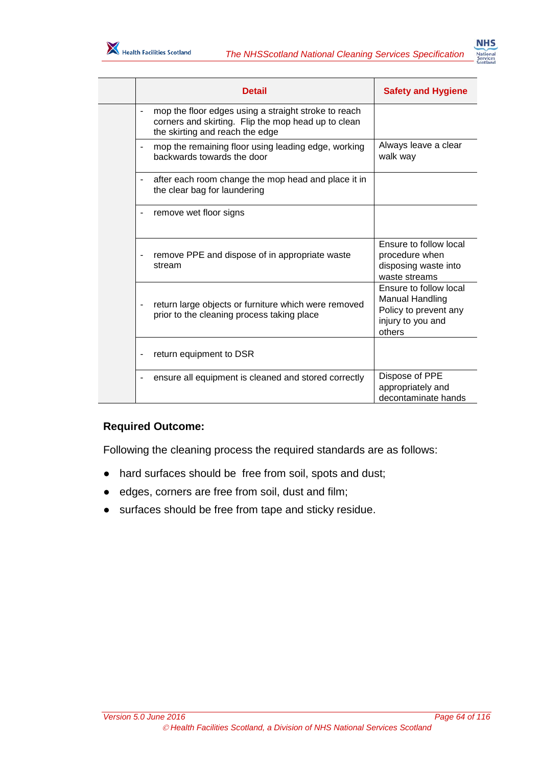

| <b>Detail</b>                                                                                                                                  | <b>Safety and Hygiene</b>                                                                         |
|------------------------------------------------------------------------------------------------------------------------------------------------|---------------------------------------------------------------------------------------------------|
| mop the floor edges using a straight stroke to reach<br>corners and skirting. Flip the mop head up to clean<br>the skirting and reach the edge |                                                                                                   |
| mop the remaining floor using leading edge, working<br>backwards towards the door                                                              | Always leave a clear<br>walk way                                                                  |
| after each room change the mop head and place it in<br>the clear bag for laundering                                                            |                                                                                                   |
| remove wet floor signs                                                                                                                         |                                                                                                   |
| remove PPE and dispose of in appropriate waste<br>stream                                                                                       | Ensure to follow local<br>procedure when<br>disposing waste into<br>waste streams                 |
| return large objects or furniture which were removed<br>prior to the cleaning process taking place                                             | Ensure to follow local<br>Manual Handling<br>Policy to prevent any<br>injury to you and<br>others |
| return equipment to DSR                                                                                                                        |                                                                                                   |
| ensure all equipment is cleaned and stored correctly                                                                                           | Dispose of PPE<br>appropriately and<br>decontaminate hands                                        |

### **Required Outcome:**

Following the cleaning process the required standards are as follows:

- hard surfaces should be free from soil, spots and dust;
- edges, corners are free from soil, dust and film;
- surfaces should be free from tape and sticky residue.

**NHS** Nationa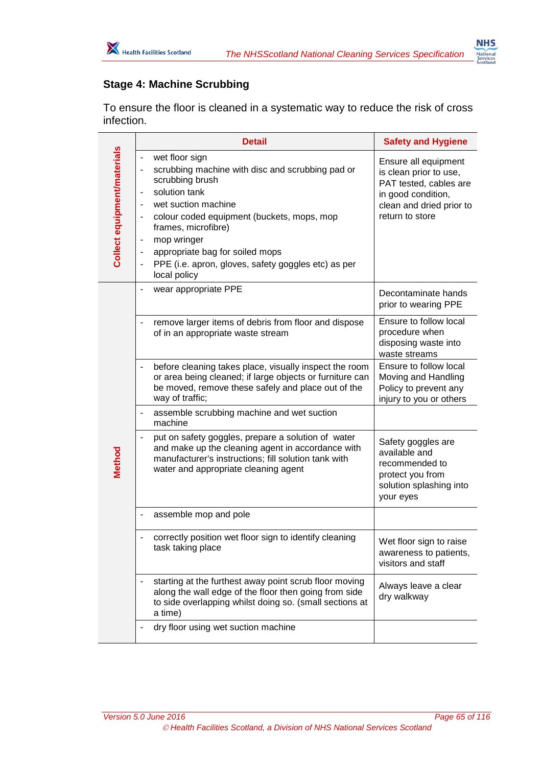## **Stage 4: Machine Scrubbing**

To ensure the floor is cleaned in a systematic way to reduce the risk of cross infection.

|                             | <b>Detail</b>                                                                                                                                                                                                                                                                                                                                                                                                                                                                   | <b>Safety and Hygiene</b>                                                                                                                     |
|-----------------------------|---------------------------------------------------------------------------------------------------------------------------------------------------------------------------------------------------------------------------------------------------------------------------------------------------------------------------------------------------------------------------------------------------------------------------------------------------------------------------------|-----------------------------------------------------------------------------------------------------------------------------------------------|
| Collect equipment/materials | wet floor sign<br>$\overline{\phantom{a}}$<br>scrubbing machine with disc and scrubbing pad or<br>scrubbing brush<br>solution tank<br>wet suction machine<br>$\overline{\phantom{a}}$<br>colour coded equipment (buckets, mops, mop<br>$\overline{\phantom{a}}$<br>frames, microfibre)<br>mop wringer<br>$\overline{\phantom{a}}$<br>appropriate bag for soiled mops<br>$\overline{a}$<br>PPE (i.e. apron, gloves, safety goggles etc) as per<br>$\overline{a}$<br>local policy | Ensure all equipment<br>is clean prior to use,<br>PAT tested, cables are<br>in good condition,<br>clean and dried prior to<br>return to store |
|                             | wear appropriate PPE                                                                                                                                                                                                                                                                                                                                                                                                                                                            | Decontaminate hands<br>prior to wearing PPE                                                                                                   |
|                             | remove larger items of debris from floor and dispose<br>of in an appropriate waste stream                                                                                                                                                                                                                                                                                                                                                                                       | Ensure to follow local<br>procedure when<br>disposing waste into<br>waste streams                                                             |
|                             | before cleaning takes place, visually inspect the room<br>or area being cleaned; if large objects or furniture can<br>be moved, remove these safely and place out of the<br>way of traffic;                                                                                                                                                                                                                                                                                     | Ensure to follow local<br>Moving and Handling<br>Policy to prevent any<br>injury to you or others                                             |
|                             | assemble scrubbing machine and wet suction<br>machine                                                                                                                                                                                                                                                                                                                                                                                                                           |                                                                                                                                               |
| <b>Method</b>               | put on safety goggles, prepare a solution of water<br>and make up the cleaning agent in accordance with<br>manufacturer's instructions; fill solution tank with<br>water and appropriate cleaning agent                                                                                                                                                                                                                                                                         | Safety goggles are<br>available and<br>recommended to<br>protect you from<br>solution splashing into<br>your eyes                             |
|                             | assemble mop and pole                                                                                                                                                                                                                                                                                                                                                                                                                                                           |                                                                                                                                               |
|                             | correctly position wet floor sign to identify cleaning<br>task taking place                                                                                                                                                                                                                                                                                                                                                                                                     | Wet floor sign to raise<br>awareness to patients,<br>visitors and staff                                                                       |
|                             | starting at the furthest away point scrub floor moving<br>along the wall edge of the floor then going from side<br>to side overlapping whilst doing so. (small sections at<br>a time)                                                                                                                                                                                                                                                                                           | Always leave a clear<br>dry walkway                                                                                                           |
|                             | dry floor using wet suction machine                                                                                                                                                                                                                                                                                                                                                                                                                                             |                                                                                                                                               |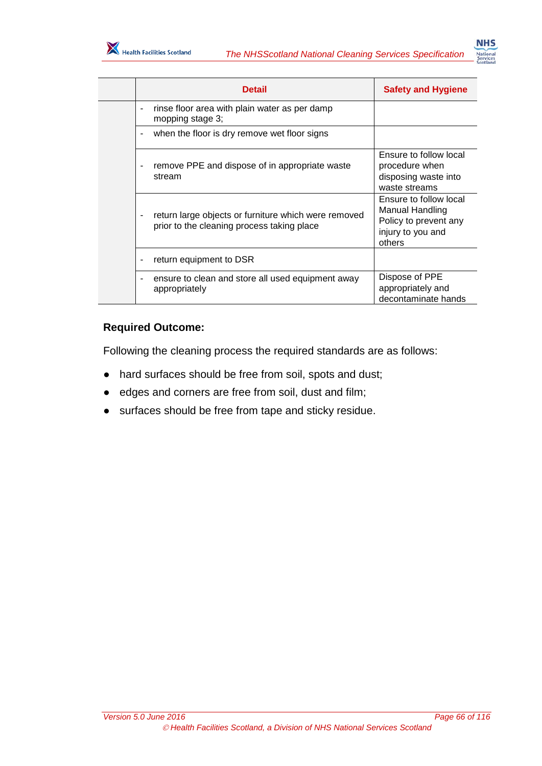

| <b>Detail</b>                                                                                      | <b>Safety and Hygiene</b>                                                                         |
|----------------------------------------------------------------------------------------------------|---------------------------------------------------------------------------------------------------|
| rinse floor area with plain water as per damp<br>٠<br>mopping stage 3;                             |                                                                                                   |
| when the floor is dry remove wet floor signs                                                       |                                                                                                   |
| remove PPE and dispose of in appropriate waste<br>stream                                           | Ensure to follow local<br>procedure when<br>disposing waste into<br>waste streams                 |
| return large objects or furniture which were removed<br>prior to the cleaning process taking place | Ensure to follow local<br>Manual Handling<br>Policy to prevent any<br>injury to you and<br>others |
| return equipment to DSR                                                                            |                                                                                                   |
| ensure to clean and store all used equipment away<br>۰<br>appropriately                            | Dispose of PPE<br>appropriately and<br>decontaminate hands                                        |

### **Required Outcome:**

Following the cleaning process the required standards are as follows:

- hard surfaces should be free from soil, spots and dust;
- edges and corners are free from soil, dust and film;
- surfaces should be free from tape and sticky residue.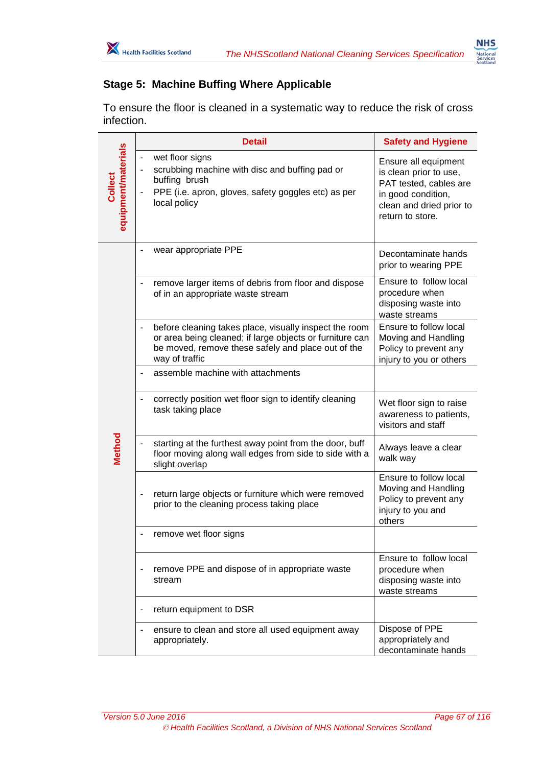# **Stage 5: Machine Buffing Where Applicable**

To ensure the floor is cleaned in a systematic way to reduce the risk of cross infection.

|                                       | <b>Detail</b>                                                                                                                                                                              | <b>Safety and Hygiene</b>                                                                                                                      |
|---------------------------------------|--------------------------------------------------------------------------------------------------------------------------------------------------------------------------------------------|------------------------------------------------------------------------------------------------------------------------------------------------|
| equipment/materials<br><b>Collect</b> | wet floor signs<br>scrubbing machine with disc and buffing pad or<br>buffing brush<br>PPE (i.e. apron, gloves, safety goggles etc) as per<br>٠<br>local policy                             | Ensure all equipment<br>is clean prior to use,<br>PAT tested, cables are<br>in good condition,<br>clean and dried prior to<br>return to store. |
|                                       | wear appropriate PPE                                                                                                                                                                       | Decontaminate hands<br>prior to wearing PPE                                                                                                    |
|                                       | remove larger items of debris from floor and dispose<br>of in an appropriate waste stream                                                                                                  | Ensure to follow local<br>procedure when<br>disposing waste into<br>waste streams                                                              |
|                                       | before cleaning takes place, visually inspect the room<br>or area being cleaned; if large objects or furniture can<br>be moved, remove these safely and place out of the<br>way of traffic | Ensure to follow local<br>Moving and Handling<br>Policy to prevent any<br>injury to you or others                                              |
|                                       | assemble machine with attachments                                                                                                                                                          |                                                                                                                                                |
|                                       | correctly position wet floor sign to identify cleaning<br>task taking place                                                                                                                | Wet floor sign to raise<br>awareness to patients,<br>visitors and staff                                                                        |
| <b>Method</b>                         | starting at the furthest away point from the door, buff<br>floor moving along wall edges from side to side with a<br>slight overlap                                                        | Always leave a clear<br>walk way                                                                                                               |
|                                       | return large objects or furniture which were removed<br>$\overline{\phantom{0}}$<br>prior to the cleaning process taking place                                                             | Ensure to follow local<br>Moving and Handling<br>Policy to prevent any<br>injury to you and<br>others                                          |
|                                       | remove wet floor signs                                                                                                                                                                     |                                                                                                                                                |
|                                       | remove PPE and dispose of in appropriate waste<br>-<br>stream                                                                                                                              | Ensure to follow local<br>procedure when<br>disposing waste into<br>waste streams                                                              |
|                                       | return equipment to DSR<br>۰                                                                                                                                                               |                                                                                                                                                |
|                                       | ensure to clean and store all used equipment away<br>-<br>appropriately.                                                                                                                   | Dispose of PPE<br>appropriately and<br>decontaminate hands                                                                                     |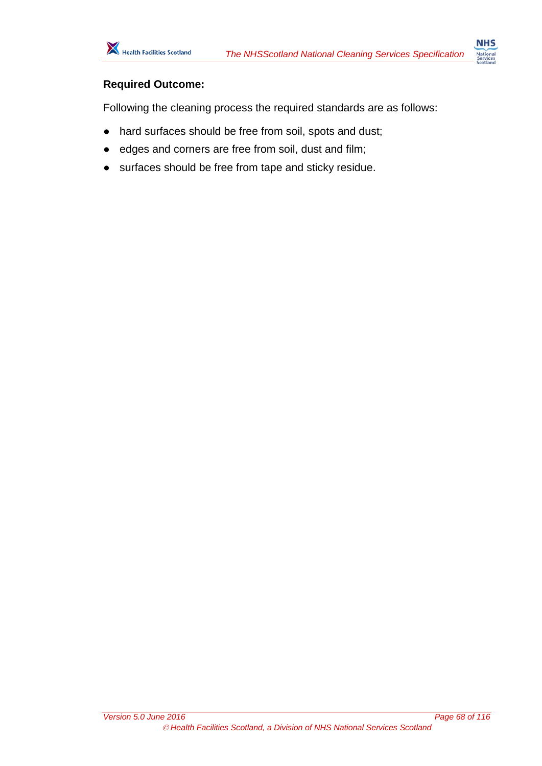### **Required Outcome:**

Following the cleaning process the required standards are as follows:

- hard surfaces should be free from soil, spots and dust;
- edges and corners are free from soil, dust and film;
- surfaces should be free from tape and sticky residue.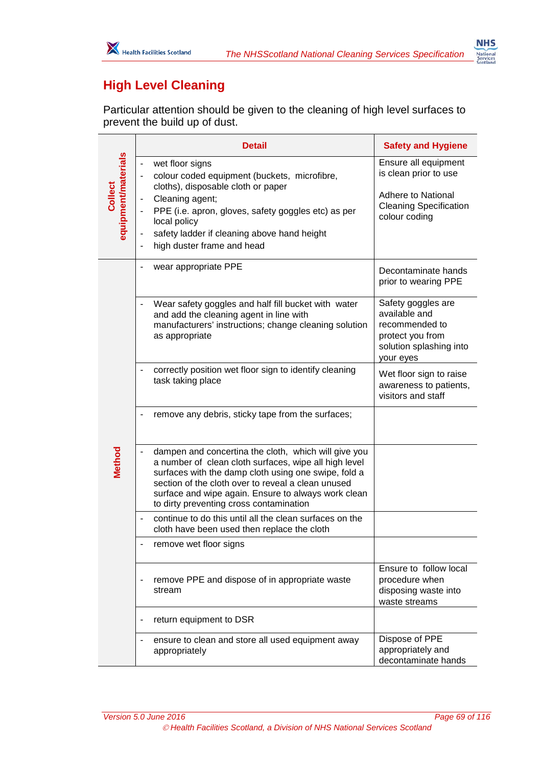

# **High Level Cleaning**

Particular attention should be given to the cleaning of high level surfaces to prevent the build up of dust.

|                                       | <b>Detail</b>                                                                                                                                                                                                                                                                                                                 | <b>Safety and Hygiene</b>                                                                                         |
|---------------------------------------|-------------------------------------------------------------------------------------------------------------------------------------------------------------------------------------------------------------------------------------------------------------------------------------------------------------------------------|-------------------------------------------------------------------------------------------------------------------|
| equipment/materials<br><b>Collect</b> | wet floor signs<br>$\overline{\phantom{a}}$<br>colour coded equipment (buckets, microfibre,<br>$\overline{\phantom{a}}$<br>cloths), disposable cloth or paper                                                                                                                                                                 | Ensure all equipment<br>is clean prior to use<br><b>Adhere to National</b>                                        |
|                                       | Cleaning agent;<br>PPE (i.e. apron, gloves, safety goggles etc) as per<br>local policy                                                                                                                                                                                                                                        | <b>Cleaning Specification</b><br>colour coding                                                                    |
|                                       | safety ladder if cleaning above hand height<br>-<br>high duster frame and head<br>$\blacksquare$                                                                                                                                                                                                                              |                                                                                                                   |
|                                       | wear appropriate PPE<br>$\qquad \qquad \blacksquare$                                                                                                                                                                                                                                                                          | Decontaminate hands<br>prior to wearing PPE                                                                       |
|                                       | Wear safety goggles and half fill bucket with water<br>and add the cleaning agent in line with<br>manufacturers' instructions; change cleaning solution<br>as appropriate                                                                                                                                                     | Safety goggles are<br>available and<br>recommended to<br>protect you from<br>solution splashing into<br>your eyes |
|                                       | correctly position wet floor sign to identify cleaning<br>task taking place                                                                                                                                                                                                                                                   | Wet floor sign to raise<br>awareness to patients,<br>visitors and staff                                           |
|                                       | remove any debris, sticky tape from the surfaces;                                                                                                                                                                                                                                                                             |                                                                                                                   |
| <b>Method</b>                         | dampen and concertina the cloth, which will give you<br>a number of clean cloth surfaces, wipe all high level<br>surfaces with the damp cloth using one swipe, fold a<br>section of the cloth over to reveal a clean unused<br>surface and wipe again. Ensure to always work clean<br>to dirty preventing cross contamination |                                                                                                                   |
|                                       | continue to do this until all the clean surfaces on the<br>cloth have been used then replace the cloth                                                                                                                                                                                                                        |                                                                                                                   |
|                                       | remove wet floor signs                                                                                                                                                                                                                                                                                                        |                                                                                                                   |
|                                       | remove PPE and dispose of in appropriate waste<br>$\overline{\phantom{0}}$<br>stream                                                                                                                                                                                                                                          | Ensure to follow local<br>procedure when<br>disposing waste into<br>waste streams                                 |
|                                       | return equipment to DSR<br>-                                                                                                                                                                                                                                                                                                  |                                                                                                                   |
|                                       | ensure to clean and store all used equipment away<br>appropriately                                                                                                                                                                                                                                                            | Dispose of PPE<br>appropriately and<br>decontaminate hands                                                        |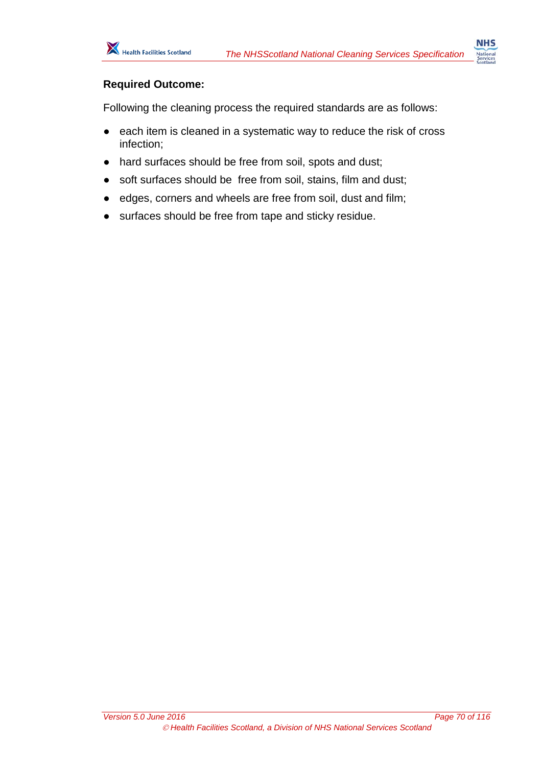#### **Required Outcome:**

- each item is cleaned in a systematic way to reduce the risk of cross infection;
- hard surfaces should be free from soil, spots and dust;
- soft surfaces should be free from soil, stains, film and dust;
- edges, corners and wheels are free from soil, dust and film;
- surfaces should be free from tape and sticky residue.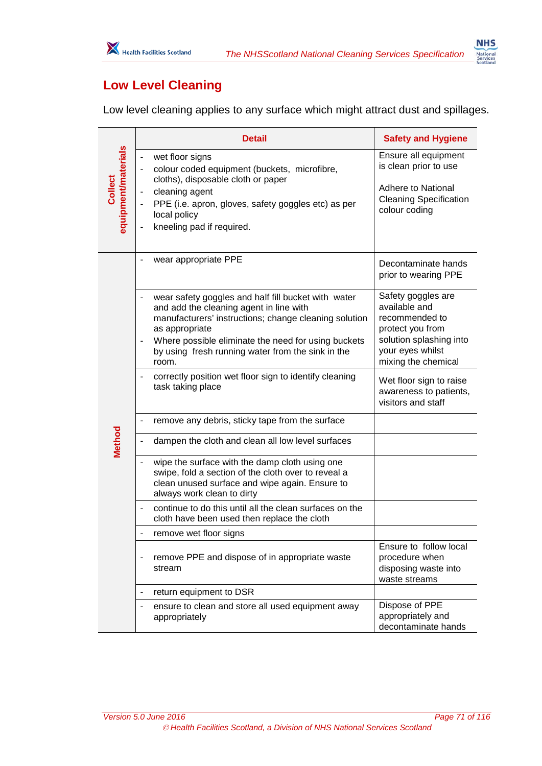

# **Low Level Cleaning**

Low level cleaning applies to any surface which might attract dust and spillages.

|                                       | <b>Detail</b>                                                                                                                                                                                                                                                                                                    | <b>Safety and Hygiene</b>                                                                                                                       |
|---------------------------------------|------------------------------------------------------------------------------------------------------------------------------------------------------------------------------------------------------------------------------------------------------------------------------------------------------------------|-------------------------------------------------------------------------------------------------------------------------------------------------|
| equipment/materials<br><b>Collect</b> | wet floor signs<br>colour coded equipment (buckets, microfibre,<br>$\blacksquare$<br>cloths), disposable cloth or paper<br>cleaning agent<br>PPE (i.e. apron, gloves, safety goggles etc) as per<br>local policy<br>kneeling pad if required.                                                                    | Ensure all equipment<br>is clean prior to use<br><b>Adhere to National</b><br><b>Cleaning Specification</b><br>colour coding                    |
|                                       | wear appropriate PPE                                                                                                                                                                                                                                                                                             | Decontaminate hands<br>prior to wearing PPE                                                                                                     |
|                                       | wear safety goggles and half fill bucket with water<br>and add the cleaning agent in line with<br>manufacturers' instructions; change cleaning solution<br>as appropriate<br>Where possible eliminate the need for using buckets<br>$\overline{a}$<br>by using fresh running water from the sink in the<br>room. | Safety goggles are<br>available and<br>recommended to<br>protect you from<br>solution splashing into<br>your eyes whilst<br>mixing the chemical |
|                                       | correctly position wet floor sign to identify cleaning<br>task taking place                                                                                                                                                                                                                                      | Wet floor sign to raise<br>awareness to patients,<br>visitors and staff                                                                         |
|                                       | remove any debris, sticky tape from the surface                                                                                                                                                                                                                                                                  |                                                                                                                                                 |
| <b>Method</b>                         | dampen the cloth and clean all low level surfaces                                                                                                                                                                                                                                                                |                                                                                                                                                 |
|                                       | wipe the surface with the damp cloth using one<br>÷,<br>swipe, fold a section of the cloth over to reveal a<br>clean unused surface and wipe again. Ensure to<br>always work clean to dirty                                                                                                                      |                                                                                                                                                 |
|                                       | continue to do this until all the clean surfaces on the<br>cloth have been used then replace the cloth                                                                                                                                                                                                           |                                                                                                                                                 |
|                                       | remove wet floor signs                                                                                                                                                                                                                                                                                           |                                                                                                                                                 |
|                                       | remove PPE and dispose of in appropriate waste<br>$\overline{\phantom{0}}$<br>stream                                                                                                                                                                                                                             | Ensure to follow local<br>procedure when<br>disposing waste into<br>waste streams                                                               |
|                                       | return equipment to DSR<br>۰                                                                                                                                                                                                                                                                                     |                                                                                                                                                 |
|                                       | ensure to clean and store all used equipment away<br>appropriately                                                                                                                                                                                                                                               | Dispose of PPE<br>appropriately and<br>decontaminate hands                                                                                      |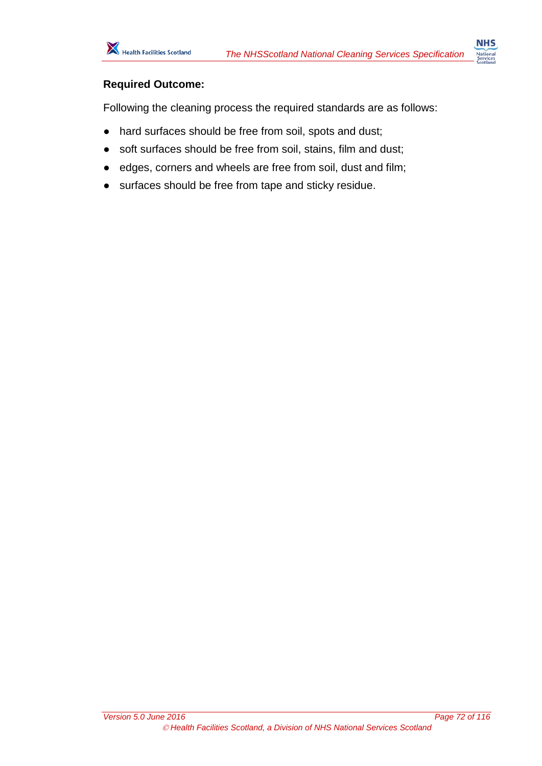### **Required Outcome:**

- hard surfaces should be free from soil, spots and dust;
- soft surfaces should be free from soil, stains, film and dust;
- edges, corners and wheels are free from soil, dust and film;
- surfaces should be free from tape and sticky residue.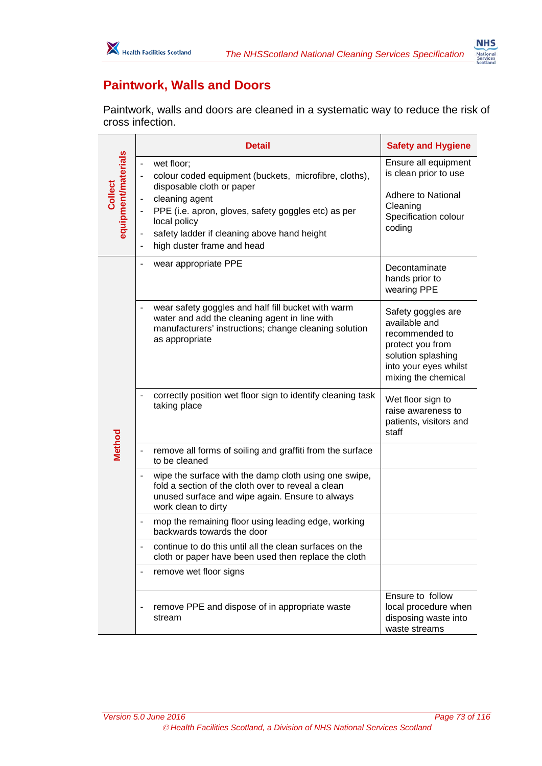# **Paintwork, Walls and Doors**

Paintwork, walls and doors are cleaned in a systematic way to reduce the risk of cross infection.

|                                       | Detail                                                                                                                                                                                                                                                                                             | <b>Safety and Hygiene</b>                                                                                                                       |
|---------------------------------------|----------------------------------------------------------------------------------------------------------------------------------------------------------------------------------------------------------------------------------------------------------------------------------------------------|-------------------------------------------------------------------------------------------------------------------------------------------------|
| equipment/materials<br><b>Collect</b> | wet floor;<br>colour coded equipment (buckets, microfibre, cloths),<br>disposable cloth or paper<br>cleaning agent<br>PPE (i.e. apron, gloves, safety goggles etc) as per<br>local policy<br>safety ladder if cleaning above hand height<br>high duster frame and head<br>$\overline{\phantom{a}}$ | Ensure all equipment<br>is clean prior to use<br>Adhere to National<br>Cleaning<br>Specification colour<br>coding                               |
|                                       | wear appropriate PPE                                                                                                                                                                                                                                                                               | Decontaminate<br>hands prior to<br>wearing PPE                                                                                                  |
|                                       | wear safety goggles and half fill bucket with warm<br>water and add the cleaning agent in line with<br>manufacturers' instructions; change cleaning solution<br>as appropriate                                                                                                                     | Safety goggles are<br>available and<br>recommended to<br>protect you from<br>solution splashing<br>into your eyes whilst<br>mixing the chemical |
|                                       | correctly position wet floor sign to identify cleaning task<br>taking place                                                                                                                                                                                                                        | Wet floor sign to<br>raise awareness to<br>patients, visitors and<br>staff                                                                      |
| <b>Method</b>                         | remove all forms of soiling and graffiti from the surface<br>to be cleaned                                                                                                                                                                                                                         |                                                                                                                                                 |
|                                       | wipe the surface with the damp cloth using one swipe,<br>fold a section of the cloth over to reveal a clean<br>unused surface and wipe again. Ensure to always<br>work clean to dirty                                                                                                              |                                                                                                                                                 |
|                                       | mop the remaining floor using leading edge, working<br>backwards towards the door                                                                                                                                                                                                                  |                                                                                                                                                 |
|                                       | continue to do this until all the clean surfaces on the<br>cloth or paper have been used then replace the cloth                                                                                                                                                                                    |                                                                                                                                                 |
|                                       | remove wet floor signs                                                                                                                                                                                                                                                                             |                                                                                                                                                 |
|                                       | remove PPE and dispose of in appropriate waste<br>stream                                                                                                                                                                                                                                           | Ensure to follow<br>local procedure when<br>disposing waste into<br>waste streams                                                               |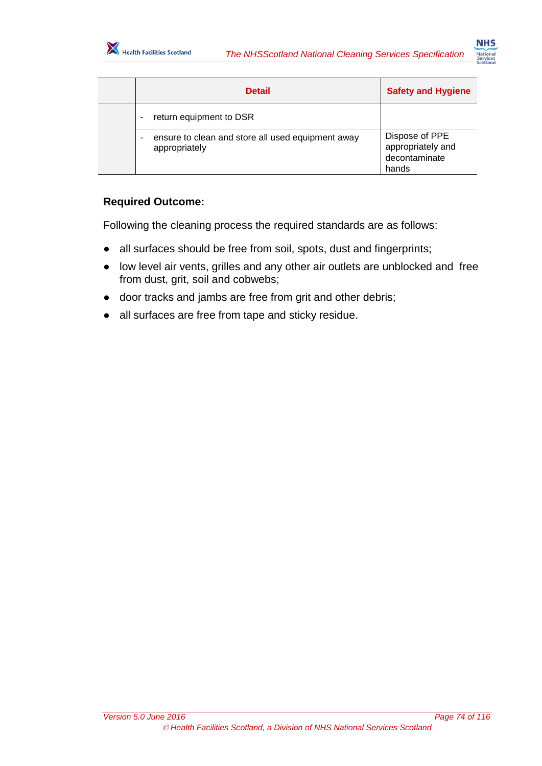

| <b>Detail</b>                                                      | <b>Safety and Hygiene</b>                                     |
|--------------------------------------------------------------------|---------------------------------------------------------------|
| return equipment to DSR                                            |                                                               |
| ensure to clean and store all used equipment away<br>appropriately | Dispose of PPE<br>appropriately and<br>decontaminate<br>hands |

#### **Required Outcome:**

- all surfaces should be free from soil, spots, dust and fingerprints;
- low level air vents, grilles and any other air outlets are unblocked and free from dust, grit, soil and cobwebs;
- door tracks and jambs are free from grit and other debris;
- all surfaces are free from tape and sticky residue.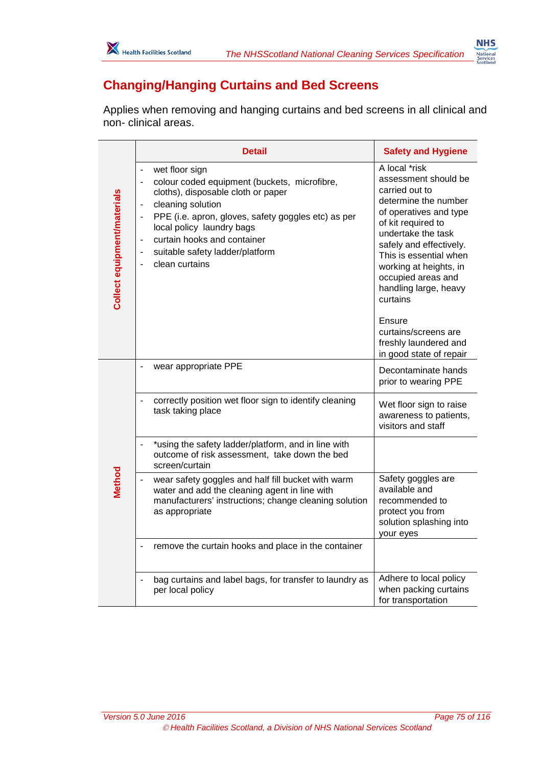# **Changing/Hanging Curtains and Bed Screens**

Applies when removing and hanging curtains and bed screens in all clinical and non- clinical areas.

|                             | <b>Detail</b>                                                                                                                                                                                                                                                                                                                                           | <b>Safety and Hygiene</b>                                                                                                                                                                                                                                                                       |
|-----------------------------|---------------------------------------------------------------------------------------------------------------------------------------------------------------------------------------------------------------------------------------------------------------------------------------------------------------------------------------------------------|-------------------------------------------------------------------------------------------------------------------------------------------------------------------------------------------------------------------------------------------------------------------------------------------------|
| Collect equipment/materials | wet floor sign<br>$\blacksquare$<br>colour coded equipment (buckets, microfibre,<br>$\blacksquare$<br>cloths), disposable cloth or paper<br>cleaning solution<br>$\blacksquare$<br>PPE (i.e. apron, gloves, safety goggles etc) as per<br>local policy laundry bags<br>curtain hooks and container<br>suitable safety ladder/platform<br>clean curtains | A local *risk<br>assessment should be<br>carried out to<br>determine the number<br>of operatives and type<br>of kit required to<br>undertake the task<br>safely and effectively.<br>This is essential when<br>working at heights, in<br>occupied areas and<br>handling large, heavy<br>curtains |
|                             |                                                                                                                                                                                                                                                                                                                                                         | Ensure<br>curtains/screens are<br>freshly laundered and<br>in good state of repair                                                                                                                                                                                                              |
|                             | wear appropriate PPE                                                                                                                                                                                                                                                                                                                                    | Decontaminate hands<br>prior to wearing PPE                                                                                                                                                                                                                                                     |
|                             | correctly position wet floor sign to identify cleaning<br>task taking place                                                                                                                                                                                                                                                                             | Wet floor sign to raise<br>awareness to patients,<br>visitors and staff                                                                                                                                                                                                                         |
|                             | *using the safety ladder/platform, and in line with<br>outcome of risk assessment, take down the bed<br>screen/curtain                                                                                                                                                                                                                                  |                                                                                                                                                                                                                                                                                                 |
| <b>Method</b>               | wear safety goggles and half fill bucket with warm<br>water and add the cleaning agent in line with<br>manufacturers' instructions; change cleaning solution<br>as appropriate                                                                                                                                                                          | Safety goggles are<br>available and<br>recommended to<br>protect you from<br>solution splashing into<br>your eyes                                                                                                                                                                               |
|                             | remove the curtain hooks and place in the container                                                                                                                                                                                                                                                                                                     |                                                                                                                                                                                                                                                                                                 |
|                             | bag curtains and label bags, for transfer to laundry as<br>per local policy                                                                                                                                                                                                                                                                             | Adhere to local policy<br>when packing curtains<br>for transportation                                                                                                                                                                                                                           |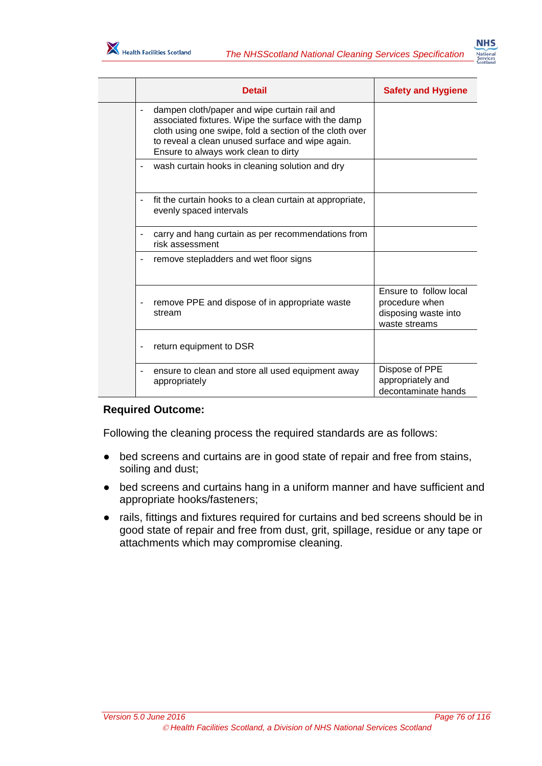

**NHS** 

| <b>Detail</b>                                                                                                                                                                                                                                              | <b>Safety and Hygiene</b>                                                         |
|------------------------------------------------------------------------------------------------------------------------------------------------------------------------------------------------------------------------------------------------------------|-----------------------------------------------------------------------------------|
| dampen cloth/paper and wipe curtain rail and<br>associated fixtures. Wipe the surface with the damp<br>cloth using one swipe, fold a section of the cloth over<br>to reveal a clean unused surface and wipe again.<br>Ensure to always work clean to dirty |                                                                                   |
| wash curtain hooks in cleaning solution and dry                                                                                                                                                                                                            |                                                                                   |
| fit the curtain hooks to a clean curtain at appropriate,<br>evenly spaced intervals                                                                                                                                                                        |                                                                                   |
| carry and hang curtain as per recommendations from<br>risk assessment                                                                                                                                                                                      |                                                                                   |
| remove stepladders and wet floor signs                                                                                                                                                                                                                     |                                                                                   |
| remove PPE and dispose of in appropriate waste<br>stream                                                                                                                                                                                                   | Ensure to follow local<br>procedure when<br>disposing waste into<br>waste streams |
| return equipment to DSR<br>$\overline{a}$                                                                                                                                                                                                                  |                                                                                   |
| ensure to clean and store all used equipment away<br>appropriately                                                                                                                                                                                         | Dispose of PPE<br>appropriately and<br>decontaminate hands                        |

#### **Required Outcome:**

- bed screens and curtains are in good state of repair and free from stains, soiling and dust;
- bed screens and curtains hang in a uniform manner and have sufficient and appropriate hooks/fasteners;
- rails, fittings and fixtures required for curtains and bed screens should be in good state of repair and free from dust, grit, spillage, residue or any tape or attachments which may compromise cleaning.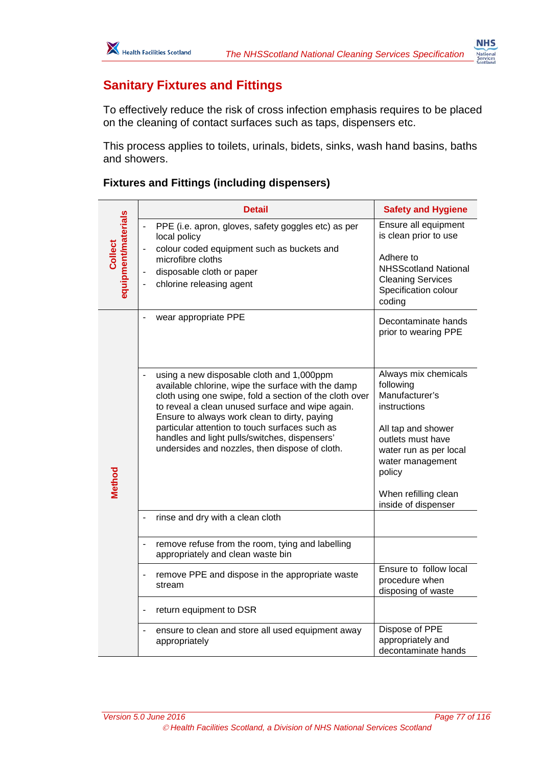# **Sanitary Fixtures and Fittings**

To effectively reduce the risk of cross infection emphasis requires to be placed on the cleaning of contact surfaces such as taps, dispensers etc.

This process applies to toilets, urinals, bidets, sinks, wash hand basins, baths and showers.

#### **Fixtures and Fittings (including dispensers)**

|                                       | <b>Detail</b>                                                                                                                                                                                                                                                                                                                                                                                                       | <b>Safety and Hygiene</b>                                                                                                                                                                                             |
|---------------------------------------|---------------------------------------------------------------------------------------------------------------------------------------------------------------------------------------------------------------------------------------------------------------------------------------------------------------------------------------------------------------------------------------------------------------------|-----------------------------------------------------------------------------------------------------------------------------------------------------------------------------------------------------------------------|
| equipment/materials<br><b>Collect</b> | PPE (i.e. apron, gloves, safety goggles etc) as per<br>local policy<br>colour coded equipment such as buckets and<br>microfibre cloths<br>disposable cloth or paper<br>chlorine releasing agent                                                                                                                                                                                                                     | Ensure all equipment<br>is clean prior to use<br>Adhere to<br><b>NHSScotland National</b><br><b>Cleaning Services</b><br>Specification colour<br>coding                                                               |
|                                       | wear appropriate PPE                                                                                                                                                                                                                                                                                                                                                                                                | Decontaminate hands<br>prior to wearing PPE                                                                                                                                                                           |
| Method                                | using a new disposable cloth and 1,000ppm<br>available chlorine, wipe the surface with the damp<br>cloth using one swipe, fold a section of the cloth over<br>to reveal a clean unused surface and wipe again.<br>Ensure to always work clean to dirty, paying<br>particular attention to touch surfaces such as<br>handles and light pulls/switches, dispensers'<br>undersides and nozzles, then dispose of cloth. | Always mix chemicals<br>following<br>Manufacturer's<br>instructions<br>All tap and shower<br>outlets must have<br>water run as per local<br>water management<br>policy<br>When refilling clean<br>inside of dispenser |
|                                       | rinse and dry with a clean cloth                                                                                                                                                                                                                                                                                                                                                                                    |                                                                                                                                                                                                                       |
|                                       | remove refuse from the room, tying and labelling<br>appropriately and clean waste bin                                                                                                                                                                                                                                                                                                                               |                                                                                                                                                                                                                       |
|                                       | remove PPE and dispose in the appropriate waste<br>stream                                                                                                                                                                                                                                                                                                                                                           | Ensure to follow local<br>procedure when<br>disposing of waste                                                                                                                                                        |
|                                       | return equipment to DSR                                                                                                                                                                                                                                                                                                                                                                                             |                                                                                                                                                                                                                       |
|                                       | ensure to clean and store all used equipment away<br>appropriately                                                                                                                                                                                                                                                                                                                                                  | Dispose of PPE<br>appropriately and<br>decontaminate hands                                                                                                                                                            |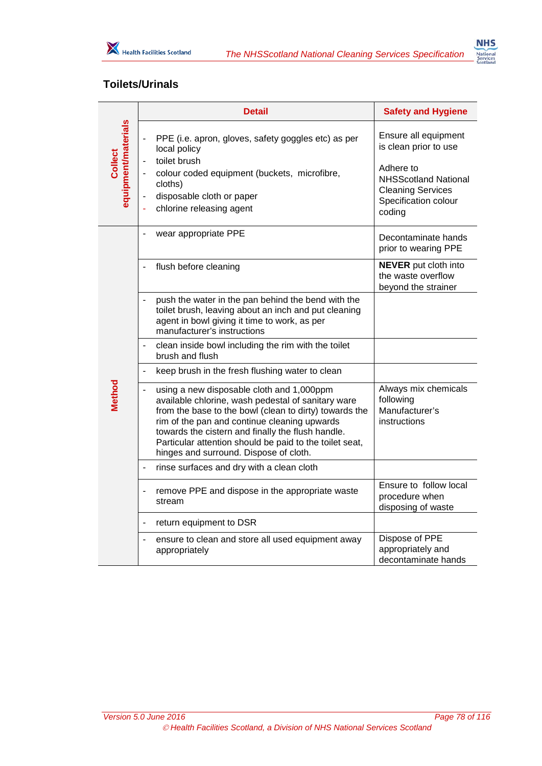

## **Toilets/Urinals**

|                                       | <b>Detail</b>                                                                                                                                                                                                                                                                                                                                                                         | <b>Safety and Hygiene</b>                                                                                                                               |
|---------------------------------------|---------------------------------------------------------------------------------------------------------------------------------------------------------------------------------------------------------------------------------------------------------------------------------------------------------------------------------------------------------------------------------------|---------------------------------------------------------------------------------------------------------------------------------------------------------|
| equipment/materials<br><b>Collect</b> | PPE (i.e. apron, gloves, safety goggles etc) as per<br>local policy<br>toilet brush<br>colour coded equipment (buckets, microfibre,<br>cloths)<br>disposable cloth or paper<br>$\blacksquare$<br>chlorine releasing agent                                                                                                                                                             | Ensure all equipment<br>is clean prior to use<br>Adhere to<br><b>NHSScotland National</b><br><b>Cleaning Services</b><br>Specification colour<br>coding |
|                                       | wear appropriate PPE<br>$\blacksquare$                                                                                                                                                                                                                                                                                                                                                | Decontaminate hands<br>prior to wearing PPE                                                                                                             |
|                                       | flush before cleaning<br>$\overline{\phantom{a}}$                                                                                                                                                                                                                                                                                                                                     | <b>NEVER</b> put cloth into<br>the waste overflow<br>beyond the strainer                                                                                |
|                                       | push the water in the pan behind the bend with the<br>toilet brush, leaving about an inch and put cleaning<br>agent in bowl giving it time to work, as per<br>manufacturer's instructions                                                                                                                                                                                             |                                                                                                                                                         |
|                                       | clean inside bowl including the rim with the toilet<br>$\blacksquare$<br>brush and flush                                                                                                                                                                                                                                                                                              |                                                                                                                                                         |
|                                       | keep brush in the fresh flushing water to clean<br>$\blacksquare$                                                                                                                                                                                                                                                                                                                     |                                                                                                                                                         |
| Method                                | using a new disposable cloth and 1,000ppm<br>$\blacksquare$<br>available chlorine, wash pedestal of sanitary ware<br>from the base to the bowl (clean to dirty) towards the<br>rim of the pan and continue cleaning upwards<br>towards the cistern and finally the flush handle.<br>Particular attention should be paid to the toilet seat,<br>hinges and surround. Dispose of cloth. | Always mix chemicals<br>following<br>Manufacturer's<br>instructions                                                                                     |
|                                       | rinse surfaces and dry with a clean cloth                                                                                                                                                                                                                                                                                                                                             |                                                                                                                                                         |
|                                       | remove PPE and dispose in the appropriate waste<br>stream                                                                                                                                                                                                                                                                                                                             | Ensure to follow local<br>procedure when<br>disposing of waste                                                                                          |
|                                       | return equipment to DSR                                                                                                                                                                                                                                                                                                                                                               |                                                                                                                                                         |
|                                       | ensure to clean and store all used equipment away<br>$\blacksquare$<br>appropriately                                                                                                                                                                                                                                                                                                  | Dispose of PPE<br>appropriately and<br>decontaminate hands                                                                                              |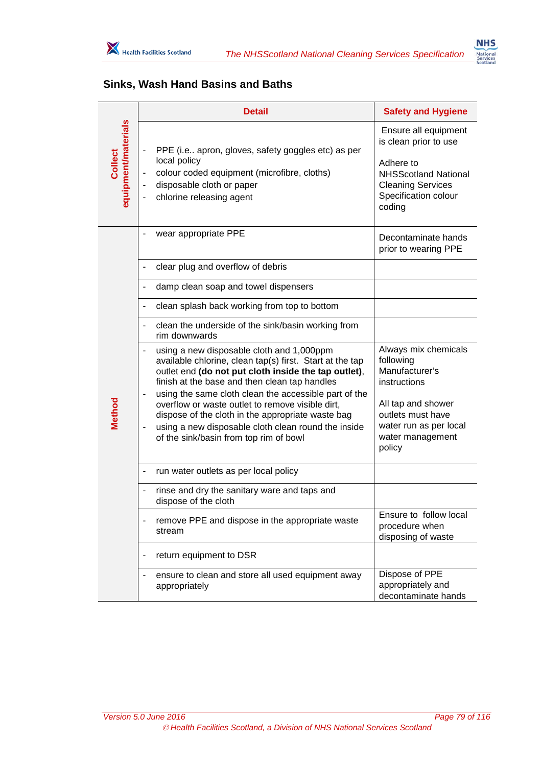

### **Sinks, Wash Hand Basins and Baths**

|                                       | <b>Detail</b>                                                                                                                                                                                                  | <b>Safety and Hygiene</b>                                                                                                                               |
|---------------------------------------|----------------------------------------------------------------------------------------------------------------------------------------------------------------------------------------------------------------|---------------------------------------------------------------------------------------------------------------------------------------------------------|
| equipment/materials<br><b>Collect</b> | PPE (i.e apron, gloves, safety goggles etc) as per<br>$\overline{\phantom{a}}$<br>local policy<br>colour coded equipment (microfibre, cloths)<br>disposable cloth or paper<br>chlorine releasing agent         | Ensure all equipment<br>is clean prior to use<br>Adhere to<br><b>NHSScotland National</b><br><b>Cleaning Services</b><br>Specification colour<br>coding |
|                                       | wear appropriate PPE                                                                                                                                                                                           | Decontaminate hands<br>prior to wearing PPE                                                                                                             |
|                                       | clear plug and overflow of debris                                                                                                                                                                              |                                                                                                                                                         |
|                                       | damp clean soap and towel dispensers                                                                                                                                                                           |                                                                                                                                                         |
|                                       | clean splash back working from top to bottom                                                                                                                                                                   |                                                                                                                                                         |
|                                       | clean the underside of the sink/basin working from<br>$\blacksquare$<br>rim downwards                                                                                                                          |                                                                                                                                                         |
|                                       | using a new disposable cloth and 1,000ppm<br>available chlorine, clean tap(s) first. Start at the tap<br>outlet end (do not put cloth inside the tap outlet),<br>finish at the base and then clean tap handles | Always mix chemicals<br>following<br>Manufacturer's<br>instructions                                                                                     |
| Method                                | using the same cloth clean the accessible part of the<br>$\overline{\phantom{a}}$<br>overflow or waste outlet to remove visible dirt,<br>dispose of the cloth in the appropriate waste bag                     | All tap and shower<br>outlets must have                                                                                                                 |
|                                       | using a new disposable cloth clean round the inside<br>$\blacksquare$<br>of the sink/basin from top rim of bowl                                                                                                | water run as per local<br>water management<br>policy                                                                                                    |
|                                       | run water outlets as per local policy<br>$\overline{\phantom{a}}$                                                                                                                                              |                                                                                                                                                         |
|                                       | rinse and dry the sanitary ware and taps and<br>dispose of the cloth                                                                                                                                           |                                                                                                                                                         |
|                                       | remove PPE and dispose in the appropriate waste<br>stream                                                                                                                                                      | Ensure to follow local<br>procedure when<br>disposing of waste                                                                                          |
|                                       | return equipment to DSR                                                                                                                                                                                        |                                                                                                                                                         |
|                                       | ensure to clean and store all used equipment away<br>appropriately                                                                                                                                             | Dispose of PPE<br>appropriately and<br>decontaminate hands                                                                                              |

**NHS** National<br>Services<br>Scotland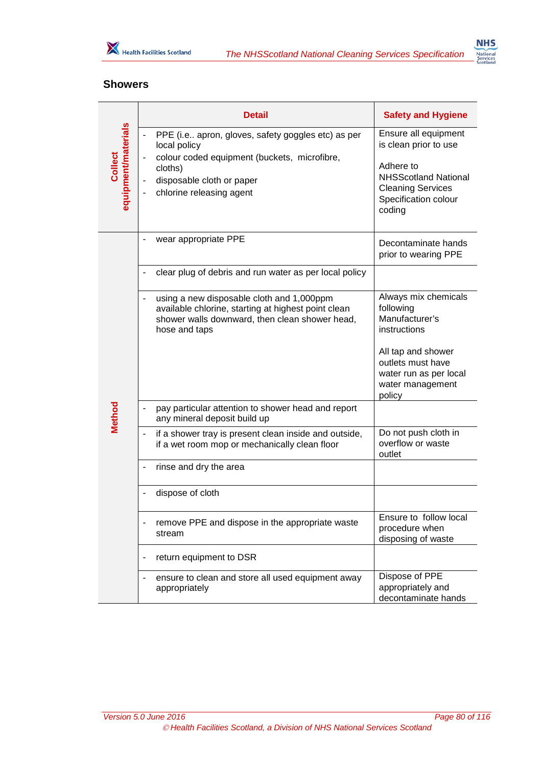

#### **Showers**

|                                       | <b>Detail</b>                                                                                                                                                                                                                                        | <b>Safety and Hygiene</b>                                                                                                                                              |
|---------------------------------------|------------------------------------------------------------------------------------------------------------------------------------------------------------------------------------------------------------------------------------------------------|------------------------------------------------------------------------------------------------------------------------------------------------------------------------|
| equipment/materials<br><b>Collect</b> | PPE (i.e., apron, gloves, safety goggles etc) as per<br>local policy<br>colour coded equipment (buckets, microfibre,<br>$\overline{\phantom{a}}$<br>cloths)<br>disposable cloth or paper<br>$\qquad \qquad \blacksquare$<br>chlorine releasing agent | Ensure all equipment<br>is clean prior to use<br>Adhere to<br><b>NHSScotland National</b><br><b>Cleaning Services</b><br>Specification colour<br>coding                |
|                                       | wear appropriate PPE                                                                                                                                                                                                                                 | Decontaminate hands<br>prior to wearing PPE                                                                                                                            |
|                                       | clear plug of debris and run water as per local policy                                                                                                                                                                                               |                                                                                                                                                                        |
|                                       | using a new disposable cloth and 1,000ppm<br>available chlorine, starting at highest point clean<br>shower walls downward, then clean shower head,<br>hose and taps                                                                                  | Always mix chemicals<br>following<br>Manufacturer's<br>instructions<br>All tap and shower<br>outlets must have<br>water run as per local<br>water management<br>policy |
| Method                                | pay particular attention to shower head and report<br>any mineral deposit build up                                                                                                                                                                   |                                                                                                                                                                        |
|                                       | if a shower tray is present clean inside and outside,<br>$\overline{\phantom{0}}$<br>if a wet room mop or mechanically clean floor                                                                                                                   | Do not push cloth in<br>overflow or waste<br>outlet                                                                                                                    |
|                                       | rinse and dry the area                                                                                                                                                                                                                               |                                                                                                                                                                        |
|                                       | dispose of cloth                                                                                                                                                                                                                                     |                                                                                                                                                                        |
|                                       | remove PPE and dispose in the appropriate waste<br>-<br>stream                                                                                                                                                                                       | Ensure to follow local<br>procedure when<br>disposing of waste                                                                                                         |
|                                       | return equipment to DSR<br>٠                                                                                                                                                                                                                         |                                                                                                                                                                        |
|                                       | ensure to clean and store all used equipment away<br>appropriately                                                                                                                                                                                   | Dispose of PPE<br>appropriately and<br>decontaminate hands                                                                                                             |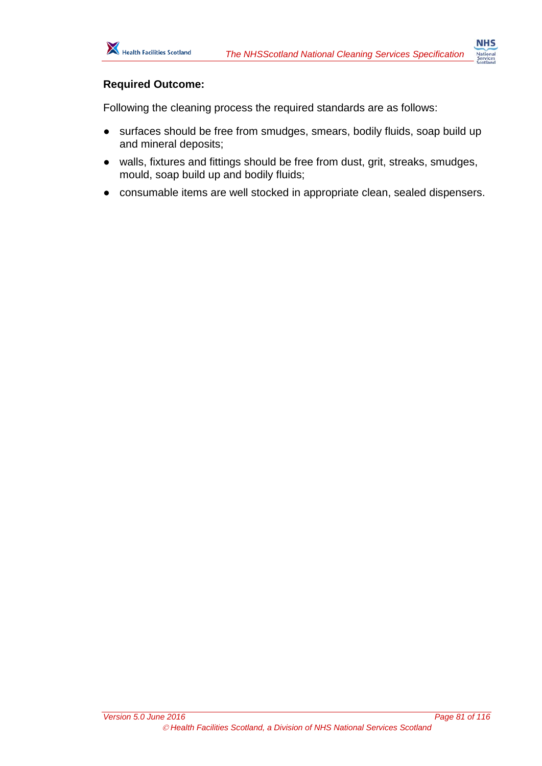

#### **Required Outcome:**

- surfaces should be free from smudges, smears, bodily fluids, soap build up and mineral deposits;
- walls, fixtures and fittings should be free from dust, grit, streaks, smudges, mould, soap build up and bodily fluids;
- consumable items are well stocked in appropriate clean, sealed dispensers.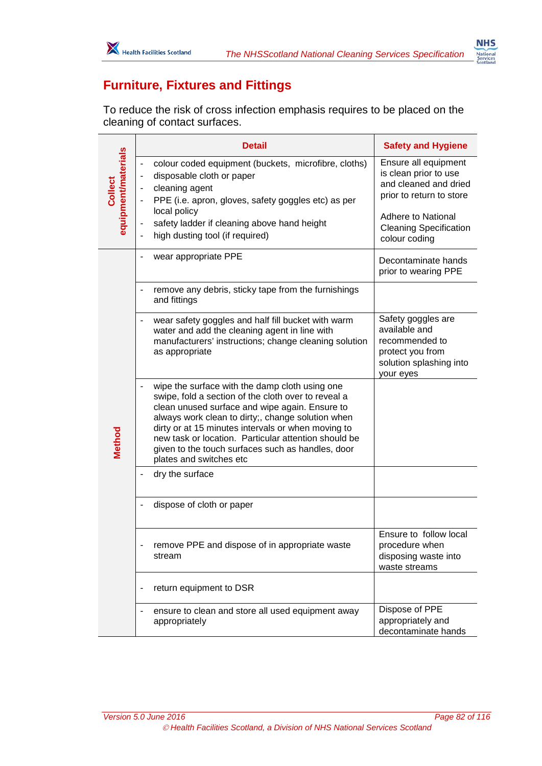# **Furniture, Fixtures and Fittings**

To reduce the risk of cross infection emphasis requires to be placed on the cleaning of contact surfaces.

|                                       | <b>Detail</b>                                                                                                                                                                                                                                                                                                                                                                                              | <b>Safety and Hygiene</b>                                                                                                                                                  |
|---------------------------------------|------------------------------------------------------------------------------------------------------------------------------------------------------------------------------------------------------------------------------------------------------------------------------------------------------------------------------------------------------------------------------------------------------------|----------------------------------------------------------------------------------------------------------------------------------------------------------------------------|
| equipment/materials<br><b>Collect</b> | colour coded equipment (buckets, microfibre, cloths)<br>disposable cloth or paper<br>$\qquad \qquad \blacksquare$<br>cleaning agent<br>$\overline{\phantom{m}}$<br>PPE (i.e. apron, gloves, safety goggles etc) as per<br>local policy<br>safety ladder if cleaning above hand height<br>$\overline{\phantom{0}}$<br>high dusting tool (if required)<br>$\overline{\phantom{0}}$                           | Ensure all equipment<br>is clean prior to use<br>and cleaned and dried<br>prior to return to store<br>Adhere to National<br><b>Cleaning Specification</b><br>colour coding |
|                                       | wear appropriate PPE<br>٠                                                                                                                                                                                                                                                                                                                                                                                  | Decontaminate hands<br>prior to wearing PPE                                                                                                                                |
|                                       | remove any debris, sticky tape from the furnishings<br>٠<br>and fittings                                                                                                                                                                                                                                                                                                                                   |                                                                                                                                                                            |
| <b>Method</b>                         | wear safety goggles and half fill bucket with warm<br>water and add the cleaning agent in line with<br>manufacturers' instructions; change cleaning solution<br>as appropriate                                                                                                                                                                                                                             | Safety goggles are<br>available and<br>recommended to<br>protect you from<br>solution splashing into<br>your eyes                                                          |
|                                       | wipe the surface with the damp cloth using one<br>swipe, fold a section of the cloth over to reveal a<br>clean unused surface and wipe again. Ensure to<br>always work clean to dirty;, change solution when<br>dirty or at 15 minutes intervals or when moving to<br>new task or location. Particular attention should be<br>given to the touch surfaces such as handles, door<br>plates and switches etc |                                                                                                                                                                            |
|                                       | dry the surface                                                                                                                                                                                                                                                                                                                                                                                            |                                                                                                                                                                            |
|                                       | dispose of cloth or paper                                                                                                                                                                                                                                                                                                                                                                                  |                                                                                                                                                                            |
|                                       | remove PPE and dispose of in appropriate waste<br>stream                                                                                                                                                                                                                                                                                                                                                   | Ensure to follow local<br>procedure when<br>disposing waste into<br>waste streams                                                                                          |
|                                       | return equipment to DSR                                                                                                                                                                                                                                                                                                                                                                                    |                                                                                                                                                                            |
|                                       | ensure to clean and store all used equipment away<br>٠<br>appropriately                                                                                                                                                                                                                                                                                                                                    | Dispose of PPE<br>appropriately and<br>decontaminate hands                                                                                                                 |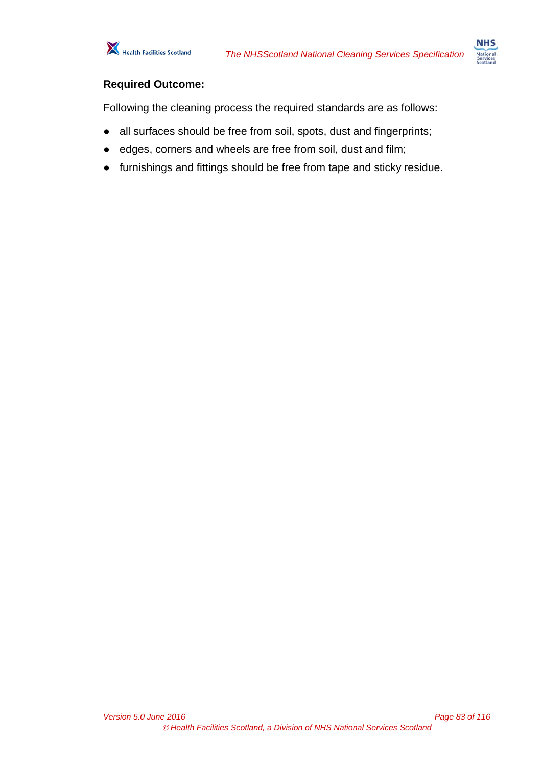#### **Required Outcome:**

- all surfaces should be free from soil, spots, dust and fingerprints;
- edges, corners and wheels are free from soil, dust and film;
- furnishings and fittings should be free from tape and sticky residue.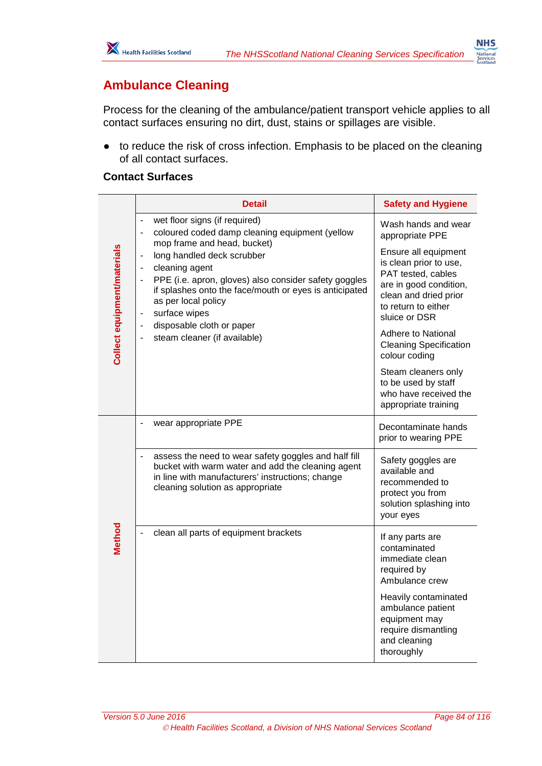## **Ambulance Cleaning**

Process for the cleaning of the ambulance/patient transport vehicle applies to all contact surfaces ensuring no dirt, dust, stains or spillages are visible.

● to reduce the risk of cross infection. Emphasis to be placed on the cleaning of all contact surfaces.

#### **Contact Surfaces**

|                             | <b>Detail</b>                                                                                                                                                                                                                                                                                           | <b>Safety and Hygiene</b>                                                                                                                                       |
|-----------------------------|---------------------------------------------------------------------------------------------------------------------------------------------------------------------------------------------------------------------------------------------------------------------------------------------------------|-----------------------------------------------------------------------------------------------------------------------------------------------------------------|
|                             | wet floor signs (if required)<br>$\qquad \qquad \blacksquare$<br>coloured coded damp cleaning equipment (yellow<br>$\overline{\phantom{a}}$<br>mop frame and head, bucket)                                                                                                                              | Wash hands and wear<br>appropriate PPE                                                                                                                          |
| Collect equipment/materials | long handled deck scrubber<br>$\blacksquare$<br>cleaning agent<br>$\blacksquare$<br>PPE (i.e. apron, gloves) also consider safety goggles<br>$\overline{\phantom{a}}$<br>if splashes onto the face/mouth or eyes is anticipated<br>as per local policy<br>surface wipes<br>$\qquad \qquad \blacksquare$ | Ensure all equipment<br>is clean prior to use,<br>PAT tested, cables<br>are in good condition,<br>clean and dried prior<br>to return to either<br>sluice or DSR |
|                             | disposable cloth or paper<br>$\overline{\phantom{a}}$<br>steam cleaner (if available)                                                                                                                                                                                                                   | <b>Adhere to National</b><br><b>Cleaning Specification</b><br>colour coding                                                                                     |
|                             |                                                                                                                                                                                                                                                                                                         | Steam cleaners only<br>to be used by staff<br>who have received the<br>appropriate training                                                                     |
|                             | wear appropriate PPE                                                                                                                                                                                                                                                                                    | Decontaminate hands<br>prior to wearing PPE                                                                                                                     |
|                             | assess the need to wear safety goggles and half fill<br>bucket with warm water and add the cleaning agent<br>in line with manufacturers' instructions; change<br>cleaning solution as appropriate                                                                                                       | Safety goggles are<br>available and<br>recommended to<br>protect you from<br>solution splashing into<br>your eyes                                               |
| <b>Method</b>               | clean all parts of equipment brackets                                                                                                                                                                                                                                                                   | If any parts are<br>contaminated<br>immediate clean<br>required by<br>Ambulance crew                                                                            |
|                             |                                                                                                                                                                                                                                                                                                         | Heavily contaminated<br>ambulance patient<br>equipment may<br>require dismantling<br>and cleaning<br>thoroughly                                                 |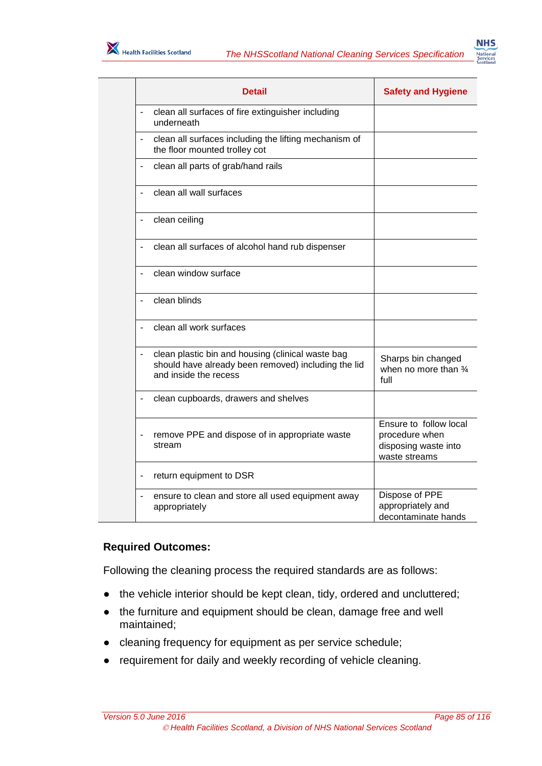

| Detail                                                                                                                            | <b>Safety and Hygiene</b>                                                         |
|-----------------------------------------------------------------------------------------------------------------------------------|-----------------------------------------------------------------------------------|
| clean all surfaces of fire extinguisher including<br>underneath                                                                   |                                                                                   |
| clean all surfaces including the lifting mechanism of<br>the floor mounted trolley cot                                            |                                                                                   |
| clean all parts of grab/hand rails                                                                                                |                                                                                   |
| clean all wall surfaces                                                                                                           |                                                                                   |
| clean ceiling                                                                                                                     |                                                                                   |
| clean all surfaces of alcohol hand rub dispenser                                                                                  |                                                                                   |
| clean window surface                                                                                                              |                                                                                   |
| clean blinds                                                                                                                      |                                                                                   |
| clean all work surfaces                                                                                                           |                                                                                   |
| clean plastic bin and housing (clinical waste bag<br>should have already been removed) including the lid<br>and inside the recess | Sharps bin changed<br>when no more than $\frac{3}{4}$<br>full                     |
| clean cupboards, drawers and shelves                                                                                              |                                                                                   |
| remove PPE and dispose of in appropriate waste<br>stream                                                                          | Ensure to follow local<br>procedure when<br>disposing waste into<br>waste streams |
| return equipment to DSR                                                                                                           |                                                                                   |
| ensure to clean and store all used equipment away<br>appropriately                                                                | Dispose of PPE<br>appropriately and<br>decontaminate hands                        |

#### **Required Outcomes:**

- the vehicle interior should be kept clean, tidy, ordered and uncluttered;
- the furniture and equipment should be clean, damage free and well maintained;
- cleaning frequency for equipment as per service schedule;
- requirement for daily and weekly recording of vehicle cleaning.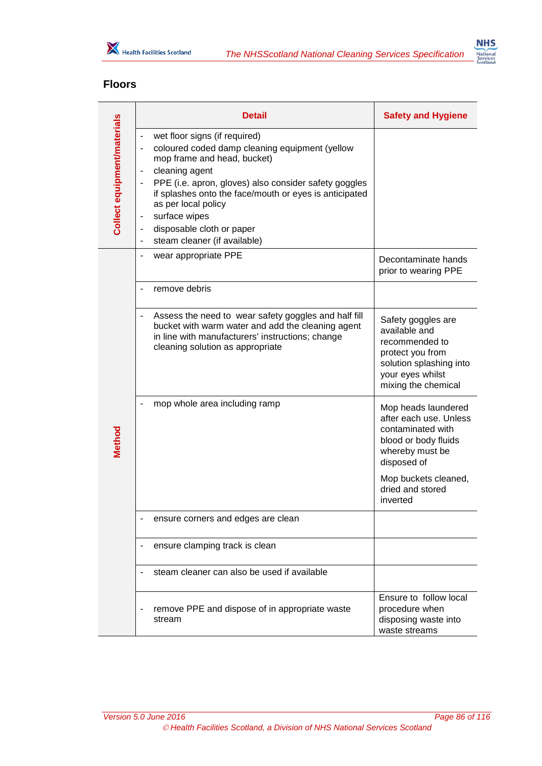

#### **Floors**

|                             | <b>Detail</b>                                                                                                                                                                                                                                                                                                                                                                                                                      | <b>Safety and Hygiene</b>                                                                                                                            |
|-----------------------------|------------------------------------------------------------------------------------------------------------------------------------------------------------------------------------------------------------------------------------------------------------------------------------------------------------------------------------------------------------------------------------------------------------------------------------|------------------------------------------------------------------------------------------------------------------------------------------------------|
| Collect equipment/materials | wet floor signs (if required)<br>coloured coded damp cleaning equipment (yellow<br>mop frame and head, bucket)<br>cleaning agent<br>PPE (i.e. apron, gloves) also consider safety goggles<br>if splashes onto the face/mouth or eyes is anticipated<br>as per local policy<br>surface wipes<br>$\overline{\phantom{a}}$<br>disposable cloth or paper<br>$\overline{a}$<br>steam cleaner (if available)<br>$\overline{\phantom{a}}$ |                                                                                                                                                      |
|                             | wear appropriate PPE                                                                                                                                                                                                                                                                                                                                                                                                               | Decontaminate hands<br>prior to wearing PPE                                                                                                          |
|                             | remove debris                                                                                                                                                                                                                                                                                                                                                                                                                      |                                                                                                                                                      |
|                             | Assess the need to wear safety goggles and half fill<br>bucket with warm water and add the cleaning agent<br>in line with manufacturers' instructions; change<br>cleaning solution as appropriate                                                                                                                                                                                                                                  | Safety goggles are<br>available and<br>recommended to<br>protect you from<br>solution splashing into<br>your eyes whilst<br>mixing the chemical      |
| Method                      | mop whole area including ramp                                                                                                                                                                                                                                                                                                                                                                                                      | Mop heads laundered<br>after each use. Unless<br>contaminated with<br>blood or body fluids<br>whereby must be<br>disposed of<br>Mop buckets cleaned, |
|                             |                                                                                                                                                                                                                                                                                                                                                                                                                                    | dried and stored<br>inverted                                                                                                                         |
|                             | ensure corners and edges are clean                                                                                                                                                                                                                                                                                                                                                                                                 |                                                                                                                                                      |
|                             | ensure clamping track is clean                                                                                                                                                                                                                                                                                                                                                                                                     |                                                                                                                                                      |
|                             | steam cleaner can also be used if available                                                                                                                                                                                                                                                                                                                                                                                        |                                                                                                                                                      |
|                             | remove PPE and dispose of in appropriate waste<br>stream                                                                                                                                                                                                                                                                                                                                                                           | Ensure to follow local<br>procedure when<br>disposing waste into<br>waste streams                                                                    |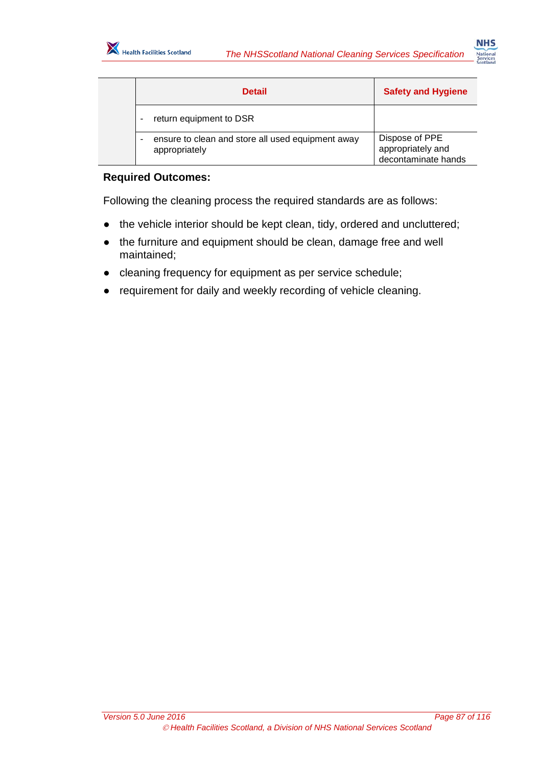

**NHS** 

Nationa

| <b>Detail</b>                                                      | <b>Safety and Hygiene</b>                                  |
|--------------------------------------------------------------------|------------------------------------------------------------|
| return equipment to DSR                                            |                                                            |
| ensure to clean and store all used equipment away<br>appropriately | Dispose of PPE<br>appropriately and<br>decontaminate hands |

#### **Required Outcomes:**

- the vehicle interior should be kept clean, tidy, ordered and uncluttered;
- the furniture and equipment should be clean, damage free and well maintained;
- cleaning frequency for equipment as per service schedule;
- requirement for daily and weekly recording of vehicle cleaning.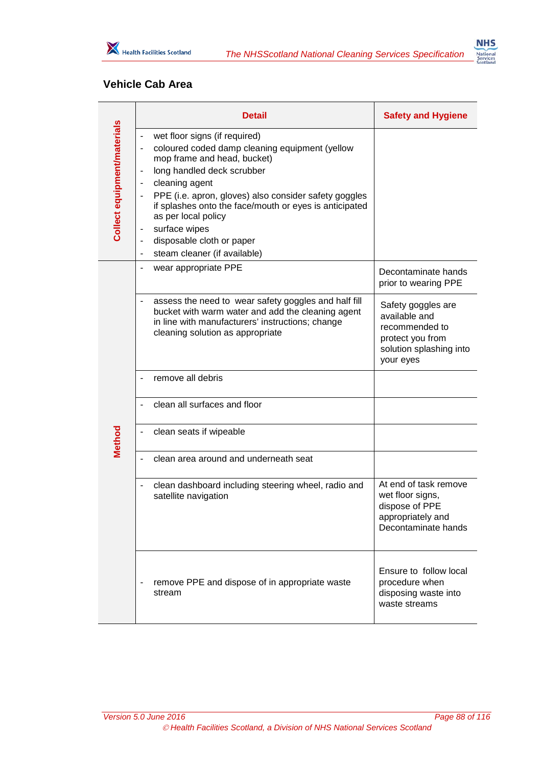

## **Vehicle Cab Area**

|                             | <b>Detail</b>                                                                                                                                                                                                                                                                                                                                                                                                                                      | <b>Safety and Hygiene</b>                                                                                         |
|-----------------------------|----------------------------------------------------------------------------------------------------------------------------------------------------------------------------------------------------------------------------------------------------------------------------------------------------------------------------------------------------------------------------------------------------------------------------------------------------|-------------------------------------------------------------------------------------------------------------------|
| Collect equipment/materials | wet floor signs (if required)<br>$\qquad \qquad \blacksquare$<br>coloured coded damp cleaning equipment (yellow<br>mop frame and head, bucket)<br>long handled deck scrubber<br>cleaning agent<br>PPE (i.e. apron, gloves) also consider safety goggles<br>if splashes onto the face/mouth or eyes is anticipated<br>as per local policy<br>surface wipes<br>$\overline{\phantom{a}}$<br>disposable cloth or paper<br>steam cleaner (if available) |                                                                                                                   |
|                             | wear appropriate PPE                                                                                                                                                                                                                                                                                                                                                                                                                               | Decontaminate hands<br>prior to wearing PPE                                                                       |
|                             | assess the need to wear safety goggles and half fill<br>bucket with warm water and add the cleaning agent<br>in line with manufacturers' instructions; change<br>cleaning solution as appropriate                                                                                                                                                                                                                                                  | Safety goggles are<br>available and<br>recommended to<br>protect you from<br>solution splashing into<br>your eyes |
|                             | remove all debris                                                                                                                                                                                                                                                                                                                                                                                                                                  |                                                                                                                   |
|                             | clean all surfaces and floor                                                                                                                                                                                                                                                                                                                                                                                                                       |                                                                                                                   |
| Method                      | clean seats if wipeable                                                                                                                                                                                                                                                                                                                                                                                                                            |                                                                                                                   |
|                             | clean area around and underneath seat                                                                                                                                                                                                                                                                                                                                                                                                              |                                                                                                                   |
|                             | clean dashboard including steering wheel, radio and<br>satellite navigation                                                                                                                                                                                                                                                                                                                                                                        | At end of task remove<br>wet floor signs,<br>dispose of PPE<br>appropriately and<br>Decontaminate hands           |
|                             | remove PPE and dispose of in appropriate waste<br>stream                                                                                                                                                                                                                                                                                                                                                                                           | Ensure to follow local<br>procedure when<br>disposing waste into<br>waste streams                                 |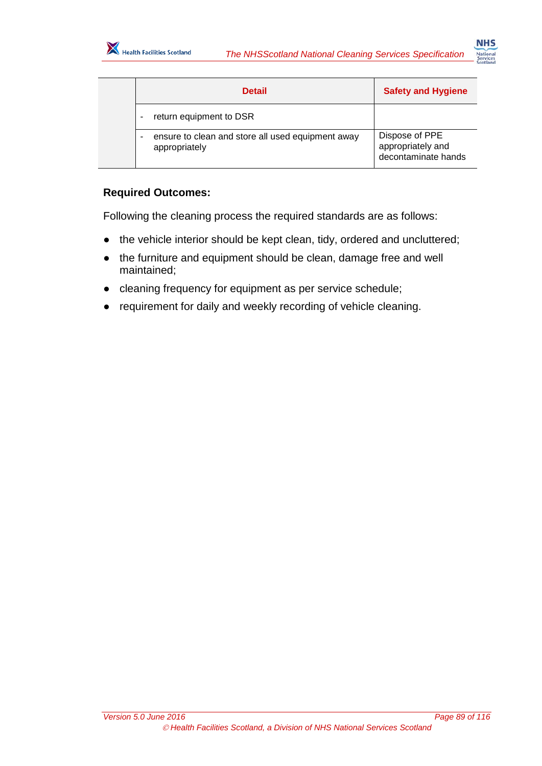

**NHS** 

Nationa

| <b>Detail</b>                                                      | <b>Safety and Hygiene</b>                                  |
|--------------------------------------------------------------------|------------------------------------------------------------|
| return equipment to DSR                                            |                                                            |
| ensure to clean and store all used equipment away<br>appropriately | Dispose of PPE<br>appropriately and<br>decontaminate hands |

#### **Required Outcomes:**

- the vehicle interior should be kept clean, tidy, ordered and uncluttered;
- the furniture and equipment should be clean, damage free and well maintained;
- cleaning frequency for equipment as per service schedule;
- requirement for daily and weekly recording of vehicle cleaning.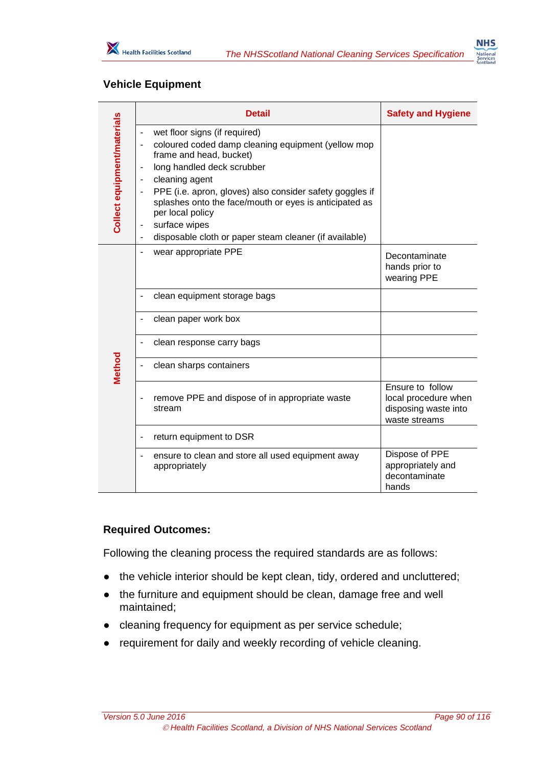

#### **Vehicle Equipment**

|                             | <b>Detail</b>                                                                                                                                                                                                                                                                                                                                                                                                        | <b>Safety and Hygiene</b>                                                         |
|-----------------------------|----------------------------------------------------------------------------------------------------------------------------------------------------------------------------------------------------------------------------------------------------------------------------------------------------------------------------------------------------------------------------------------------------------------------|-----------------------------------------------------------------------------------|
| Collect equipment/materials | wet floor signs (if required)<br>coloured coded damp cleaning equipment (yellow mop<br>frame and head, bucket)<br>long handled deck scrubber<br>$\overline{\phantom{0}}$<br>cleaning agent<br>PPE (i.e. apron, gloves) also consider safety goggles if<br>splashes onto the face/mouth or eyes is anticipated as<br>per local policy<br>surface wipes<br>٠<br>disposable cloth or paper steam cleaner (if available) |                                                                                   |
|                             | wear appropriate PPE                                                                                                                                                                                                                                                                                                                                                                                                 | Decontaminate<br>hands prior to<br>wearing PPE                                    |
|                             | clean equipment storage bags                                                                                                                                                                                                                                                                                                                                                                                         |                                                                                   |
|                             | clean paper work box                                                                                                                                                                                                                                                                                                                                                                                                 |                                                                                   |
|                             | clean response carry bags                                                                                                                                                                                                                                                                                                                                                                                            |                                                                                   |
| Method                      | clean sharps containers                                                                                                                                                                                                                                                                                                                                                                                              |                                                                                   |
|                             | remove PPE and dispose of in appropriate waste<br>stream                                                                                                                                                                                                                                                                                                                                                             | Ensure to follow<br>local procedure when<br>disposing waste into<br>waste streams |
|                             | return equipment to DSR                                                                                                                                                                                                                                                                                                                                                                                              |                                                                                   |
|                             | ensure to clean and store all used equipment away<br>appropriately                                                                                                                                                                                                                                                                                                                                                   | Dispose of PPE<br>appropriately and<br>decontaminate<br>hands                     |

#### **Required Outcomes:**

- the vehicle interior should be kept clean, tidy, ordered and uncluttered;
- the furniture and equipment should be clean, damage free and well maintained;
- cleaning frequency for equipment as per service schedule;
- requirement for daily and weekly recording of vehicle cleaning.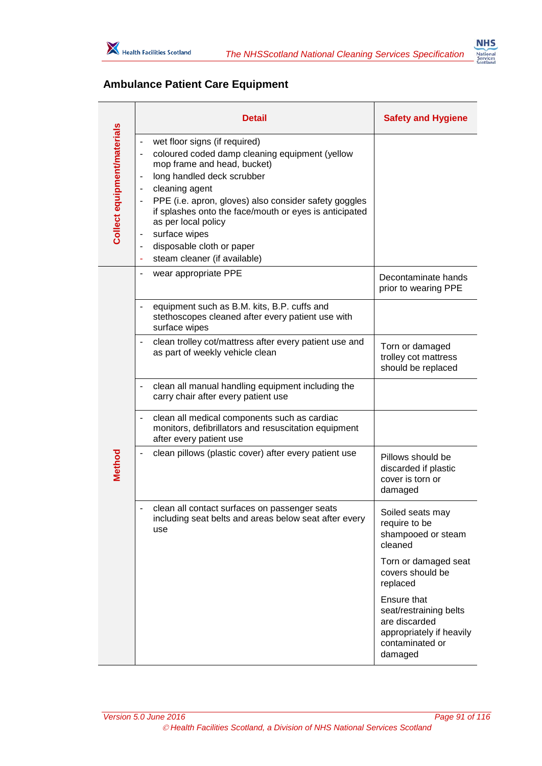

## **Ambulance Patient Care Equipment**

|                             | Detail                                                                                                                                                                                                                                                                                                                                                                                 | <b>Safety and Hygiene</b>                                                                                        |
|-----------------------------|----------------------------------------------------------------------------------------------------------------------------------------------------------------------------------------------------------------------------------------------------------------------------------------------------------------------------------------------------------------------------------------|------------------------------------------------------------------------------------------------------------------|
| Collect equipment/materials | wet floor signs (if required)<br>coloured coded damp cleaning equipment (yellow<br>mop frame and head, bucket)<br>long handled deck scrubber<br>cleaning agent<br>PPE (i.e. apron, gloves) also consider safety goggles<br>if splashes onto the face/mouth or eyes is anticipated<br>as per local policy<br>surface wipes<br>disposable cloth or paper<br>steam cleaner (if available) |                                                                                                                  |
|                             | wear appropriate PPE                                                                                                                                                                                                                                                                                                                                                                   | Decontaminate hands<br>prior to wearing PPE                                                                      |
|                             | equipment such as B.M. kits, B.P. cuffs and<br>stethoscopes cleaned after every patient use with<br>surface wipes                                                                                                                                                                                                                                                                      |                                                                                                                  |
|                             | clean trolley cot/mattress after every patient use and<br>as part of weekly vehicle clean                                                                                                                                                                                                                                                                                              | Torn or damaged<br>trolley cot mattress<br>should be replaced                                                    |
|                             | clean all manual handling equipment including the<br>carry chair after every patient use                                                                                                                                                                                                                                                                                               |                                                                                                                  |
|                             | clean all medical components such as cardiac<br>monitors, defibrillators and resuscitation equipment<br>after every patient use                                                                                                                                                                                                                                                        |                                                                                                                  |
| Method                      | clean pillows (plastic cover) after every patient use                                                                                                                                                                                                                                                                                                                                  | Pillows should be<br>discarded if plastic<br>cover is torn or<br>damaged                                         |
|                             | clean all contact surfaces on passenger seats<br>including seat belts and areas below seat after every<br>use                                                                                                                                                                                                                                                                          | Soiled seats may<br>require to be<br>shampooed or steam<br>cleaned                                               |
|                             |                                                                                                                                                                                                                                                                                                                                                                                        | Torn or damaged seat<br>covers should be<br>replaced                                                             |
|                             |                                                                                                                                                                                                                                                                                                                                                                                        | Ensure that<br>seat/restraining belts<br>are discarded<br>appropriately if heavily<br>contaminated or<br>damaged |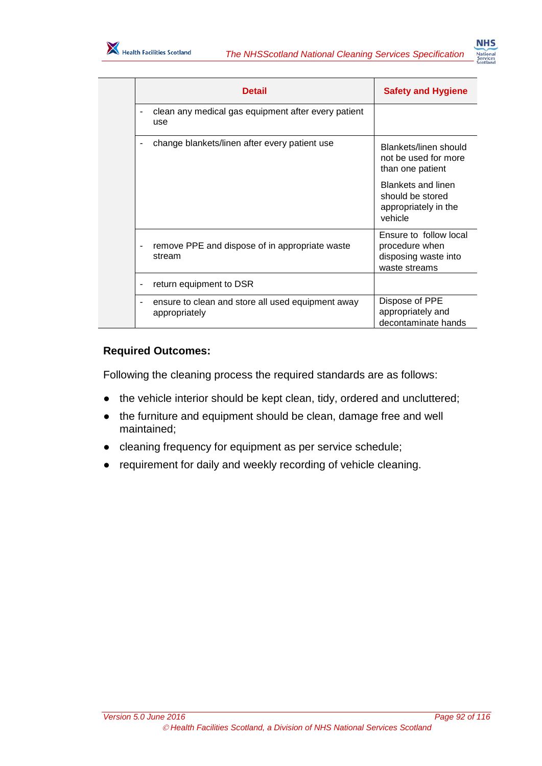

|  | <b>Detail</b>                                                      | <b>Safety and Hygiene</b>                                                         |
|--|--------------------------------------------------------------------|-----------------------------------------------------------------------------------|
|  | clean any medical gas equipment after every patient<br>use         |                                                                                   |
|  | change blankets/linen after every patient use                      | Blankets/linen should<br>not be used for more<br>than one patient                 |
|  |                                                                    | Blankets and linen<br>should be stored<br>appropriately in the<br>vehicle         |
|  | remove PPE and dispose of in appropriate waste<br>stream           | Ensure to follow local<br>procedure when<br>disposing waste into<br>waste streams |
|  | return equipment to DSR                                            |                                                                                   |
|  | ensure to clean and store all used equipment away<br>appropriately | Dispose of PPE<br>appropriately and<br>decontaminate hands                        |

#### **Required Outcomes:**

Following the cleaning process the required standards are as follows:

- the vehicle interior should be kept clean, tidy, ordered and uncluttered;
- the furniture and equipment should be clean, damage free and well maintained;
- cleaning frequency for equipment as per service schedule;
- requirement for daily and weekly recording of vehicle cleaning.

**NHS** Nationa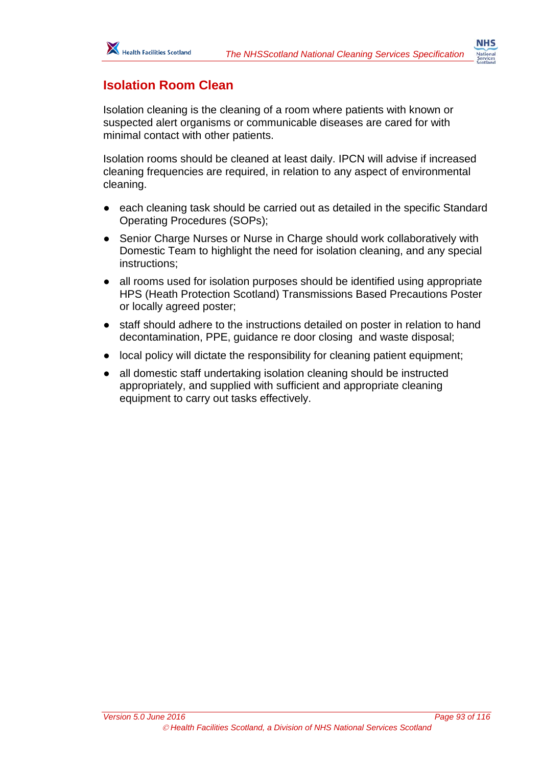## **Isolation Room Clean**

Isolation cleaning is the cleaning of a room where patients with known or suspected alert organisms or communicable diseases are cared for with minimal contact with other patients.

Isolation rooms should be cleaned at least daily. IPCN will advise if increased cleaning frequencies are required, in relation to any aspect of environmental cleaning.

- each cleaning task should be carried out as detailed in the specific Standard Operating Procedures (SOPs);
- Senior Charge Nurses or Nurse in Charge should work collaboratively with Domestic Team to highlight the need for isolation cleaning, and any special instructions;
- all rooms used for isolation purposes should be identified using appropriate HPS (Heath Protection Scotland) Transmissions Based Precautions Poster or locally agreed poster;
- staff should adhere to the instructions detailed on poster in relation to hand decontamination, PPE, guidance re door closing and waste disposal;
- local policy will dictate the responsibility for cleaning patient equipment;
- all domestic staff undertaking isolation cleaning should be instructed appropriately, and supplied with sufficient and appropriate cleaning equipment to carry out tasks effectively.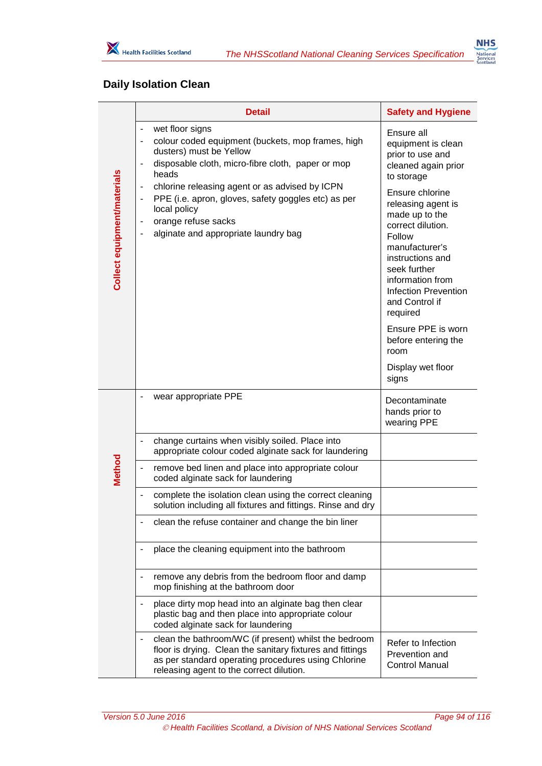

### **Daily Isolation Clean**

|                             | <b>Detail</b>                                                                                                                                                                                                                                                                                                                                                                                                                                                                                             | <b>Safety and Hygiene</b>                                                                                                                                                                                                                                                                                                                                                                            |
|-----------------------------|-----------------------------------------------------------------------------------------------------------------------------------------------------------------------------------------------------------------------------------------------------------------------------------------------------------------------------------------------------------------------------------------------------------------------------------------------------------------------------------------------------------|------------------------------------------------------------------------------------------------------------------------------------------------------------------------------------------------------------------------------------------------------------------------------------------------------------------------------------------------------------------------------------------------------|
| Collect equipment/materials | wet floor signs<br>$\overline{\phantom{a}}$<br>colour coded equipment (buckets, mop frames, high<br>$\overline{\phantom{a}}$<br>dusters) must be Yellow<br>disposable cloth, micro-fibre cloth, paper or mop<br>$\blacksquare$<br>heads<br>chlorine releasing agent or as advised by ICPN<br>$\overline{\phantom{a}}$<br>PPE (i.e. apron, gloves, safety goggles etc) as per<br>$\overline{\phantom{a}}$<br>local policy<br>orange refuse sacks<br>alginate and appropriate laundry bag<br>$\overline{a}$ | Ensure all<br>equipment is clean<br>prior to use and<br>cleaned again prior<br>to storage<br>Ensure chlorine<br>releasing agent is<br>made up to the<br>correct dilution.<br>Follow<br>manufacturer's<br>instructions and<br>seek further<br>information from<br><b>Infection Prevention</b><br>and Control if<br>required<br>Ensure PPE is worn<br>before entering the<br>room<br>Display wet floor |
|                             |                                                                                                                                                                                                                                                                                                                                                                                                                                                                                                           | signs                                                                                                                                                                                                                                                                                                                                                                                                |
|                             | wear appropriate PPE                                                                                                                                                                                                                                                                                                                                                                                                                                                                                      | Decontaminate<br>hands prior to<br>wearing PPE                                                                                                                                                                                                                                                                                                                                                       |
|                             | change curtains when visibly soiled. Place into<br>appropriate colour coded alginate sack for laundering                                                                                                                                                                                                                                                                                                                                                                                                  |                                                                                                                                                                                                                                                                                                                                                                                                      |
| <b>Method</b>               | remove bed linen and place into appropriate colour<br>coded alginate sack for laundering                                                                                                                                                                                                                                                                                                                                                                                                                  |                                                                                                                                                                                                                                                                                                                                                                                                      |
|                             | complete the isolation clean using the correct cleaning<br>solution including all fixtures and fittings. Rinse and dry                                                                                                                                                                                                                                                                                                                                                                                    |                                                                                                                                                                                                                                                                                                                                                                                                      |
|                             | clean the refuse container and change the bin liner                                                                                                                                                                                                                                                                                                                                                                                                                                                       |                                                                                                                                                                                                                                                                                                                                                                                                      |
|                             | place the cleaning equipment into the bathroom                                                                                                                                                                                                                                                                                                                                                                                                                                                            |                                                                                                                                                                                                                                                                                                                                                                                                      |
|                             | remove any debris from the bedroom floor and damp<br>mop finishing at the bathroom door                                                                                                                                                                                                                                                                                                                                                                                                                   |                                                                                                                                                                                                                                                                                                                                                                                                      |
|                             | place dirty mop head into an alginate bag then clear<br>plastic bag and then place into appropriate colour<br>coded alginate sack for laundering                                                                                                                                                                                                                                                                                                                                                          |                                                                                                                                                                                                                                                                                                                                                                                                      |
|                             | clean the bathroom/WC (if present) whilst the bedroom<br>$\overline{\phantom{a}}$<br>floor is drying. Clean the sanitary fixtures and fittings<br>as per standard operating procedures using Chlorine<br>releasing agent to the correct dilution.                                                                                                                                                                                                                                                         | Refer to Infection<br>Prevention and<br><b>Control Manual</b>                                                                                                                                                                                                                                                                                                                                        |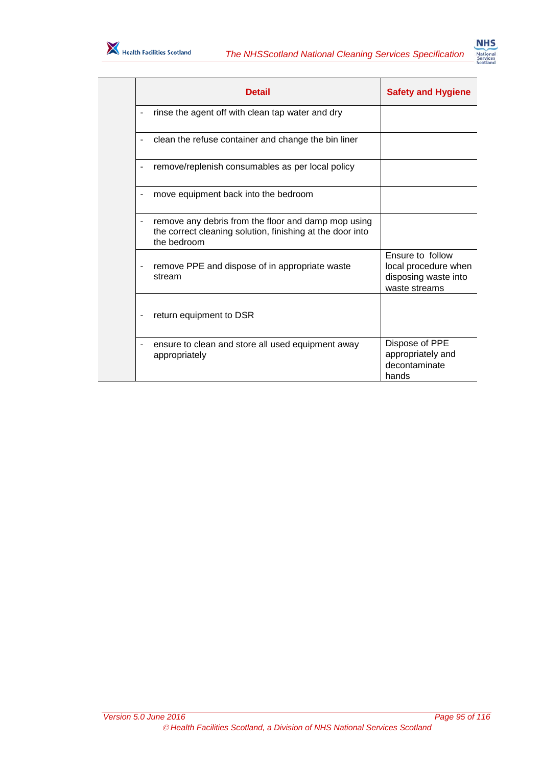

| <b>Detail</b>                                                                                                                   | <b>Safety and Hygiene</b>                                                         |
|---------------------------------------------------------------------------------------------------------------------------------|-----------------------------------------------------------------------------------|
| rinse the agent off with clean tap water and dry                                                                                |                                                                                   |
| clean the refuse container and change the bin liner                                                                             |                                                                                   |
| remove/replenish consumables as per local policy                                                                                |                                                                                   |
| move equipment back into the bedroom                                                                                            |                                                                                   |
| remove any debris from the floor and damp mop using<br>the correct cleaning solution, finishing at the door into<br>the bedroom |                                                                                   |
| remove PPE and dispose of in appropriate waste<br>stream                                                                        | Ensure to follow<br>local procedure when<br>disposing waste into<br>waste streams |
| return equipment to DSR                                                                                                         |                                                                                   |
| ensure to clean and store all used equipment away<br>appropriately                                                              | Dispose of PPE<br>appropriately and<br>decontaminate<br>hands                     |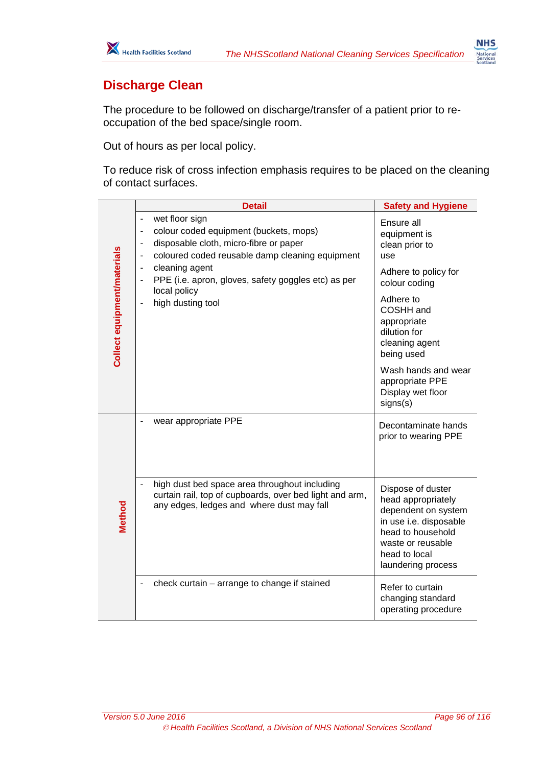

## **Discharge Clean**

The procedure to be followed on discharge/transfer of a patient prior to reoccupation of the bed space/single room.

Out of hours as per local policy.

To reduce risk of cross infection emphasis requires to be placed on the cleaning of contact surfaces.

|                             | <b>Detail</b>                                                                                                                                                                                             | <b>Safety and Hygiene</b>                                                                                                                                                 |
|-----------------------------|-----------------------------------------------------------------------------------------------------------------------------------------------------------------------------------------------------------|---------------------------------------------------------------------------------------------------------------------------------------------------------------------------|
|                             | wet floor sign<br>colour coded equipment (buckets, mops)<br>$\blacksquare$<br>disposable cloth, micro-fibre or paper<br>÷,<br>coloured coded reusable damp cleaning equipment<br>$\overline{\phantom{a}}$ | Ensure all<br>equipment is<br>clean prior to<br>use                                                                                                                       |
|                             | cleaning agent<br>$\overline{\phantom{a}}$<br>PPE (i.e. apron, gloves, safety goggles etc) as per                                                                                                         | Adhere to policy for<br>colour coding                                                                                                                                     |
| Collect equipment/materials | local policy<br>high dusting tool                                                                                                                                                                         | Adhere to<br>COSHH and<br>appropriate<br>dilution for<br>cleaning agent<br>being used                                                                                     |
|                             |                                                                                                                                                                                                           | Wash hands and wear<br>appropriate PPE<br>Display wet floor<br>signs(s)                                                                                                   |
|                             | wear appropriate PPE                                                                                                                                                                                      | Decontaminate hands<br>prior to wearing PPE                                                                                                                               |
| <b>Method</b>               | high dust bed space area throughout including<br>curtain rail, top of cupboards, over bed light and arm,<br>any edges, ledges and where dust may fall                                                     | Dispose of duster<br>head appropriately<br>dependent on system<br>in use i.e. disposable<br>head to household<br>waste or reusable<br>head to local<br>laundering process |
|                             | check curtain - arrange to change if stained                                                                                                                                                              | Refer to curtain<br>changing standard<br>operating procedure                                                                                                              |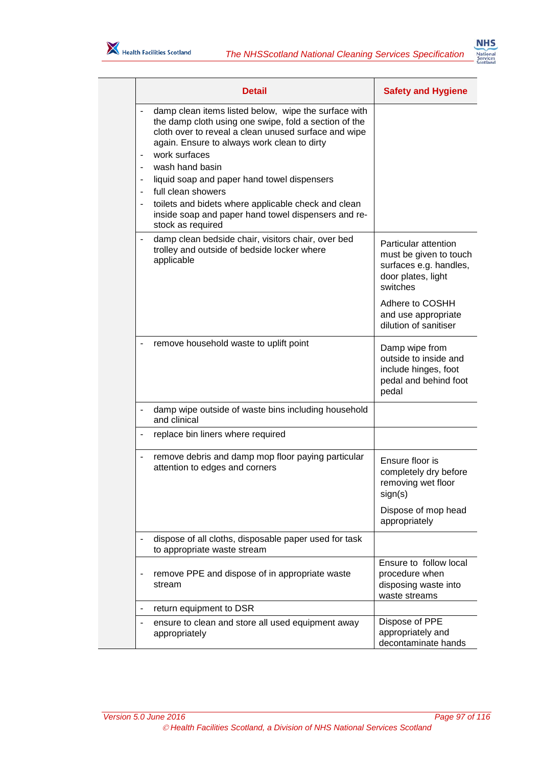

| NHS                                            |
|------------------------------------------------|
| <b>National</b><br><b>Services</b><br>Scotland |

|                                                                                                                                                                 | <b>Detail</b>                                                                                                                                                                                                                                                                                                                                                                     | <b>Safety and Hygiene</b>                                                                                                                            |
|-----------------------------------------------------------------------------------------------------------------------------------------------------------------|-----------------------------------------------------------------------------------------------------------------------------------------------------------------------------------------------------------------------------------------------------------------------------------------------------------------------------------------------------------------------------------|------------------------------------------------------------------------------------------------------------------------------------------------------|
| work surfaces<br>$\overline{\phantom{a}}$<br>wash hand basin<br>$\overline{\phantom{a}}$<br>full clean showers<br>$\overline{\phantom{a}}$<br>stock as required | damp clean items listed below, wipe the surface with<br>the damp cloth using one swipe, fold a section of the<br>cloth over to reveal a clean unused surface and wipe<br>again. Ensure to always work clean to dirty<br>liquid soap and paper hand towel dispensers<br>toilets and bidets where applicable check and clean<br>inside soap and paper hand towel dispensers and re- |                                                                                                                                                      |
| ٠<br>applicable                                                                                                                                                 | damp clean bedside chair, visitors chair, over bed<br>trolley and outside of bedside locker where                                                                                                                                                                                                                                                                                 | Particular attention<br>must be given to touch<br>surfaces e.g. handles,<br>door plates, light<br>switches<br>Adhere to COSHH<br>and use appropriate |
|                                                                                                                                                                 |                                                                                                                                                                                                                                                                                                                                                                                   | dilution of sanitiser                                                                                                                                |
|                                                                                                                                                                 | remove household waste to uplift point                                                                                                                                                                                                                                                                                                                                            | Damp wipe from<br>outside to inside and<br>include hinges, foot<br>pedal and behind foot<br>pedal                                                    |
| and clinical                                                                                                                                                    | damp wipe outside of waste bins including household                                                                                                                                                                                                                                                                                                                               |                                                                                                                                                      |
|                                                                                                                                                                 | replace bin liners where required                                                                                                                                                                                                                                                                                                                                                 |                                                                                                                                                      |
|                                                                                                                                                                 | remove debris and damp mop floor paying particular<br>attention to edges and corners                                                                                                                                                                                                                                                                                              | Ensure floor is<br>completely dry before<br>removing wet floor<br>sign(s)                                                                            |
|                                                                                                                                                                 |                                                                                                                                                                                                                                                                                                                                                                                   | Dispose of mop head<br>appropriately                                                                                                                 |
|                                                                                                                                                                 | dispose of all cloths, disposable paper used for task<br>to appropriate waste stream                                                                                                                                                                                                                                                                                              |                                                                                                                                                      |
| stream                                                                                                                                                          | remove PPE and dispose of in appropriate waste                                                                                                                                                                                                                                                                                                                                    | Ensure to follow local<br>procedure when<br>disposing waste into<br>waste streams                                                                    |
| return equipment to DSR<br>۰                                                                                                                                    |                                                                                                                                                                                                                                                                                                                                                                                   |                                                                                                                                                      |
| appropriately                                                                                                                                                   | ensure to clean and store all used equipment away                                                                                                                                                                                                                                                                                                                                 | Dispose of PPE<br>appropriately and<br>decontaminate hands                                                                                           |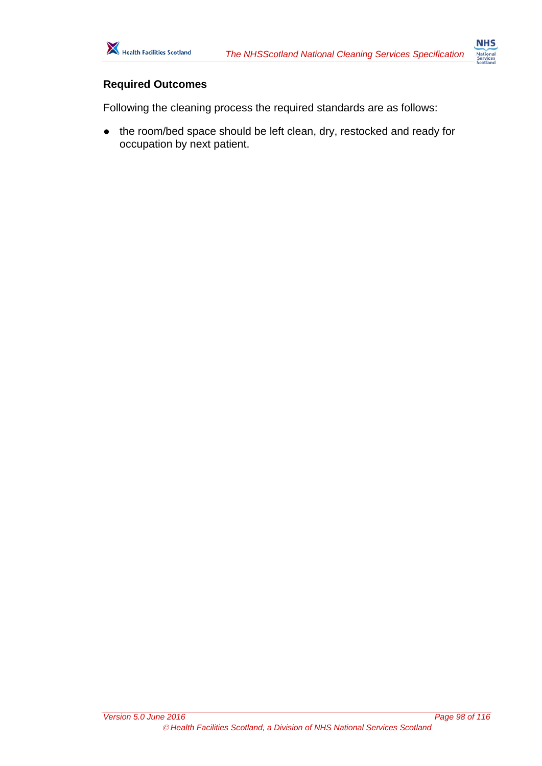

#### **Required Outcomes**

Following the cleaning process the required standards are as follows:

● the room/bed space should be left clean, dry, restocked and ready for occupation by next patient.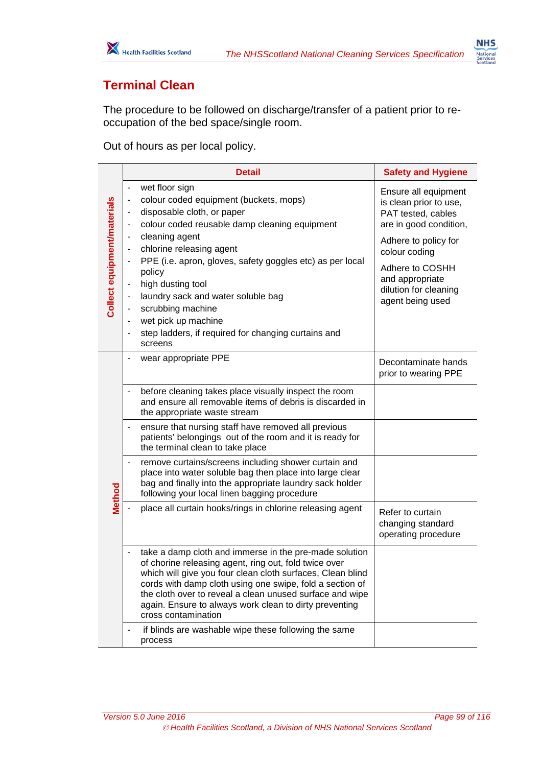

## **Terminal Clean**

The procedure to be followed on discharge/transfer of a patient prior to reoccupation of the bed space/single room.

Out of hours as per local policy.

|                             | <b>Detail</b>                                                                                                                                                                                                                                                                                                                                                                                                                                                                              | <b>Safety and Hygiene</b>                                                                                                                                                                                                  |
|-----------------------------|--------------------------------------------------------------------------------------------------------------------------------------------------------------------------------------------------------------------------------------------------------------------------------------------------------------------------------------------------------------------------------------------------------------------------------------------------------------------------------------------|----------------------------------------------------------------------------------------------------------------------------------------------------------------------------------------------------------------------------|
| Collect equipment/materials | wet floor sign<br>$\overline{\phantom{0}}$<br>colour coded equipment (buckets, mops)<br>disposable cloth, or paper<br>$\overline{a}$<br>colour coded reusable damp cleaning equipment<br>cleaning agent<br>chlorine releasing agent<br>PPE (i.e. apron, gloves, safety goggles etc) as per local<br>policy<br>high dusting tool<br>$\blacksquare$<br>laundry sack and water soluble bag<br>scrubbing machine<br>wet pick up machine<br>step ladders, if required for changing curtains and | Ensure all equipment<br>is clean prior to use,<br>PAT tested, cables<br>are in good condition,<br>Adhere to policy for<br>colour coding<br>Adhere to COSHH<br>and appropriate<br>dilution for cleaning<br>agent being used |
|                             | screens<br>wear appropriate PPE                                                                                                                                                                                                                                                                                                                                                                                                                                                            | Decontaminate hands<br>prior to wearing PPE                                                                                                                                                                                |
|                             | before cleaning takes place visually inspect the room<br>and ensure all removable items of debris is discarded in<br>the appropriate waste stream                                                                                                                                                                                                                                                                                                                                          |                                                                                                                                                                                                                            |
|                             | ensure that nursing staff have removed all previous<br>patients' belongings out of the room and it is ready for<br>the terminal clean to take place                                                                                                                                                                                                                                                                                                                                        |                                                                                                                                                                                                                            |
| Method                      | remove curtains/screens including shower curtain and<br>place into water soluble bag then place into large clear<br>bag and finally into the appropriate laundry sack holder<br>following your local linen bagging procedure                                                                                                                                                                                                                                                               |                                                                                                                                                                                                                            |
|                             | place all curtain hooks/rings in chlorine releasing agent                                                                                                                                                                                                                                                                                                                                                                                                                                  | Refer to curtain<br>changing standard<br>operating procedure                                                                                                                                                               |
|                             | take a damp cloth and immerse in the pre-made solution<br>of chorine releasing agent, ring out, fold twice over<br>which will give you four clean cloth surfaces, Clean blind<br>cords with damp cloth using one swipe, fold a section of<br>the cloth over to reveal a clean unused surface and wipe<br>again. Ensure to always work clean to dirty preventing<br>cross contamination                                                                                                     |                                                                                                                                                                                                                            |
|                             | if blinds are washable wipe these following the same<br>process                                                                                                                                                                                                                                                                                                                                                                                                                            |                                                                                                                                                                                                                            |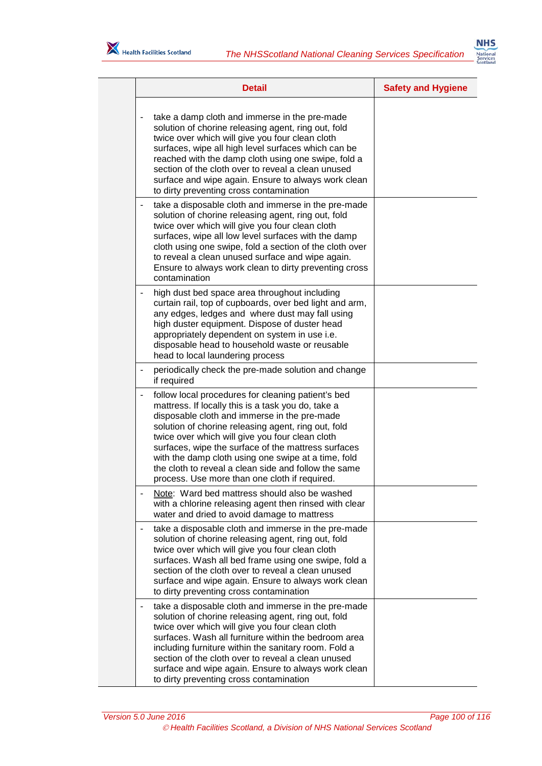

|                | <b>Detail</b>                                                                                                                                                                                                                                                                                                                                                                                                                                                                             | <b>Safety and Hygiene</b> |
|----------------|-------------------------------------------------------------------------------------------------------------------------------------------------------------------------------------------------------------------------------------------------------------------------------------------------------------------------------------------------------------------------------------------------------------------------------------------------------------------------------------------|---------------------------|
|                | take a damp cloth and immerse in the pre-made<br>solution of chorine releasing agent, ring out, fold<br>twice over which will give you four clean cloth<br>surfaces, wipe all high level surfaces which can be<br>reached with the damp cloth using one swipe, fold a<br>section of the cloth over to reveal a clean unused<br>surface and wipe again. Ensure to always work clean<br>to dirty preventing cross contamination                                                             |                           |
|                | take a disposable cloth and immerse in the pre-made<br>solution of chorine releasing agent, ring out, fold<br>twice over which will give you four clean cloth<br>surfaces, wipe all low level surfaces with the damp<br>cloth using one swipe, fold a section of the cloth over<br>to reveal a clean unused surface and wipe again.<br>Ensure to always work clean to dirty preventing cross<br>contamination                                                                             |                           |
|                | high dust bed space area throughout including<br>curtain rail, top of cupboards, over bed light and arm,<br>any edges, ledges and where dust may fall using<br>high duster equipment. Dispose of duster head<br>appropriately dependent on system in use i.e.<br>disposable head to household waste or reusable<br>head to local laundering process                                                                                                                                       |                           |
|                | periodically check the pre-made solution and change<br>if required                                                                                                                                                                                                                                                                                                                                                                                                                        |                           |
|                | follow local procedures for cleaning patient's bed<br>mattress. If locally this is a task you do, take a<br>disposable cloth and immerse in the pre-made<br>solution of chorine releasing agent, ring out, fold<br>twice over which will give you four clean cloth<br>surfaces, wipe the surface of the mattress surfaces<br>with the damp cloth using one swipe at a time, fold<br>the cloth to reveal a clean side and follow the same<br>process. Use more than one cloth if required. |                           |
|                | Note: Ward bed mattress should also be washed<br>with a chlorine releasing agent then rinsed with clear<br>water and dried to avoid damage to mattress                                                                                                                                                                                                                                                                                                                                    |                           |
| $\blacksquare$ | take a disposable cloth and immerse in the pre-made<br>solution of chorine releasing agent, ring out, fold<br>twice over which will give you four clean cloth<br>surfaces. Wash all bed frame using one swipe, fold a<br>section of the cloth over to reveal a clean unused<br>surface and wipe again. Ensure to always work clean<br>to dirty preventing cross contamination                                                                                                             |                           |
|                | take a disposable cloth and immerse in the pre-made<br>solution of chorine releasing agent, ring out, fold<br>twice over which will give you four clean cloth<br>surfaces. Wash all furniture within the bedroom area<br>including furniture within the sanitary room. Fold a<br>section of the cloth over to reveal a clean unused<br>surface and wipe again. Ensure to always work clean<br>to dirty preventing cross contamination                                                     |                           |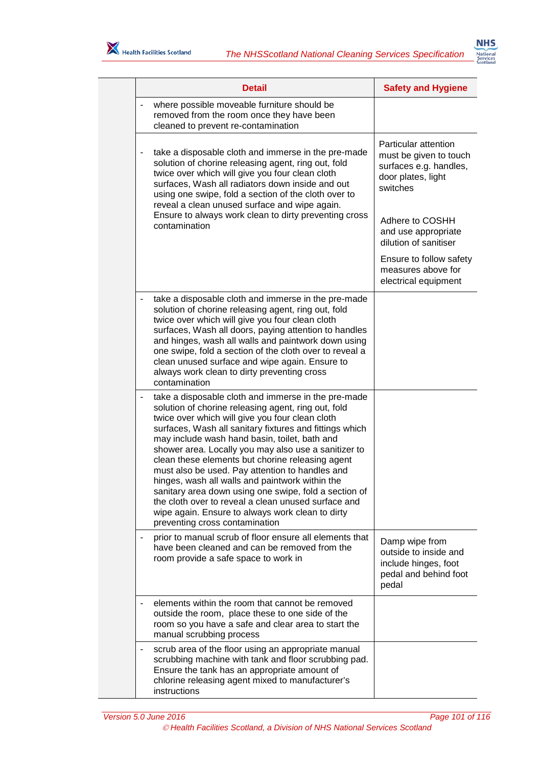

**NHS** National<br>Services<br>Scotland

|                              | <b>Detail</b>                                                                                                                                                                                                                                                                                                                                                                                                                                                                                                                                                                                                                                                                                     | <b>Safety and Hygiene</b>                                                                                  |
|------------------------------|---------------------------------------------------------------------------------------------------------------------------------------------------------------------------------------------------------------------------------------------------------------------------------------------------------------------------------------------------------------------------------------------------------------------------------------------------------------------------------------------------------------------------------------------------------------------------------------------------------------------------------------------------------------------------------------------------|------------------------------------------------------------------------------------------------------------|
|                              | where possible moveable furniture should be<br>removed from the room once they have been<br>cleaned to prevent re-contamination                                                                                                                                                                                                                                                                                                                                                                                                                                                                                                                                                                   |                                                                                                            |
| -                            | take a disposable cloth and immerse in the pre-made<br>solution of chorine releasing agent, ring out, fold<br>twice over which will give you four clean cloth<br>surfaces, Wash all radiators down inside and out<br>using one swipe, fold a section of the cloth over to<br>reveal a clean unused surface and wipe again.<br>Ensure to always work clean to dirty preventing cross<br>contamination                                                                                                                                                                                                                                                                                              | Particular attention<br>must be given to touch<br>surfaces e.g. handles,<br>door plates, light<br>switches |
|                              |                                                                                                                                                                                                                                                                                                                                                                                                                                                                                                                                                                                                                                                                                                   | Adhere to COSHH<br>and use appropriate<br>dilution of sanitiser                                            |
|                              |                                                                                                                                                                                                                                                                                                                                                                                                                                                                                                                                                                                                                                                                                                   | Ensure to follow safety<br>measures above for<br>electrical equipment                                      |
| $\qquad \qquad \blacksquare$ | take a disposable cloth and immerse in the pre-made<br>solution of chorine releasing agent, ring out, fold<br>twice over which will give you four clean cloth<br>surfaces, Wash all doors, paying attention to handles<br>and hinges, wash all walls and paintwork down using<br>one swipe, fold a section of the cloth over to reveal a<br>clean unused surface and wipe again. Ensure to<br>always work clean to dirty preventing cross<br>contamination                                                                                                                                                                                                                                        |                                                                                                            |
| $\qquad \qquad \blacksquare$ | take a disposable cloth and immerse in the pre-made<br>solution of chorine releasing agent, ring out, fold<br>twice over which will give you four clean cloth<br>surfaces, Wash all sanitary fixtures and fittings which<br>may include wash hand basin, toilet, bath and<br>shower area. Locally you may also use a sanitizer to<br>clean these elements but chorine releasing agent<br>must also be used. Pay attention to handles and<br>hinges, wash all walls and paintwork within the<br>sanitary area down using one swipe, fold a section of<br>the cloth over to reveal a clean unused surface and<br>wipe again. Ensure to always work clean to dirty<br>preventing cross contamination |                                                                                                            |
|                              | prior to manual scrub of floor ensure all elements that<br>have been cleaned and can be removed from the<br>room provide a safe space to work in                                                                                                                                                                                                                                                                                                                                                                                                                                                                                                                                                  | Damp wipe from<br>outside to inside and<br>include hinges, foot<br>pedal and behind foot<br>pedal          |
| -                            | elements within the room that cannot be removed<br>outside the room, place these to one side of the<br>room so you have a safe and clear area to start the<br>manual scrubbing process                                                                                                                                                                                                                                                                                                                                                                                                                                                                                                            |                                                                                                            |
| ٠                            | scrub area of the floor using an appropriate manual<br>scrubbing machine with tank and floor scrubbing pad.<br>Ensure the tank has an appropriate amount of<br>chlorine releasing agent mixed to manufacturer's<br>instructions                                                                                                                                                                                                                                                                                                                                                                                                                                                                   |                                                                                                            |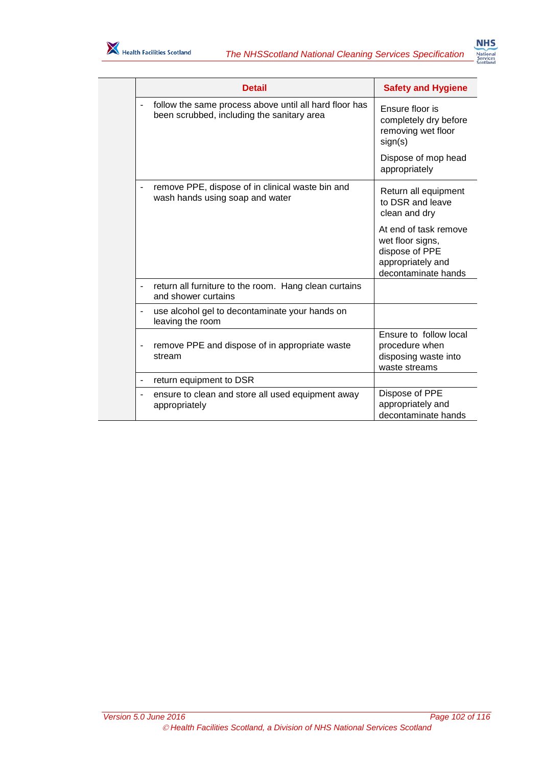

| NHS                                            |
|------------------------------------------------|
| <b>National</b><br><b>Services</b><br>Scotland |

| <b>Detail</b>                                                                                        | <b>Safety and Hygiene</b>                                                                               |
|------------------------------------------------------------------------------------------------------|---------------------------------------------------------------------------------------------------------|
| follow the same process above until all hard floor has<br>been scrubbed, including the sanitary area | Ensure floor is<br>completely dry before<br>removing wet floor<br>sign(s)                               |
|                                                                                                      | Dispose of mop head<br>appropriately                                                                    |
| remove PPE, dispose of in clinical waste bin and<br>wash hands using soap and water                  | Return all equipment<br>to DSR and leave<br>clean and dry                                               |
|                                                                                                      | At end of task remove<br>wet floor signs,<br>dispose of PPE<br>appropriately and<br>decontaminate hands |
| return all furniture to the room. Hang clean curtains<br>and shower curtains                         |                                                                                                         |
| use alcohol gel to decontaminate your hands on<br>۰<br>leaving the room                              |                                                                                                         |
| remove PPE and dispose of in appropriate waste<br>stream                                             | Ensure to follow local<br>procedure when<br>disposing waste into<br>waste streams                       |
| return equipment to DSR                                                                              |                                                                                                         |
| ensure to clean and store all used equipment away<br>appropriately                                   | Dispose of PPE<br>appropriately and<br>decontaminate hands                                              |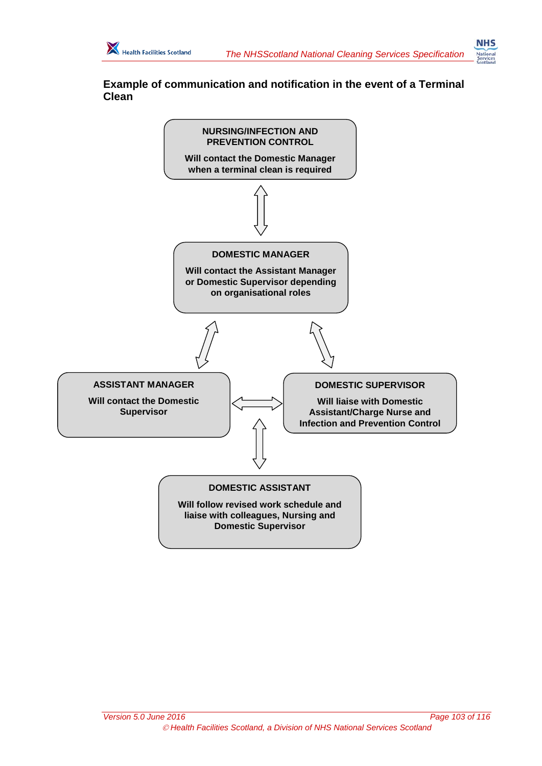#### **Example of communication and notification in the event of a Terminal Clean**

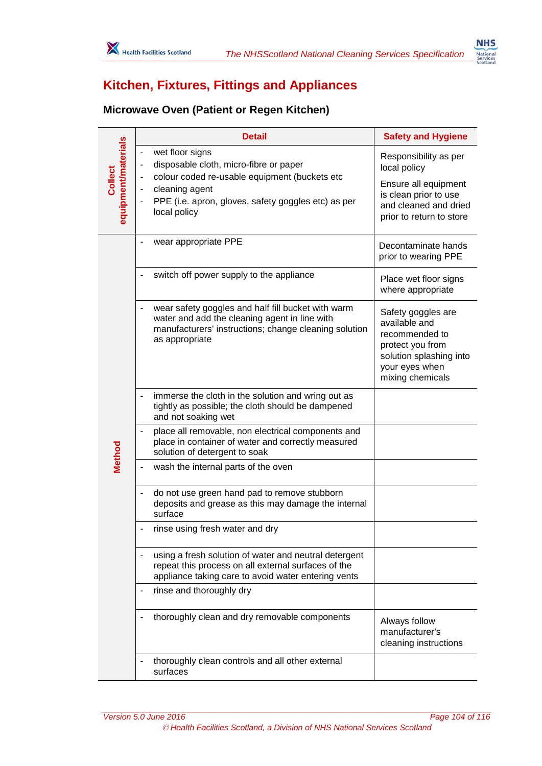# **Kitchen, Fixtures, Fittings and Appliances**

### **Microwave Oven (Patient or Regen Kitchen)**

| equipment/materials<br><b>Collect</b> | <b>Detail</b>                                                                                                                                                                                                  | <b>Safety and Hygiene</b>                                                                                                                  |
|---------------------------------------|----------------------------------------------------------------------------------------------------------------------------------------------------------------------------------------------------------------|--------------------------------------------------------------------------------------------------------------------------------------------|
|                                       | wet floor signs<br>$\qquad \qquad \blacksquare$<br>disposable cloth, micro-fibre or paper<br>$\qquad \qquad \blacksquare$                                                                                      | Responsibility as per<br>local policy                                                                                                      |
|                                       | colour coded re-usable equipment (buckets etc<br>$\overline{\phantom{0}}$<br>cleaning agent<br>$\qquad \qquad \blacksquare$<br>PPE (i.e. apron, gloves, safety goggles etc) as per<br>local policy             | Ensure all equipment<br>is clean prior to use<br>and cleaned and dried<br>prior to return to store                                         |
|                                       | wear appropriate PPE                                                                                                                                                                                           | Decontaminate hands<br>prior to wearing PPE                                                                                                |
|                                       | switch off power supply to the appliance                                                                                                                                                                       | Place wet floor signs<br>where appropriate                                                                                                 |
|                                       | wear safety goggles and half fill bucket with warm<br>$\qquad \qquad \blacksquare$<br>water and add the cleaning agent in line with<br>manufacturers' instructions; change cleaning solution<br>as appropriate | Safety goggles are<br>available and<br>recommended to<br>protect you from<br>solution splashing into<br>your eyes when<br>mixing chemicals |
|                                       | immerse the cloth in the solution and wring out as<br>tightly as possible; the cloth should be dampened<br>and not soaking wet                                                                                 |                                                                                                                                            |
| <b>Method</b>                         | place all removable, non electrical components and<br>place in container of water and correctly measured<br>solution of detergent to soak                                                                      |                                                                                                                                            |
|                                       | wash the internal parts of the oven                                                                                                                                                                            |                                                                                                                                            |
|                                       | do not use green hand pad to remove stubborn<br>deposits and grease as this may damage the internal<br>surface                                                                                                 |                                                                                                                                            |
|                                       | rinse using fresh water and dry                                                                                                                                                                                |                                                                                                                                            |
|                                       | using a fresh solution of water and neutral detergent<br>۰<br>repeat this process on all external surfaces of the<br>appliance taking care to avoid water entering vents                                       |                                                                                                                                            |
|                                       | rinse and thoroughly dry<br>۰                                                                                                                                                                                  |                                                                                                                                            |
|                                       | thoroughly clean and dry removable components                                                                                                                                                                  | Always follow<br>manufacturer's<br>cleaning instructions                                                                                   |
|                                       | thoroughly clean controls and all other external<br>surfaces                                                                                                                                                   |                                                                                                                                            |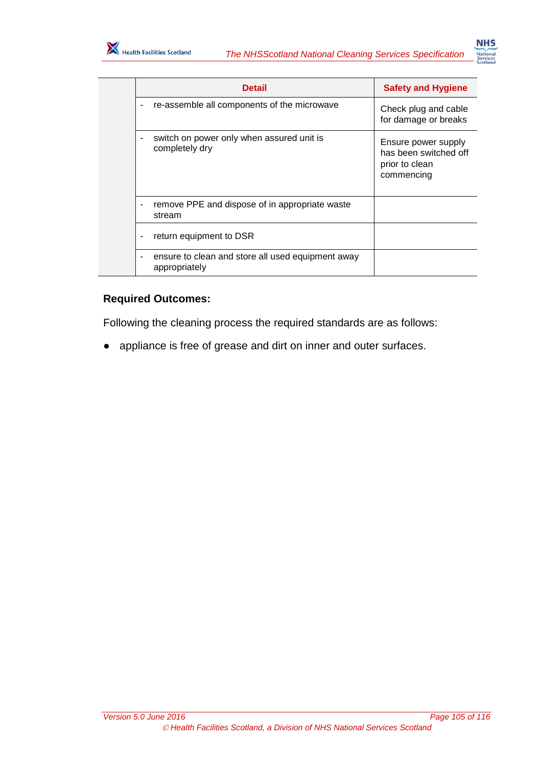

| <b>Detail</b>                                                           | <b>Safety and Hygiene</b>                                                    |
|-------------------------------------------------------------------------|------------------------------------------------------------------------------|
| re-assemble all components of the microwave<br>٠                        | Check plug and cable<br>for damage or breaks                                 |
| switch on power only when assured unit is<br>٠<br>completely dry        | Ensure power supply<br>has been switched off<br>prior to clean<br>commencing |
| remove PPE and dispose of in appropriate waste<br>٠<br>stream           |                                                                              |
| return equipment to DSR<br>٠                                            |                                                                              |
| ensure to clean and store all used equipment away<br>۰<br>appropriately |                                                                              |

### **Required Outcomes:**

Following the cleaning process the required standards are as follows:

● appliance is free of grease and dirt on inner and outer surfaces.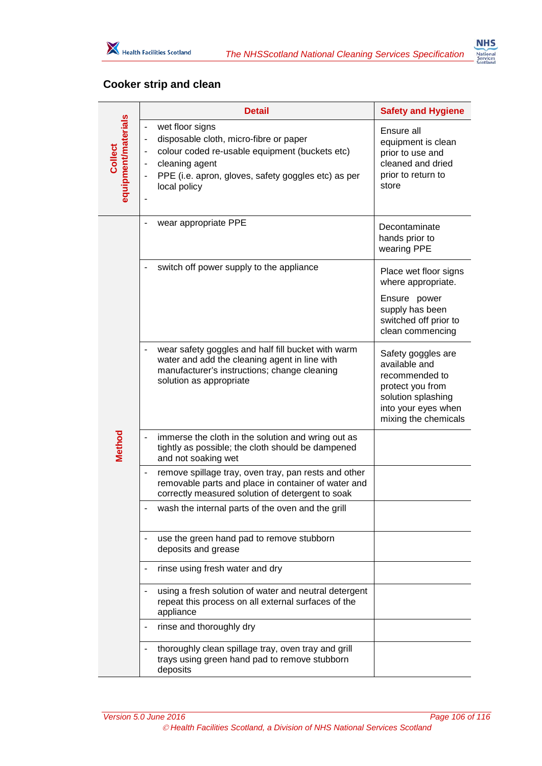

## **Cooker strip and clean**

|                                       | <b>Detail</b>                                                                                                                                                                                                                                        | <b>Safety and Hygiene</b>                                                                                                                      |
|---------------------------------------|------------------------------------------------------------------------------------------------------------------------------------------------------------------------------------------------------------------------------------------------------|------------------------------------------------------------------------------------------------------------------------------------------------|
| equipment/materials<br><b>Collect</b> | wet floor signs<br>-<br>disposable cloth, micro-fibre or paper<br>-<br>colour coded re-usable equipment (buckets etc)<br>$\overline{\phantom{0}}$<br>cleaning agent<br>-<br>PPE (i.e. apron, gloves, safety goggles etc) as per<br>٠<br>local policy | Ensure all<br>equipment is clean<br>prior to use and<br>cleaned and dried<br>prior to return to<br>store                                       |
|                                       | wear appropriate PPE                                                                                                                                                                                                                                 | Decontaminate<br>hands prior to<br>wearing PPE                                                                                                 |
|                                       | switch off power supply to the appliance                                                                                                                                                                                                             | Place wet floor signs<br>where appropriate.<br>Ensure power<br>supply has been<br>switched off prior to<br>clean commencing                    |
|                                       | wear safety goggles and half fill bucket with warm<br>water and add the cleaning agent in line with<br>manufacturer's instructions; change cleaning<br>solution as appropriate                                                                       | Safety goggles are<br>available and<br>recommended to<br>protect you from<br>solution splashing<br>into your eyes when<br>mixing the chemicals |
| <b>Method</b>                         | immerse the cloth in the solution and wring out as<br>tightly as possible; the cloth should be dampened<br>and not soaking wet                                                                                                                       |                                                                                                                                                |
|                                       | remove spillage tray, oven tray, pan rests and other<br>removable parts and place in container of water and<br>correctly measured solution of detergent to soak                                                                                      |                                                                                                                                                |
|                                       | wash the internal parts of the oven and the grill                                                                                                                                                                                                    |                                                                                                                                                |
|                                       | use the green hand pad to remove stubborn<br>deposits and grease                                                                                                                                                                                     |                                                                                                                                                |
|                                       | rinse using fresh water and dry<br>٠                                                                                                                                                                                                                 |                                                                                                                                                |
|                                       | using a fresh solution of water and neutral detergent<br>repeat this process on all external surfaces of the<br>appliance                                                                                                                            |                                                                                                                                                |
|                                       | rinse and thoroughly dry                                                                                                                                                                                                                             |                                                                                                                                                |
|                                       | thoroughly clean spillage tray, oven tray and grill<br>trays using green hand pad to remove stubborn<br>deposits                                                                                                                                     |                                                                                                                                                |

**NHS** National<br>Services<br>Scotland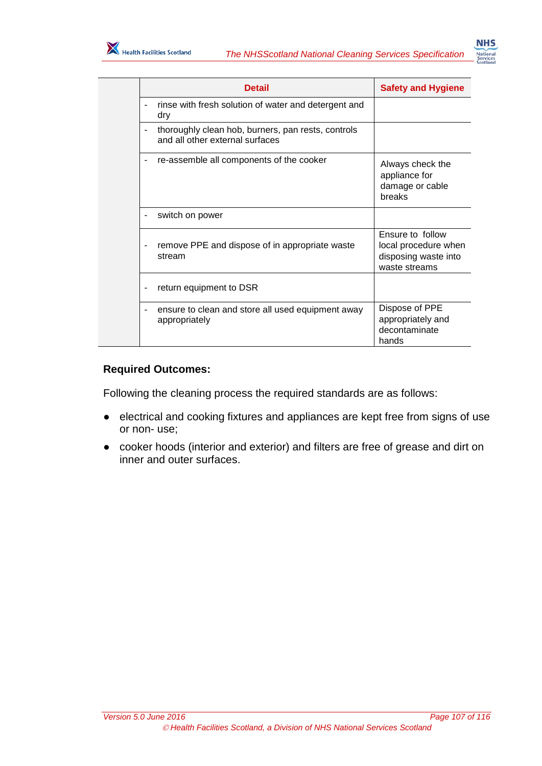

|    | <b>Detail</b>                                                                         | <b>Safety and Hygiene</b>                                                         |
|----|---------------------------------------------------------------------------------------|-----------------------------------------------------------------------------------|
|    | rinse with fresh solution of water and detergent and<br>dry                           |                                                                                   |
| ÷, | thoroughly clean hob, burners, pan rests, controls<br>and all other external surfaces |                                                                                   |
|    | re-assemble all components of the cooker                                              | Always check the<br>appliance for<br>damage or cable<br><b>breaks</b>             |
|    | switch on power                                                                       |                                                                                   |
|    | remove PPE and dispose of in appropriate waste<br>stream                              | Ensure to follow<br>local procedure when<br>disposing waste into<br>waste streams |
|    | return equipment to DSR                                                               |                                                                                   |
|    | ensure to clean and store all used equipment away<br>appropriately                    | Dispose of PPE<br>appropriately and<br>decontaminate<br>hands                     |

#### **Required Outcomes:**

Following the cleaning process the required standards are as follows:

- electrical and cooking fixtures and appliances are kept free from signs of use or non- use;
- cooker hoods (interior and exterior) and filters are free of grease and dirt on inner and outer surfaces.

**NHS**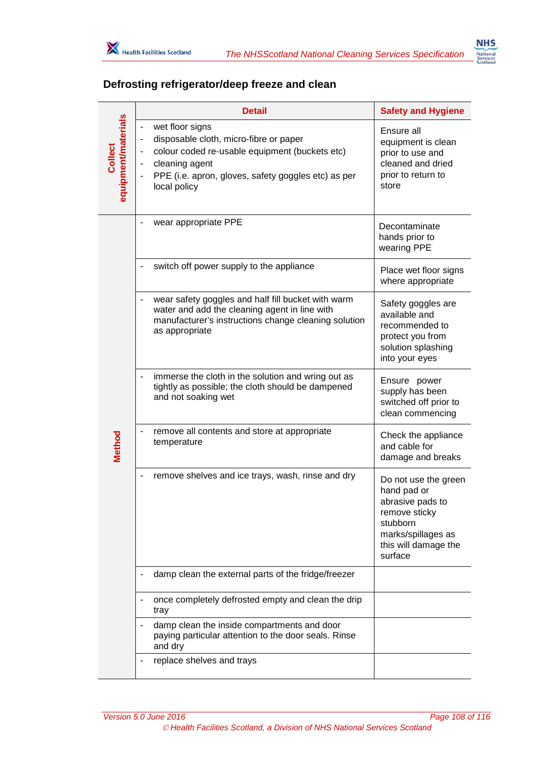

## **Defrosting refrigerator/deep freeze and clean**

|                                       | <b>Detail</b>                                                                                                                                                                                                                                                                                                            | <b>Safety and Hygiene</b>                                                                                                                     |
|---------------------------------------|--------------------------------------------------------------------------------------------------------------------------------------------------------------------------------------------------------------------------------------------------------------------------------------------------------------------------|-----------------------------------------------------------------------------------------------------------------------------------------------|
| equipment/materials<br><b>Collect</b> | wet floor signs<br>$\overline{\phantom{0}}$<br>disposable cloth, micro-fibre or paper<br>$\overline{\phantom{0}}$<br>colour coded re-usable equipment (buckets etc)<br>$\qquad \qquad \blacksquare$<br>cleaning agent<br>$\overline{\phantom{0}}$<br>PPE (i.e. apron, gloves, safety goggles etc) as per<br>local policy | Ensure all<br>equipment is clean<br>prior to use and<br>cleaned and dried<br>prior to return to<br>store                                      |
|                                       | wear appropriate PPE                                                                                                                                                                                                                                                                                                     | Decontaminate<br>hands prior to<br>wearing PPE                                                                                                |
|                                       | switch off power supply to the appliance                                                                                                                                                                                                                                                                                 | Place wet floor signs<br>where appropriate                                                                                                    |
| <b>Method</b>                         | wear safety goggles and half fill bucket with warm<br>water and add the cleaning agent in line with<br>manufacturer's instructions change cleaning solution<br>as appropriate                                                                                                                                            | Safety goggles are<br>available and<br>recommended to<br>protect you from<br>solution splashing<br>into your eyes                             |
|                                       | immerse the cloth in the solution and wring out as<br>tightly as possible; the cloth should be dampened<br>and not soaking wet                                                                                                                                                                                           | Ensure power<br>supply has been<br>switched off prior to<br>clean commencing                                                                  |
|                                       | remove all contents and store at appropriate<br>temperature                                                                                                                                                                                                                                                              | Check the appliance<br>and cable for<br>damage and breaks                                                                                     |
|                                       | remove shelves and ice trays, wash, rinse and dry                                                                                                                                                                                                                                                                        | Do not use the green<br>hand pad or<br>abrasive pads to<br>remove sticky<br>stubborn<br>marks/spillages as<br>this will damage the<br>surface |
|                                       | damp clean the external parts of the fridge/freezer<br>-                                                                                                                                                                                                                                                                 |                                                                                                                                               |
|                                       | once completely defrosted empty and clean the drip<br>tray                                                                                                                                                                                                                                                               |                                                                                                                                               |
|                                       | damp clean the inside compartments and door<br>۰<br>paying particular attention to the door seals. Rinse<br>and dry                                                                                                                                                                                                      |                                                                                                                                               |
|                                       | replace shelves and trays                                                                                                                                                                                                                                                                                                |                                                                                                                                               |

**NHS** National<br>Services<br>Scotland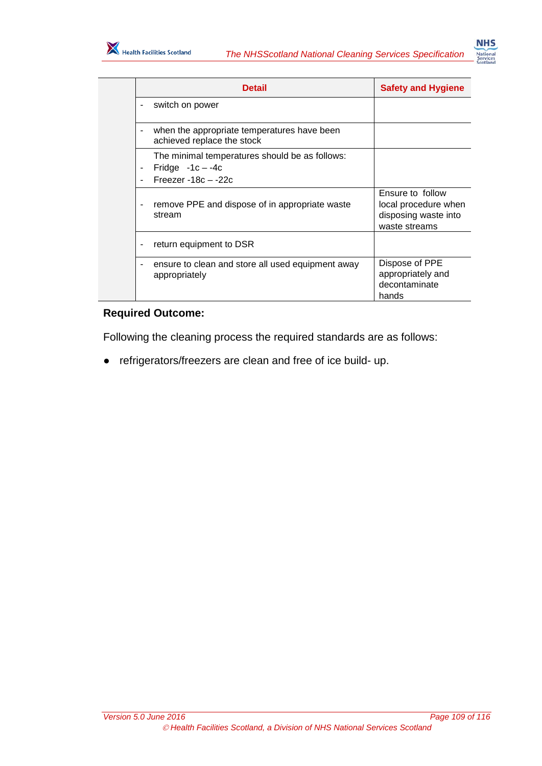

| NHS                                            |  |
|------------------------------------------------|--|
| <b>National</b><br><b>Services</b><br>Scotland |  |

| <b>Detail</b>                                                                                  | <b>Safety and Hygiene</b>                                                         |
|------------------------------------------------------------------------------------------------|-----------------------------------------------------------------------------------|
| switch on power                                                                                |                                                                                   |
| when the appropriate temperatures have been<br>achieved replace the stock                      |                                                                                   |
| The minimal temperatures should be as follows:<br>Fridge $-1c - -4c$<br>Freezer -18 $c - -22c$ |                                                                                   |
| remove PPE and dispose of in appropriate waste<br>stream                                       | Ensure to follow<br>local procedure when<br>disposing waste into<br>waste streams |
| return equipment to DSR                                                                        |                                                                                   |
| ensure to clean and store all used equipment away<br>appropriately                             | Dispose of PPE<br>appropriately and<br>decontaminate<br>hands                     |

### **Required Outcome:**

Following the cleaning process the required standards are as follows:

● refrigerators/freezers are clean and free of ice build- up.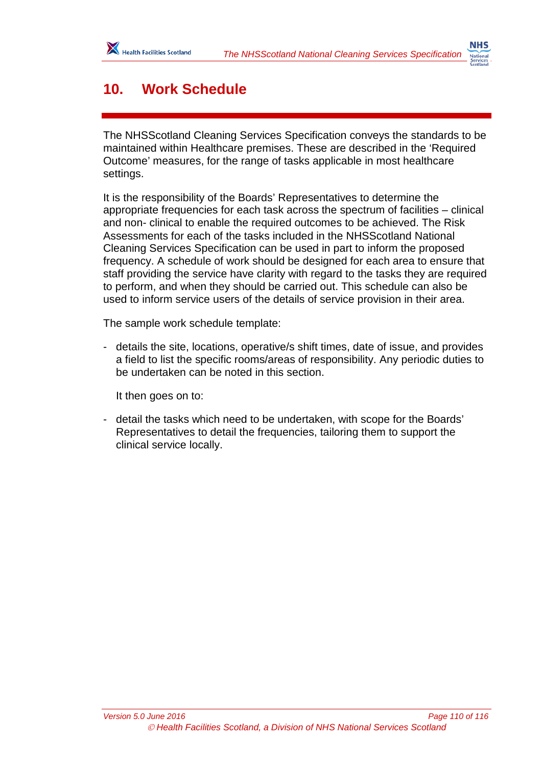# **10. Work Schedule**

The NHSScotland Cleaning Services Specification conveys the standards to be maintained within Healthcare premises. These are described in the 'Required Outcome' measures, for the range of tasks applicable in most healthcare settings.

It is the responsibility of the Boards' Representatives to determine the appropriate frequencies for each task across the spectrum of facilities – clinical and non- clinical to enable the required outcomes to be achieved. The Risk Assessments for each of the tasks included in the NHSScotland National Cleaning Services Specification can be used in part to inform the proposed frequency. A schedule of work should be designed for each area to ensure that staff providing the service have clarity with regard to the tasks they are required to perform, and when they should be carried out. This schedule can also be used to inform service users of the details of service provision in their area.

The sample work schedule template:

- details the site, locations, operative/s shift times, date of issue, and provides a field to list the specific rooms/areas of responsibility. Any periodic duties to be undertaken can be noted in this section.

It then goes on to:

- detail the tasks which need to be undertaken, with scope for the Boards' Representatives to detail the frequencies, tailoring them to support the clinical service locally.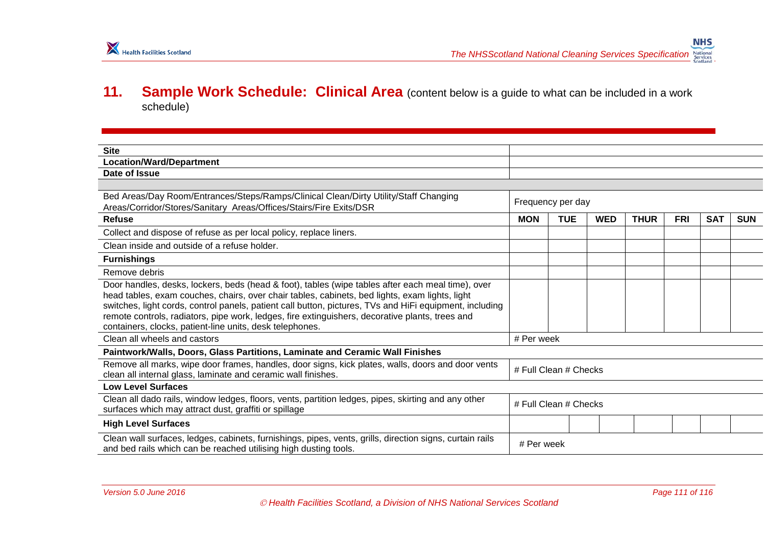## **11.** Sample Work Schedule: Clinical Area (content below is a guide to what can be included in a work schedule)

| <b>Site</b>                                                                                                                                                |                       |                       |            |             |            |            |            |
|------------------------------------------------------------------------------------------------------------------------------------------------------------|-----------------------|-----------------------|------------|-------------|------------|------------|------------|
|                                                                                                                                                            |                       |                       |            |             |            |            |            |
| <b>Location/Ward/Department</b><br>Date of Issue                                                                                                           |                       |                       |            |             |            |            |            |
|                                                                                                                                                            |                       |                       |            |             |            |            |            |
|                                                                                                                                                            |                       |                       |            |             |            |            |            |
| Bed Areas/Day Room/Entrances/Steps/Ramps/Clinical Clean/Dirty Utility/Staff Changing<br>Areas/Corridor/Stores/Sanitary Areas/Offices/Stairs/Fire Exits/DSR |                       | Frequency per day     |            |             |            |            |            |
|                                                                                                                                                            |                       |                       |            |             |            |            |            |
| <b>Refuse</b>                                                                                                                                              | <b>MON</b>            | <b>TUE</b>            | <b>WED</b> | <b>THUR</b> | <b>FRI</b> | <b>SAT</b> | <b>SUN</b> |
| Collect and dispose of refuse as per local policy, replace liners.                                                                                         |                       |                       |            |             |            |            |            |
| Clean inside and outside of a refuse holder.                                                                                                               |                       |                       |            |             |            |            |            |
| <b>Furnishings</b>                                                                                                                                         |                       |                       |            |             |            |            |            |
| Remove debris                                                                                                                                              |                       |                       |            |             |            |            |            |
| Door handles, desks, lockers, beds (head & foot), tables (wipe tables after each meal time), over                                                          |                       |                       |            |             |            |            |            |
| head tables, exam couches, chairs, over chair tables, cabinets, bed lights, exam lights, light                                                             |                       |                       |            |             |            |            |            |
| switches, light cords, control panels, patient call button, pictures, TVs and HiFi equipment, including                                                    |                       |                       |            |             |            |            |            |
| remote controls, radiators, pipe work, ledges, fire extinguishers, decorative plants, trees and                                                            |                       |                       |            |             |            |            |            |
| containers, clocks, patient-line units, desk telephones.                                                                                                   |                       |                       |            |             |            |            |            |
| Clean all wheels and castors                                                                                                                               | # Per week            |                       |            |             |            |            |            |
| Paintwork/Walls, Doors, Glass Partitions, Laminate and Ceramic Wall Finishes                                                                               |                       |                       |            |             |            |            |            |
| Remove all marks, wipe door frames, handles, door signs, kick plates, walls, doors and door vents                                                          |                       | # Full Clean # Checks |            |             |            |            |            |
| clean all internal glass, laminate and ceramic wall finishes.                                                                                              |                       |                       |            |             |            |            |            |
| <b>Low Level Surfaces</b>                                                                                                                                  |                       |                       |            |             |            |            |            |
| Clean all dado rails, window ledges, floors, vents, partition ledges, pipes, skirting and any other                                                        |                       |                       |            |             |            |            |            |
| surfaces which may attract dust, graffiti or spillage                                                                                                      | # Full Clean # Checks |                       |            |             |            |            |            |
| <b>High Level Surfaces</b>                                                                                                                                 |                       |                       |            |             |            |            |            |
| Clean wall surfaces, ledges, cabinets, furnishings, pipes, vents, grills, direction signs, curtain rails                                                   |                       |                       |            |             |            |            |            |
| and bed rails which can be reached utilising high dusting tools.                                                                                           | # Per week            |                       |            |             |            |            |            |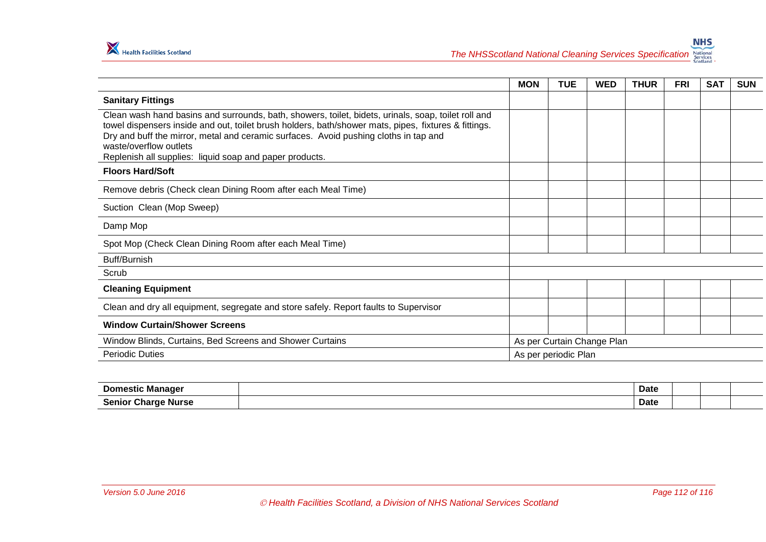

|                                                                                                                                                                                                                                                                                                                                                                                          | <b>MON</b>                 | <b>TUE</b> | <b>WED</b> | <b>THUR</b> | <b>FRI</b> | <b>SAT</b> | <b>SUN</b> |
|------------------------------------------------------------------------------------------------------------------------------------------------------------------------------------------------------------------------------------------------------------------------------------------------------------------------------------------------------------------------------------------|----------------------------|------------|------------|-------------|------------|------------|------------|
| <b>Sanitary Fittings</b>                                                                                                                                                                                                                                                                                                                                                                 |                            |            |            |             |            |            |            |
| Clean wash hand basins and surrounds, bath, showers, toilet, bidets, urinals, soap, toilet roll and<br>towel dispensers inside and out, toilet brush holders, bath/shower mats, pipes, fixtures & fittings.<br>Dry and buff the mirror, metal and ceramic surfaces. Avoid pushing cloths in tap and<br>waste/overflow outlets<br>Replenish all supplies: liquid soap and paper products. |                            |            |            |             |            |            |            |
| <b>Floors Hard/Soft</b>                                                                                                                                                                                                                                                                                                                                                                  |                            |            |            |             |            |            |            |
| Remove debris (Check clean Dining Room after each Meal Time)                                                                                                                                                                                                                                                                                                                             |                            |            |            |             |            |            |            |
| Suction Clean (Mop Sweep)                                                                                                                                                                                                                                                                                                                                                                |                            |            |            |             |            |            |            |
| Damp Mop                                                                                                                                                                                                                                                                                                                                                                                 |                            |            |            |             |            |            |            |
| Spot Mop (Check Clean Dining Room after each Meal Time)                                                                                                                                                                                                                                                                                                                                  |                            |            |            |             |            |            |            |
| Buff/Burnish                                                                                                                                                                                                                                                                                                                                                                             |                            |            |            |             |            |            |            |
| Scrub                                                                                                                                                                                                                                                                                                                                                                                    |                            |            |            |             |            |            |            |
| <b>Cleaning Equipment</b>                                                                                                                                                                                                                                                                                                                                                                |                            |            |            |             |            |            |            |
| Clean and dry all equipment, segregate and store safely. Report faults to Supervisor                                                                                                                                                                                                                                                                                                     |                            |            |            |             |            |            |            |
| <b>Window Curtain/Shower Screens</b>                                                                                                                                                                                                                                                                                                                                                     |                            |            |            |             |            |            |            |
| Window Blinds, Curtains, Bed Screens and Shower Curtains                                                                                                                                                                                                                                                                                                                                 | As per Curtain Change Plan |            |            |             |            |            |            |
| <b>Periodic Duties</b>                                                                                                                                                                                                                                                                                                                                                                   | As per periodic Plan       |            |            |             |            |            |            |

| <b>Domestic Manager</b>    | Date |  |  |
|----------------------------|------|--|--|
| <b>Senior Charge Nurse</b> | Date |  |  |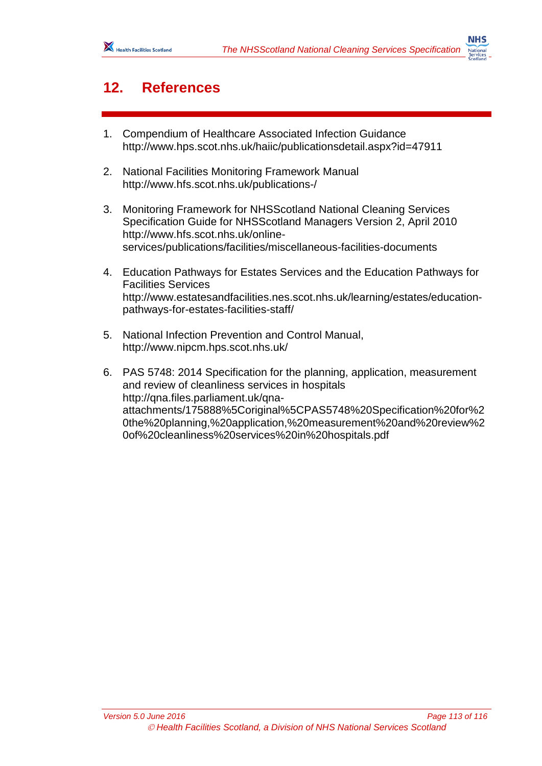# **12. References**

- 1. Compendium of Healthcare Associated Infection Guidance http://www.hps.scot.nhs.uk/haiic/publicationsdetail.aspx?id=47911
- 2. National Facilities Monitoring Framework Manual <http://www.hfs.scot.nhs.uk/publications-/>
- 3. Monitoring Framework for NHSScotland National Cleaning Services Specification Guide for NHSScotland Managers Version 2, April 2010 [http://www.hfs.scot.nhs.uk/online](http://www.hfs.scot.nhs.uk/online-services/publications/facilities/miscellaneous-facilities-documents/)[services/publications/facilities/miscellaneous-facilities-documents](http://www.hfs.scot.nhs.uk/online-services/publications/facilities/miscellaneous-facilities-documents/)
- 4. Education Pathways for Estates Services and the Education Pathways for Facilities Services [http://www.estatesandfacilities.nes.scot.nhs.uk/learning/estates/education](http://www.estatesandfacilities.nes.scot.nhs.uk/learning/estates/education-pathways-for-estates-facilities-staff/)[pathways-for-estates-facilities-staff/](http://www.estatesandfacilities.nes.scot.nhs.uk/learning/estates/education-pathways-for-estates-facilities-staff/)
- 5. National Infection Prevention and Control Manual, http://www.nipcm.hps.scot.nhs.uk/
- 6. PAS 5748: 2014 Specification for the planning, application, measurement and review of cleanliness services in hospitals [http://qna.files.parliament.uk/qna](http://qna.files.parliament.uk/qna-attachments/175888%5Coriginal%5CPAS5748%20Specification%20for%20the%20planning,%20application,%20measurement%20and%20review%20of%20cleanliness%20services%20in%20hospitals.pdf)[attachments/175888%5Coriginal%5CPAS5748%20Specification%20for%2](http://qna.files.parliament.uk/qna-attachments/175888%5Coriginal%5CPAS5748%20Specification%20for%20the%20planning,%20application,%20measurement%20and%20review%20of%20cleanliness%20services%20in%20hospitals.pdf) [0the%20planning,%20application,%20measurement%20and%20review%2](http://qna.files.parliament.uk/qna-attachments/175888%5Coriginal%5CPAS5748%20Specification%20for%20the%20planning,%20application,%20measurement%20and%20review%20of%20cleanliness%20services%20in%20hospitals.pdf) [0of%20cleanliness%20services%20in%20hospitals.pdf](http://qna.files.parliament.uk/qna-attachments/175888%5Coriginal%5CPAS5748%20Specification%20for%20the%20planning,%20application,%20measurement%20and%20review%20of%20cleanliness%20services%20in%20hospitals.pdf)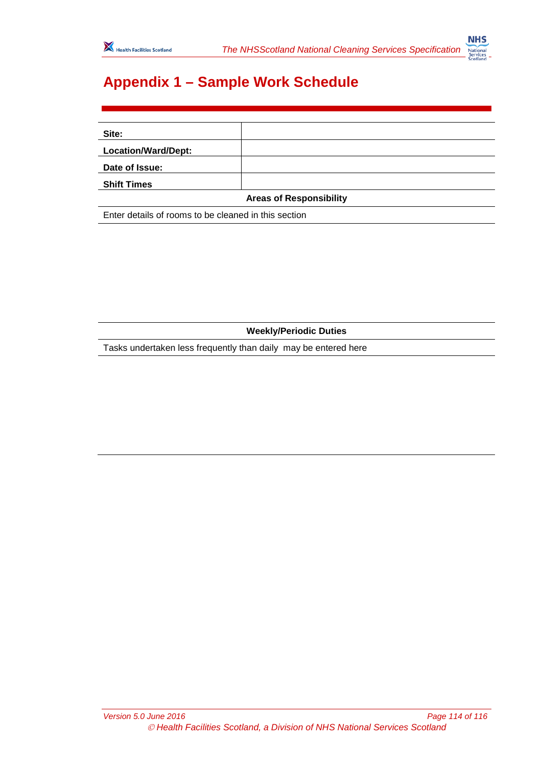# **Appendix 1 – Sample Work Schedule**

| Site:                      |                                |
|----------------------------|--------------------------------|
| <b>Location/Ward/Dept:</b> |                                |
| Date of Issue:             |                                |
| <b>Shift Times</b>         |                                |
|                            | <b>Areas of Responsibility</b> |

Enter details of rooms to be cleaned in this section

**Weekly/Periodic Duties**

Tasks undertaken less frequently than daily may be entered here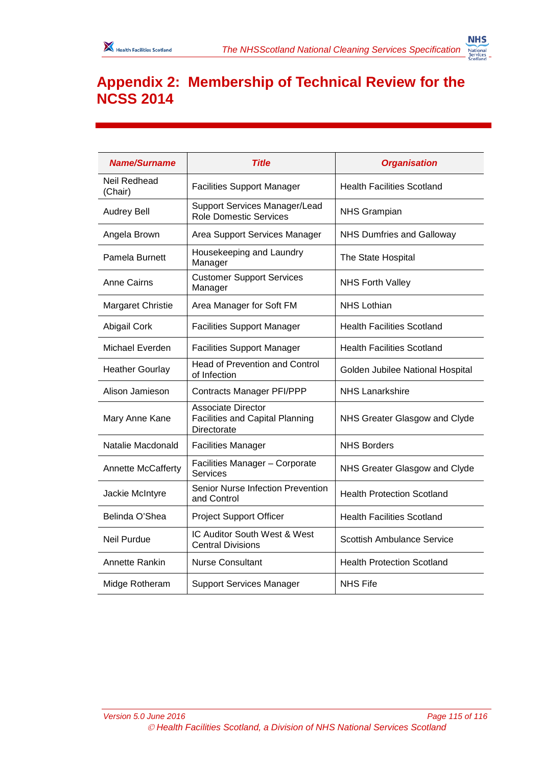# **Appendix 2: Membership of Technical Review for the NCSS 2014**

| Name/Surname                   | <b>Title</b>                                                                       | <b>Organisation</b>               |
|--------------------------------|------------------------------------------------------------------------------------|-----------------------------------|
| <b>Neil Redhead</b><br>(Chair) | <b>Facilities Support Manager</b>                                                  | <b>Health Facilities Scotland</b> |
| <b>Audrey Bell</b>             | Support Services Manager/Lead<br>Role Domestic Services                            | NHS Grampian                      |
| Angela Brown                   | Area Support Services Manager                                                      | <b>NHS Dumfries and Galloway</b>  |
| Pamela Burnett                 | Housekeeping and Laundry<br>Manager                                                | The State Hospital                |
| Anne Cairns                    | <b>Customer Support Services</b><br>Manager                                        | <b>NHS Forth Valley</b>           |
| Margaret Christie              | Area Manager for Soft FM                                                           | <b>NHS Lothian</b>                |
| <b>Abigail Cork</b>            | <b>Facilities Support Manager</b>                                                  | <b>Health Facilities Scotland</b> |
| Michael Everden                | <b>Facilities Support Manager</b>                                                  | <b>Health Facilities Scotland</b> |
| <b>Heather Gourlay</b>         | <b>Head of Prevention and Control</b><br>of Infection                              | Golden Jubilee National Hospital  |
| Alison Jamieson                | Contracts Manager PFI/PPP                                                          | <b>NHS Lanarkshire</b>            |
| Mary Anne Kane                 | <b>Associate Director</b><br><b>Facilities and Capital Planning</b><br>Directorate | NHS Greater Glasgow and Clyde     |
| Natalie Macdonald              | <b>Facilities Manager</b>                                                          | <b>NHS Borders</b>                |
| <b>Annette McCafferty</b>      | Facilities Manager - Corporate<br><b>Services</b>                                  | NHS Greater Glasgow and Clyde     |
| Jackie McIntyre                | Senior Nurse Infection Prevention<br>and Control                                   | <b>Health Protection Scotland</b> |
| Belinda O'Shea                 | <b>Project Support Officer</b>                                                     | <b>Health Facilities Scotland</b> |
| Neil Purdue                    | IC Auditor South West & West<br><b>Central Divisions</b>                           | <b>Scottish Ambulance Service</b> |
| Annette Rankin                 | <b>Nurse Consultant</b>                                                            | <b>Health Protection Scotland</b> |
| Midge Rotheram                 | <b>Support Services Manager</b>                                                    | <b>NHS Fife</b>                   |